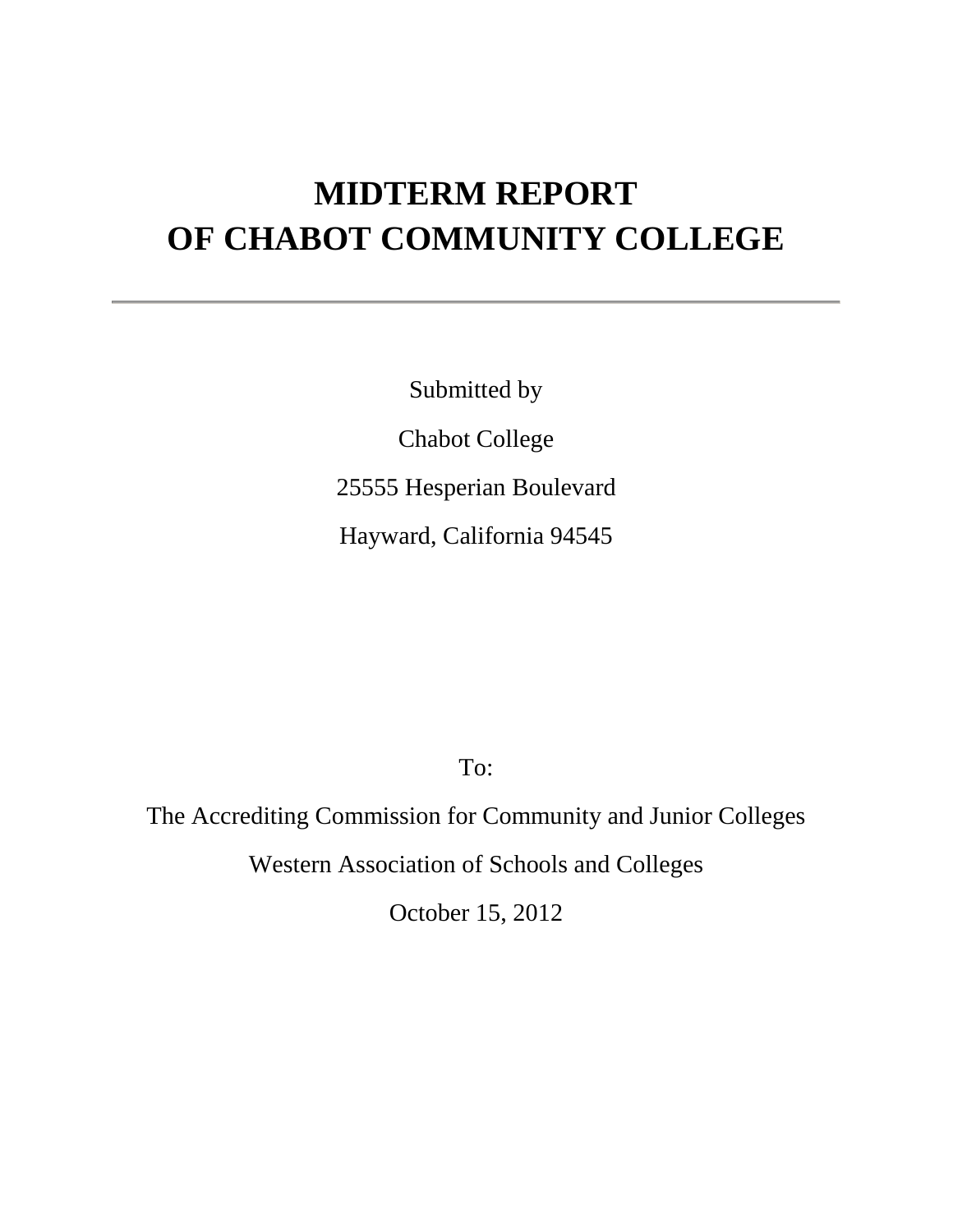# **MIDTERM REPORT OF CHABOT COMMUNITY COLLEGE**

Submitted by Chabot College 25555 Hesperian Boulevard Hayward, California 94545

To:

The Accrediting Commission for Community and Junior Colleges

Western Association of Schools and Colleges

October 15, 2012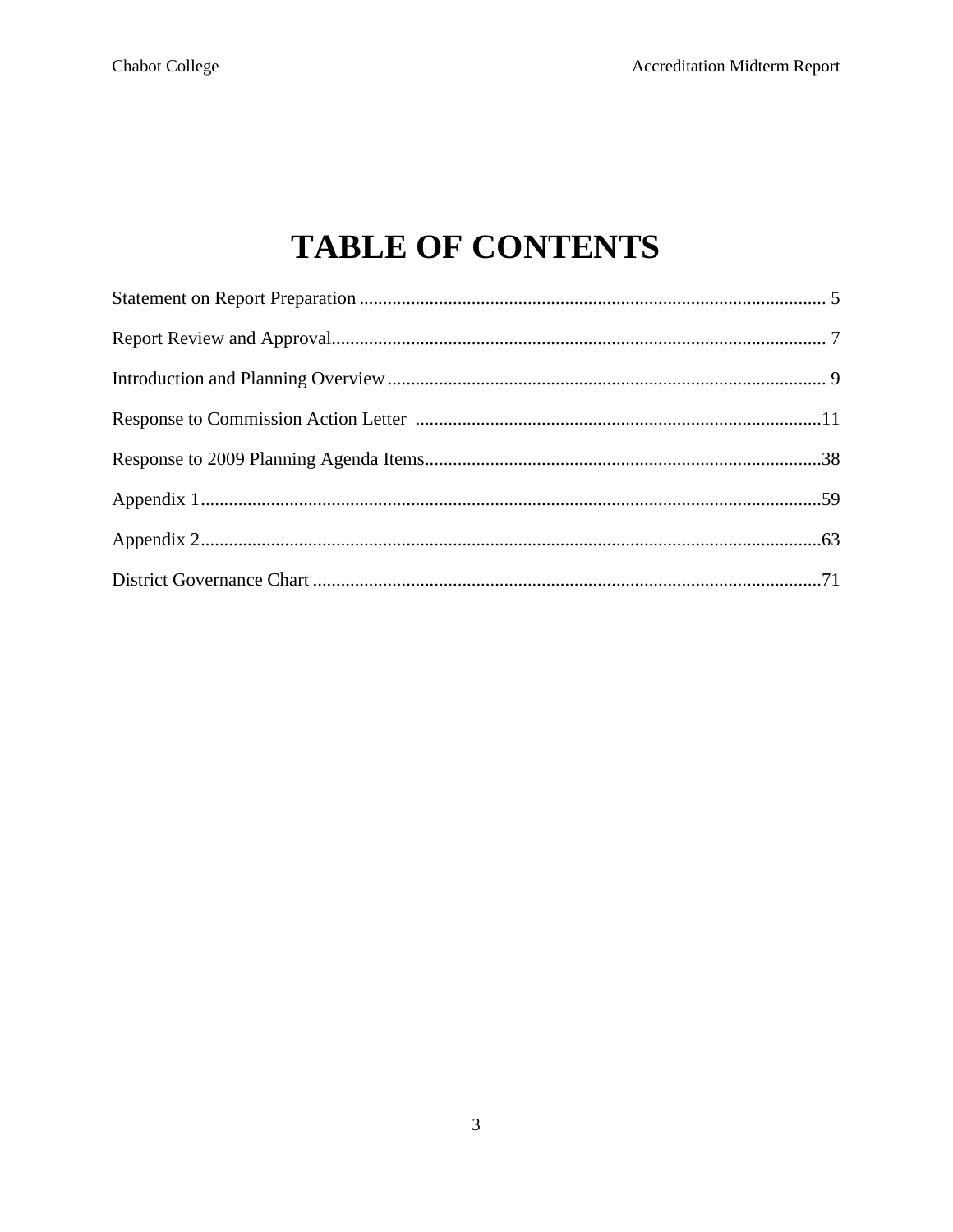# **TABLE OF CONTENTS**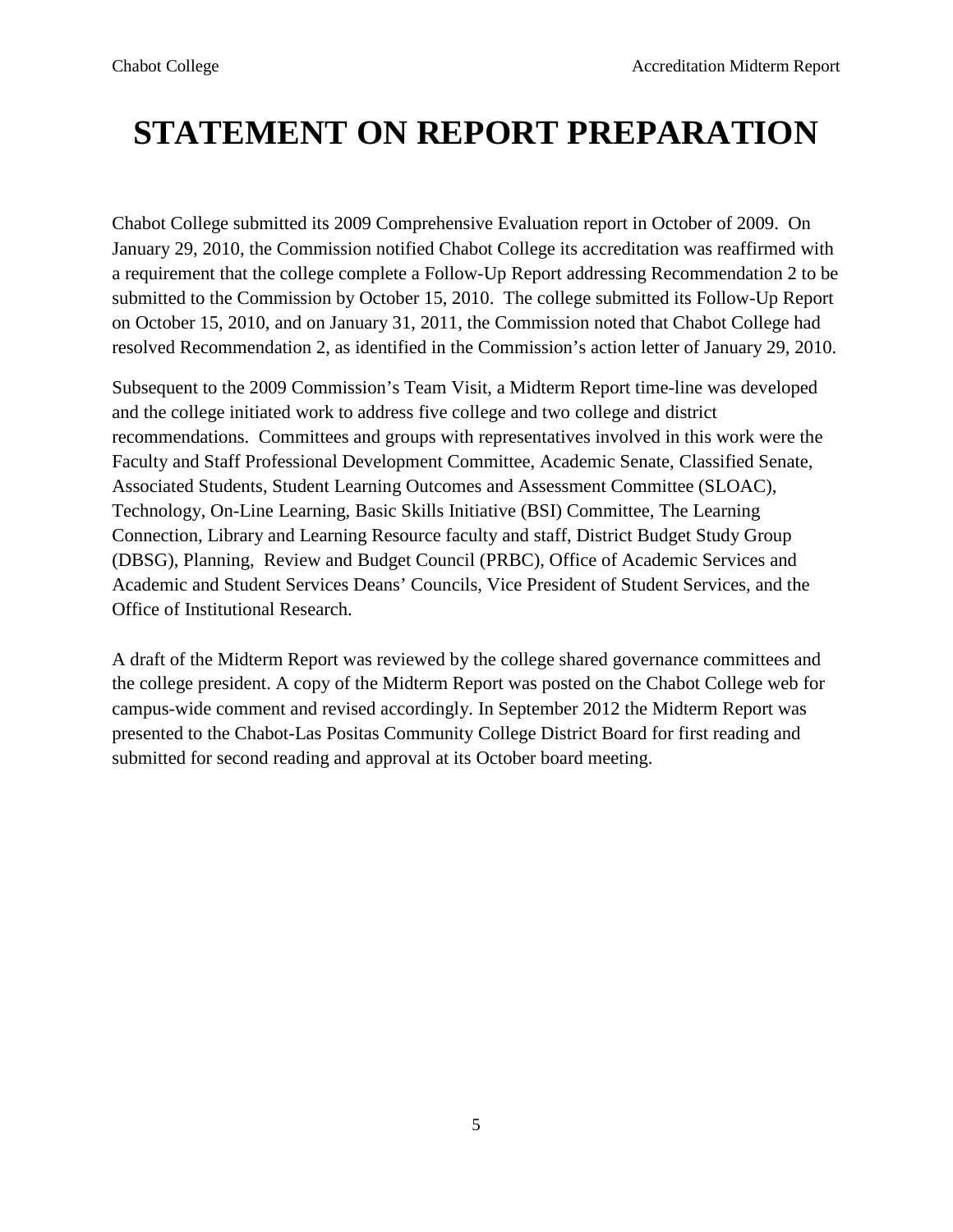# **STATEMENT ON REPORT PREPARATION**

Chabot College submitted its 2009 Comprehensive Evaluation report in October of 2009. On January 29, 2010, the Commission notified Chabot College its accreditation was reaffirmed with a requirement that the college complete a Follow-Up Report addressing Recommendation 2 to be submitted to the Commission by October 15, 2010. The college submitted its Follow-Up Report on October 15, 2010, and on January 31, 2011, the Commission noted that Chabot College had resolved Recommendation 2, as identified in the Commission's action letter of January 29, 2010.

Subsequent to the 2009 Commission's Team Visit, a Midterm Report time-line was developed and the college initiated work to address five college and two college and district recommendations. Committees and groups with representatives involved in this work were the Faculty and Staff Professional Development Committee, Academic Senate, Classified Senate, Associated Students, Student Learning Outcomes and Assessment Committee (SLOAC), Technology, On-Line Learning, Basic Skills Initiative (BSI) Committee, The Learning Connection, Library and Learning Resource faculty and staff, District Budget Study Group (DBSG), Planning, Review and Budget Council (PRBC), Office of Academic Services and Academic and Student Services Deans' Councils, Vice President of Student Services, and the Office of Institutional Research.

A draft of the Midterm Report was reviewed by the college shared governance committees and the college president. A copy of the Midterm Report was posted on the Chabot College web for campus-wide comment and revised accordingly. In September 2012 the Midterm Report was presented to the Chabot-Las Positas Community College District Board for first reading and submitted for second reading and approval at its October board meeting.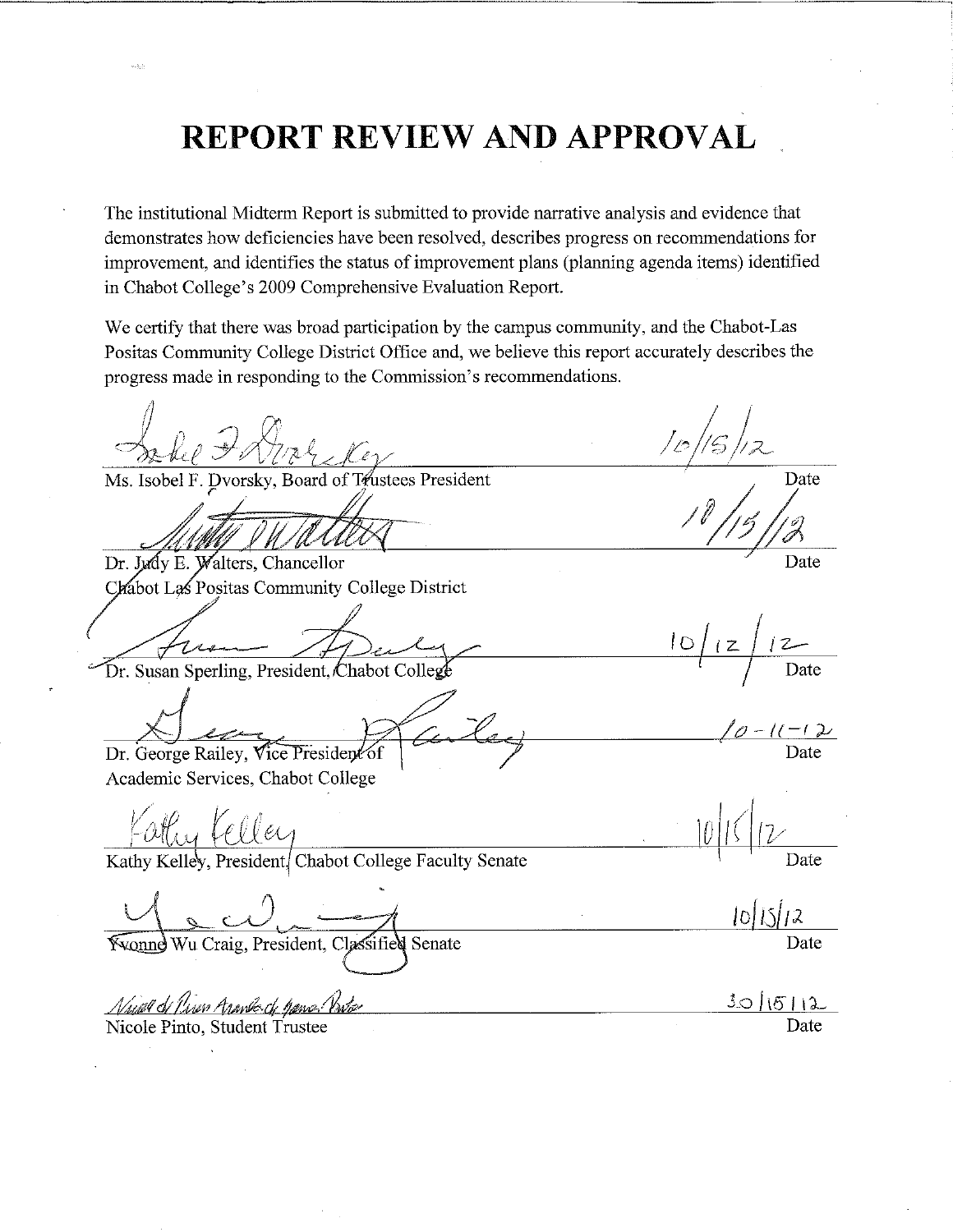# **REPORT REVIEW AND APPROVAL**

The institutional Midterm Report is submitted to provide narrative analysis and evidence that demonstrates how deficiencies have been resolved, describes progress on recommendations for improvement, and identifies the status of improvement plans (planning agenda items) identified in Chabot College's 2009 Comprehensive Evaluation Report.

We certify that there was broad participation by the campus community, and the Chabot-Las Positas Community College District Office and, we believe this report accurately describes the progress made in responding to the Commission's recommendations.

Ms. Isobel F. Dvorsky, Board of Trustees President

Dr. Judy E. Walters, Chancellor Chabot Las Positas Community College District

Dr. Susan Sperling, President, Chabot College

Dr. George Railey, Vice President of

Academic Services, Chabot College

Kathy Kelley, President, Chabot College Faculty Senate

**Yvonne Wu Craig, President, Classifie** ∕d Senate

Nauel de Piren Aranko de Games Vinte Nicole Pinto, Student Trustee

Date

Date

 $\overline{1}$ Date

Date

Date

101151 Date

 $10/15/12$ Date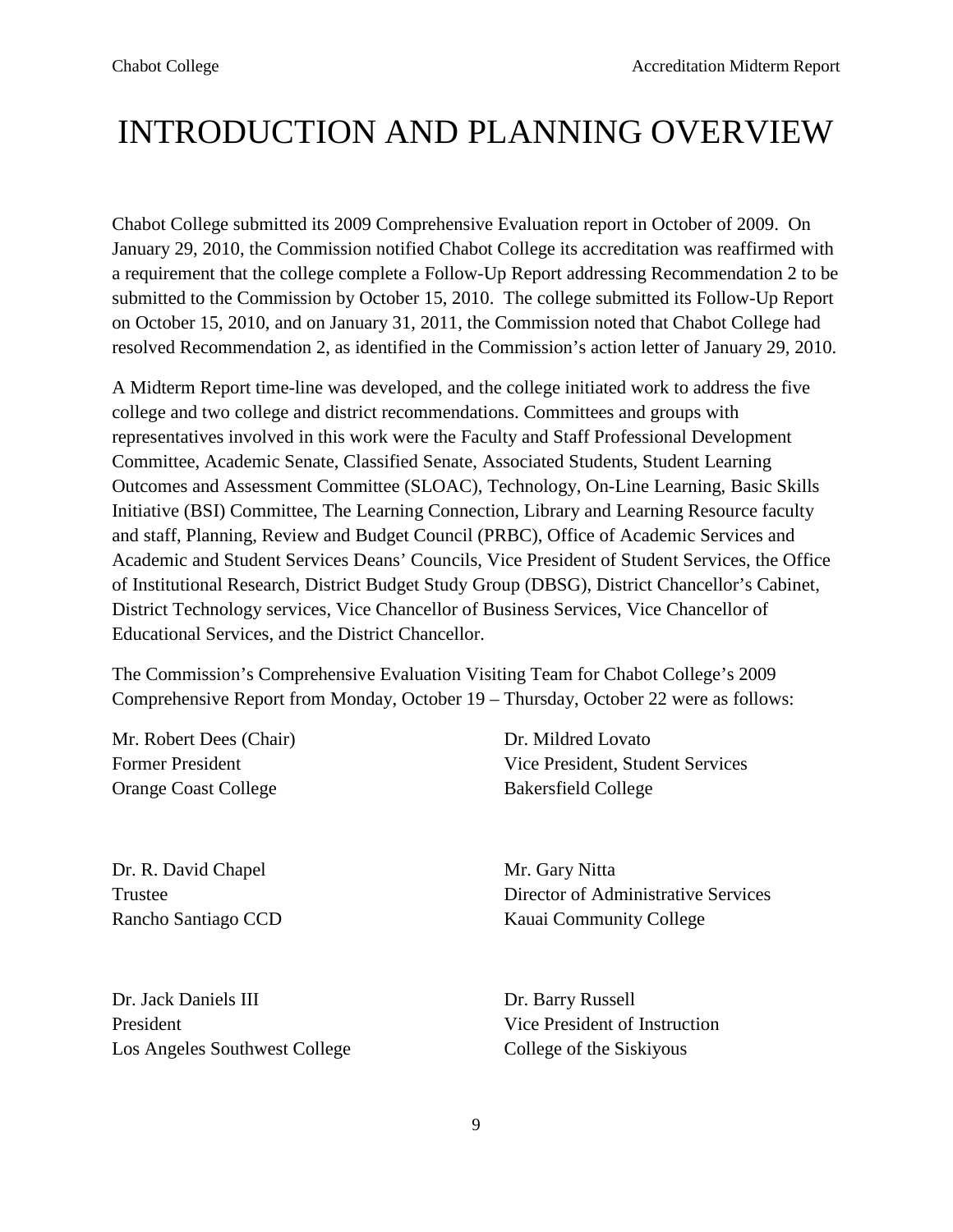# INTRODUCTION AND PLANNING OVERVIEW

Chabot College submitted its 2009 Comprehensive Evaluation report in October of 2009. On January 29, 2010, the Commission notified Chabot College its accreditation was reaffirmed with a requirement that the college complete a Follow-Up Report addressing Recommendation 2 to be submitted to the Commission by October 15, 2010. The college submitted its Follow-Up Report on October 15, 2010, and on January 31, 2011, the Commission noted that Chabot College had resolved Recommendation 2, as identified in the Commission's action letter of January 29, 2010.

A Midterm Report time-line was developed, and the college initiated work to address the five college and two college and district recommendations. Committees and groups with representatives involved in this work were the Faculty and Staff Professional Development Committee, Academic Senate, Classified Senate, Associated Students, Student Learning Outcomes and Assessment Committee (SLOAC), Technology, On-Line Learning, Basic Skills Initiative (BSI) Committee, The Learning Connection, Library and Learning Resource faculty and staff, Planning, Review and Budget Council (PRBC), Office of Academic Services and Academic and Student Services Deans' Councils, Vice President of Student Services, the Office of Institutional Research, District Budget Study Group (DBSG), District Chancellor's Cabinet, District Technology services, Vice Chancellor of Business Services, Vice Chancellor of Educational Services, and the District Chancellor.

The Commission's Comprehensive Evaluation Visiting Team for Chabot College's 2009 Comprehensive Report from Monday, October 19 – Thursday, October 22 were as follows:

Mr. Robert Dees (Chair) Dr. Mildred Lovato Orange Coast College **Bakersfield College** 

Dr. R. David Chapel Mr. Gary Nitta

Dr. Jack Daniels III Dr. Barry Russell President **President President President President President President President** Los Angeles Southwest College College College of the Siskiyous

Former President Vice President, Student Services

Trustee Director of Administrative Services Rancho Santiago CCD Kauai Community College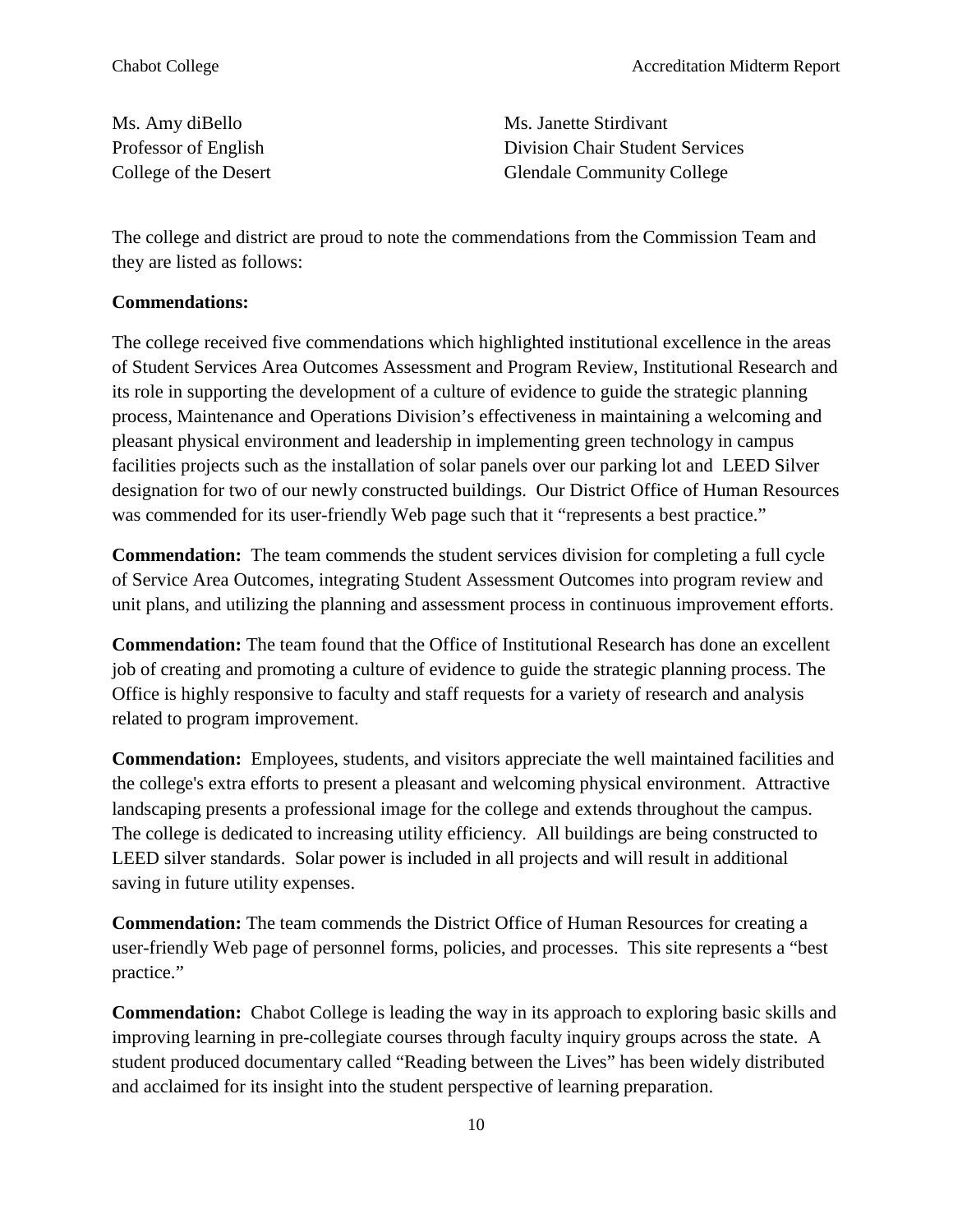Ms. Amy diBello Ms. Janette Stirdivant Professor of English Division Chair Student Services College of the Desert Glendale Community College

The college and district are proud to note the commendations from the Commission Team and they are listed as follows:

#### **Commendations:**

The college received five commendations which highlighted institutional excellence in the areas of Student Services Area Outcomes Assessment and Program Review, Institutional Research and its role in supporting the development of a culture of evidence to guide the strategic planning process, Maintenance and Operations Division's effectiveness in maintaining a welcoming and pleasant physical environment and leadership in implementing green technology in campus facilities projects such as the installation of solar panels over our parking lot and LEED Silver designation for two of our newly constructed buildings. Our District Office of Human Resources was commended for its user-friendly Web page such that it "represents a best practice."

**Commendation:** The team commends the student services division for completing a full cycle of Service Area Outcomes, integrating Student Assessment Outcomes into program review and unit plans, and utilizing the planning and assessment process in continuous improvement efforts.

**Commendation:** The team found that the Office of Institutional Research has done an excellent job of creating and promoting a culture of evidence to guide the strategic planning process. The Office is highly responsive to faculty and staff requests for a variety of research and analysis related to program improvement.

**Commendation:** Employees, students, and visitors appreciate the well maintained facilities and the college's extra efforts to present a pleasant and welcoming physical environment. Attractive landscaping presents a professional image for the college and extends throughout the campus. The college is dedicated to increasing utility efficiency. All buildings are being constructed to LEED silver standards. Solar power is included in all projects and will result in additional saving in future utility expenses.

**Commendation:** The team commends the District Office of Human Resources for creating a user-friendly Web page of personnel forms, policies, and processes. This site represents a "best practice."

**Commendation:** Chabot College is leading the way in its approach to exploring basic skills and improving learning in pre-collegiate courses through faculty inquiry groups across the state. A student produced documentary called "Reading between the Lives" has been widely distributed and acclaimed for its insight into the student perspective of learning preparation.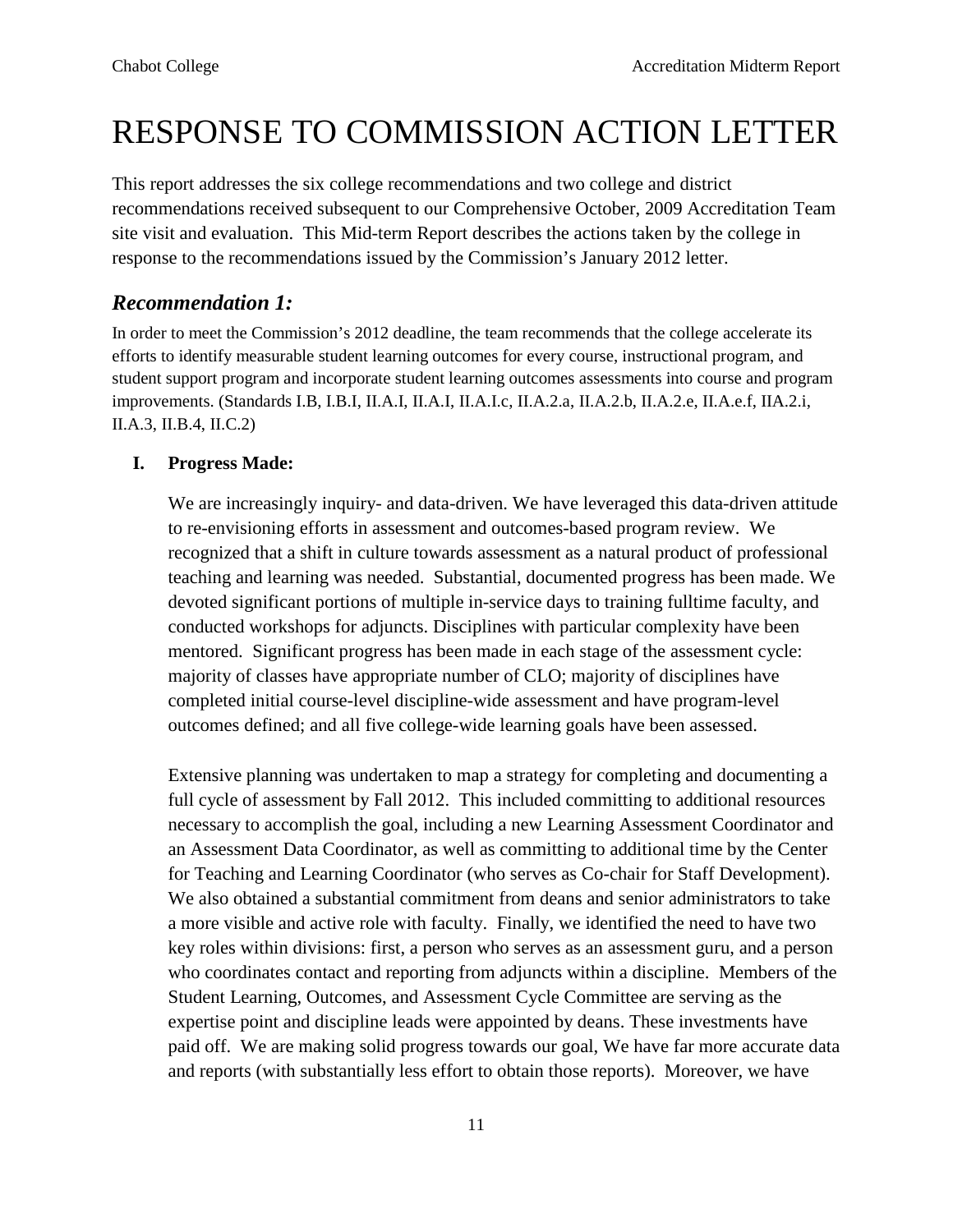# RESPONSE TO COMMISSION ACTION LETTER

This report addresses the six college recommendations and two college and district recommendations received subsequent to our Comprehensive October, 2009 Accreditation Team site visit and evaluation. This Mid-term Report describes the actions taken by the college in response to the recommendations issued by the Commission's January 2012 letter.

# *Recommendation 1:*

In order to meet the Commission's 2012 deadline, the team recommends that the college accelerate its efforts to identify measurable student learning outcomes for every course, instructional program, and student support program and incorporate student learning outcomes assessments into course and program improvements. (Standards I.B, I.B.I, II.A.I, II.A.I, II.A.I.c, II.A.2.a, II.A.2.b, II.A.2.e, II.A.e.f, IIA.2.i, II.A.3, II.B.4, II.C.2)

### **I. Progress Made:**

We are increasingly inquiry- and data-driven. We have leveraged this data-driven attitude to re-envisioning efforts in assessment and outcomes-based program review. We recognized that a shift in culture towards assessment as a natural product of professional teaching and learning was needed. Substantial, documented progress has been made. We devoted significant portions of multiple in-service days to training fulltime faculty, and conducted workshops for adjuncts. Disciplines with particular complexity have been mentored. Significant progress has been made in each stage of the assessment cycle: majority of classes have appropriate number of CLO; majority of disciplines have completed initial course-level discipline-wide assessment and have program-level outcomes defined; and all five college-wide learning goals have been assessed.

Extensive planning was undertaken to map a strategy for completing and documenting a full cycle of assessment by Fall 2012. This included committing to additional resources necessary to accomplish the goal, including a new Learning Assessment Coordinator and an Assessment Data Coordinator, as well as committing to additional time by the Center for Teaching and Learning Coordinator (who serves as Co-chair for Staff Development). We also obtained a substantial commitment from deans and senior administrators to take a more visible and active role with faculty. Finally, we identified the need to have two key roles within divisions: first, a person who serves as an assessment guru, and a person who coordinates contact and reporting from adjuncts within a discipline. Members of the Student Learning, Outcomes, and Assessment Cycle Committee are serving as the expertise point and discipline leads were appointed by deans. These investments have paid off. We are making solid progress towards our goal, We have far more accurate data and reports (with substantially less effort to obtain those reports). Moreover, we have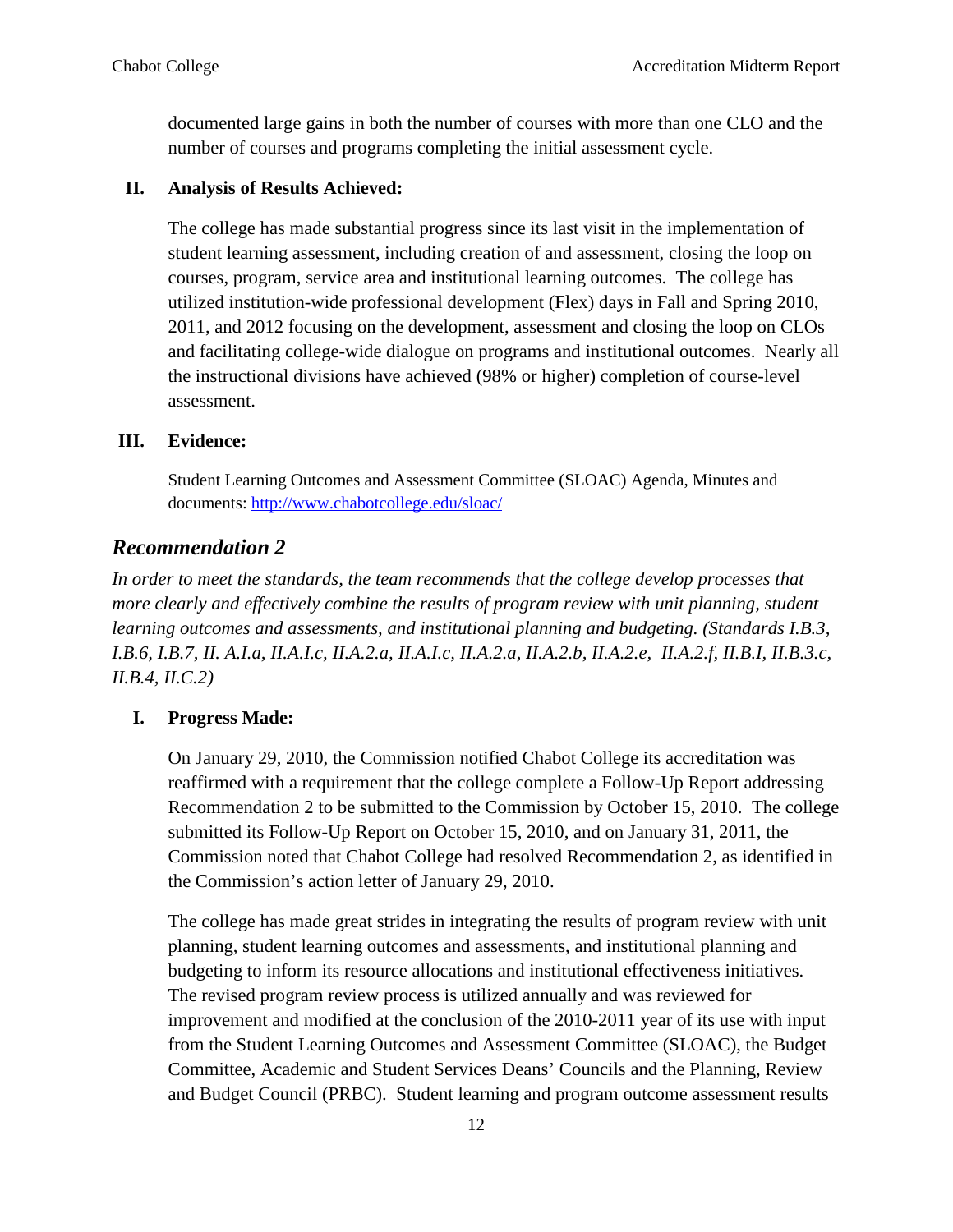documented large gains in both the number of courses with more than one CLO and the number of courses and programs completing the initial assessment cycle.

#### **II. Analysis of Results Achieved:**

The college has made substantial progress since its last visit in the implementation of student learning assessment, including creation of and assessment, closing the loop on courses, program, service area and institutional learning outcomes. The college has utilized institution-wide professional development (Flex) days in Fall and Spring 2010, 2011, and 2012 focusing on the development, assessment and closing the loop on CLOs and facilitating college-wide dialogue on programs and institutional outcomes. Nearly all the instructional divisions have achieved (98% or higher) completion of course-level assessment.

#### **III. Evidence:**

Student Learning Outcomes and Assessment Committee (SLOAC) Agenda, Minutes and documents: <http://www.chabotcollege.edu/sloac/>

# *Recommendation 2*

*In order to meet the standards, the team recommends that the college develop processes that more clearly and effectively combine the results of program review with unit planning, student learning outcomes and assessments, and institutional planning and budgeting. (Standards I.B.3, I.B.6, I.B.7, II. A.I.a, II.A.I.c, II.A.2.a, II.A.I.c, II.A.2.a, II.A.2.b, II.A.2.e, II.A.2.f, II.B.I, II.B.3.c, II.B.4, II.C.2)*

#### **I. Progress Made:**

On January 29, 2010, the Commission notified Chabot College its accreditation was reaffirmed with a requirement that the college complete a Follow-Up Report addressing Recommendation 2 to be submitted to the Commission by October 15, 2010. The college submitted its Follow-Up Report on October 15, 2010, and on January 31, 2011, the Commission noted that Chabot College had resolved Recommendation 2, as identified in the Commission's action letter of January 29, 2010.

The college has made great strides in integrating the results of program review with unit planning, student learning outcomes and assessments, and institutional planning and budgeting to inform its resource allocations and institutional effectiveness initiatives. The revised program review process is utilized annually and was reviewed for improvement and modified at the conclusion of the 2010-2011 year of its use with input from the Student Learning Outcomes and Assessment Committee (SLOAC), the Budget Committee, Academic and Student Services Deans' Councils and the Planning, Review and Budget Council (PRBC). Student learning and program outcome assessment results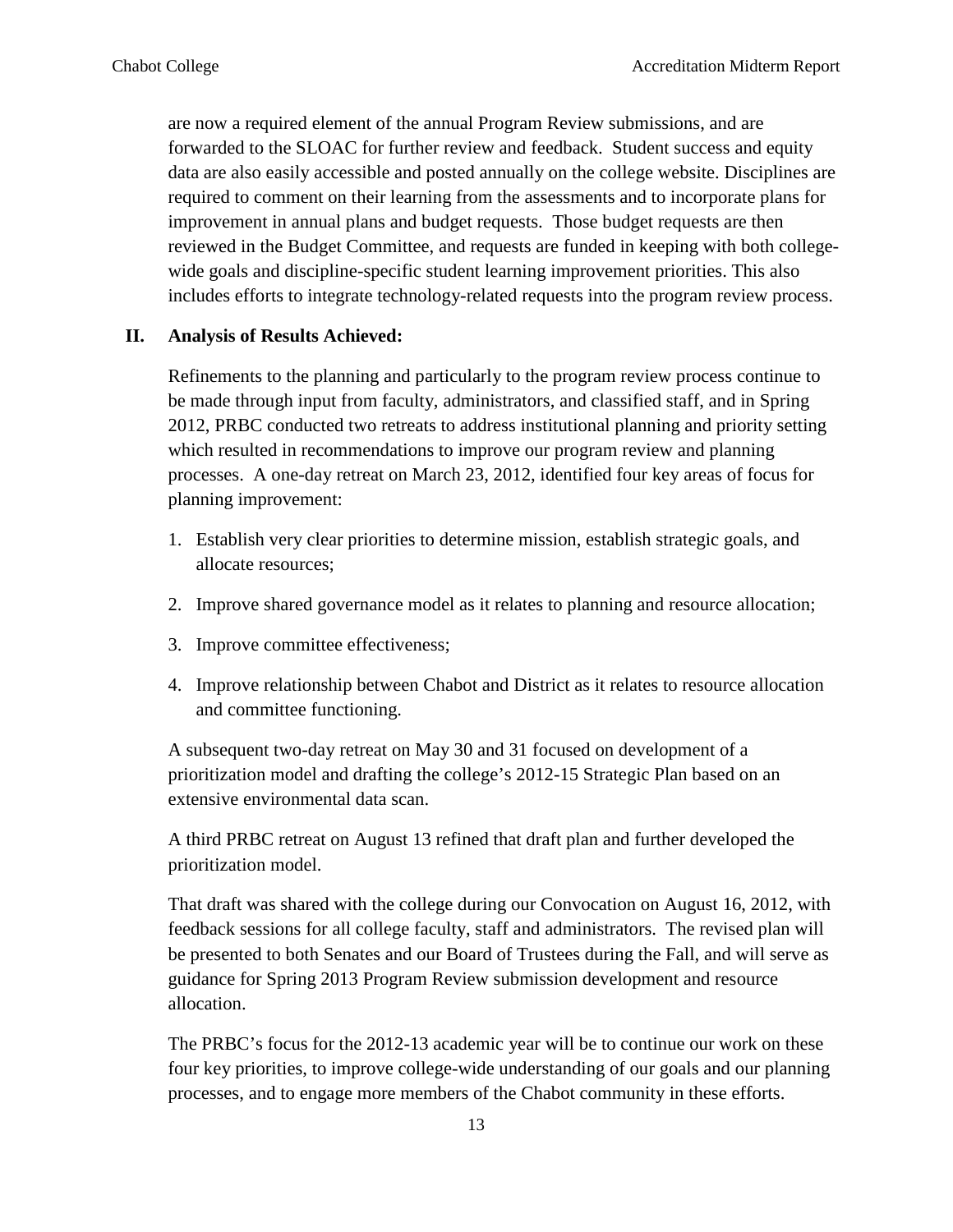are now a required element of the annual Program Review submissions, and are forwarded to the SLOAC for further review and feedback. Student success and equity data are also easily accessible and posted annually on the college website. Disciplines are required to comment on their learning from the assessments and to incorporate plans for improvement in annual plans and budget requests. Those budget requests are then reviewed in the Budget Committee, and requests are funded in keeping with both collegewide goals and discipline-specific student learning improvement priorities. This also includes efforts to integrate technology-related requests into the program review process.

#### **II. Analysis of Results Achieved:**

Refinements to the planning and particularly to the program review process continue to be made through input from faculty, administrators, and classified staff, and in Spring 2012, PRBC conducted two retreats to address institutional planning and priority setting which resulted in recommendations to improve our program review and planning processes. A one-day retreat on March 23, 2012, identified four key areas of focus for planning improvement:

- 1. Establish very clear priorities to determine mission, establish strategic goals, and allocate resources;
- 2. Improve shared governance model as it relates to planning and resource allocation;
- 3. Improve committee effectiveness;
- 4. Improve relationship between Chabot and District as it relates to resource allocation and committee functioning.

A subsequent two-day retreat on May 30 and 31 focused on development of a prioritization model and drafting the college's 2012-15 Strategic Plan based on an extensive environmental data scan.

A third PRBC retreat on August 13 refined that draft plan and further developed the prioritization model.

That draft was shared with the college during our Convocation on August 16, 2012, with feedback sessions for all college faculty, staff and administrators. The revised plan will be presented to both Senates and our Board of Trustees during the Fall, and will serve as guidance for Spring 2013 Program Review submission development and resource allocation.

The PRBC's focus for the 2012-13 academic year will be to continue our work on these four key priorities, to improve college-wide understanding of our goals and our planning processes, and to engage more members of the Chabot community in these efforts.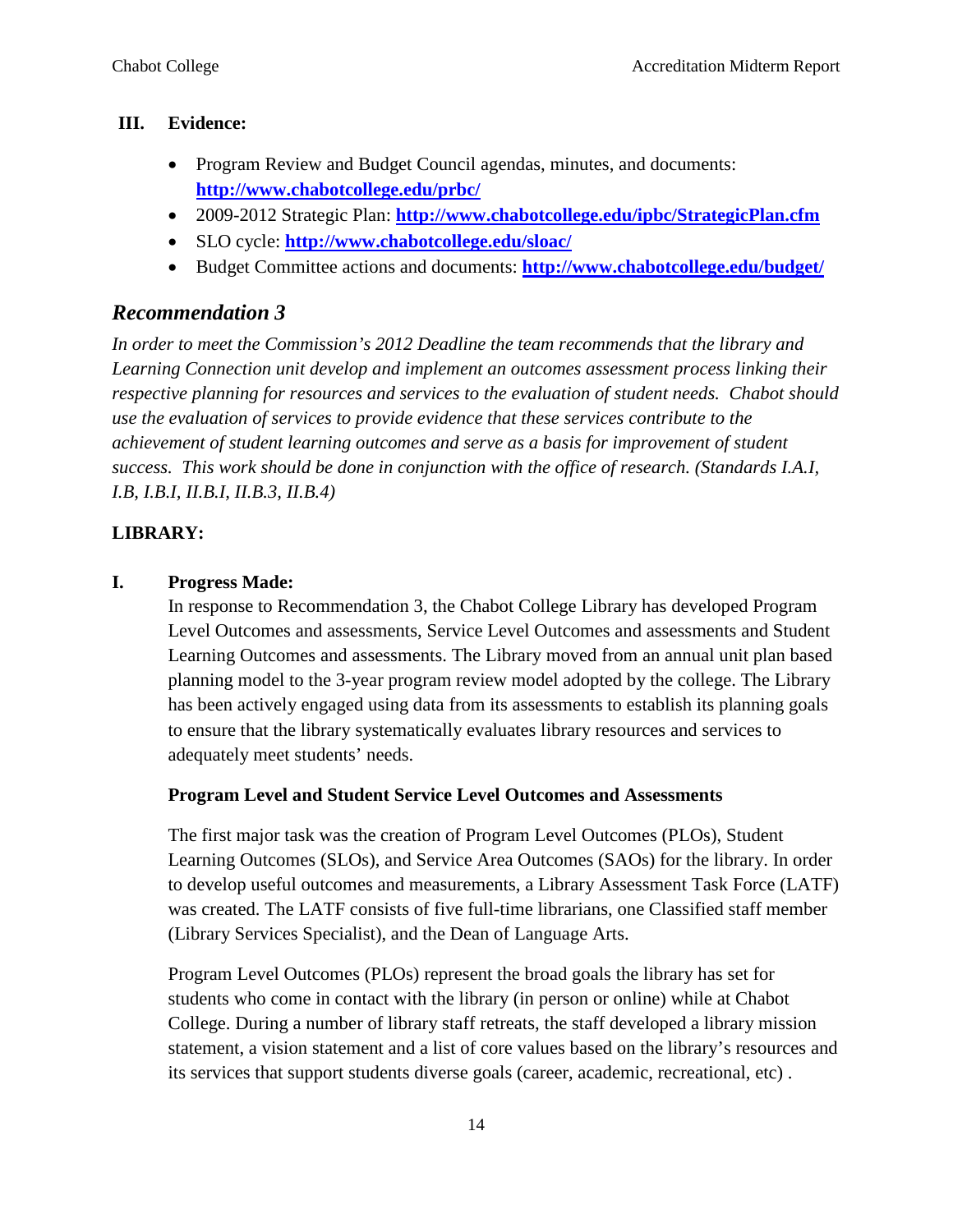#### **III. Evidence:**

- Program Review and Budget Council agendas, minutes, and documents: **<http://www.chabotcollege.edu/prbc/>**
- 2009-2012 Strategic Plan: **<http://www.chabotcollege.edu/ipbc/StrategicPlan.cfm>**
- SLO cycle: **<http://www.chabotcollege.edu/sloac/>**
- Budget Committee actions and documents: **<http://www.chabotcollege.edu/budget/>**

# *Recommendation 3*

*In order to meet the Commission's 2012 Deadline the team recommends that the library and Learning Connection unit develop and implement an outcomes assessment process linking their respective planning for resources and services to the evaluation of student needs. Chabot should use the evaluation of services to provide evidence that these services contribute to the achievement of student learning outcomes and serve as a basis for improvement of student success. This work should be done in conjunction with the office of research. (Standards I.A.I, I.B, I.B.I, II.B.I, II.B.3, II.B.4)*

#### **LIBRARY:**

#### **I. Progress Made:**

In response to Recommendation 3, the Chabot College Library has developed Program Level Outcomes and assessments, Service Level Outcomes and assessments and Student Learning Outcomes and assessments. The Library moved from an annual unit plan based planning model to the 3-year program review model adopted by the college. The Library has been actively engaged using data from its assessments to establish its planning goals to ensure that the library systematically evaluates library resources and services to adequately meet students' needs.

#### **Program Level and Student Service Level Outcomes and Assessments**

The first major task was the creation of Program Level Outcomes (PLOs), Student Learning Outcomes (SLOs), and Service Area Outcomes (SAOs) for the library. In order to develop useful outcomes and measurements, a Library Assessment Task Force (LATF) was created. The LATF consists of five full-time librarians, one Classified staff member (Library Services Specialist), and the Dean of Language Arts.

Program Level Outcomes (PLOs) represent the broad goals the library has set for students who come in contact with the library (in person or online) while at Chabot College. During a number of library staff retreats, the staff developed a library mission statement, a vision statement and a list of core values based on the library's resources and its services that support students diverse goals (career, academic, recreational, etc) .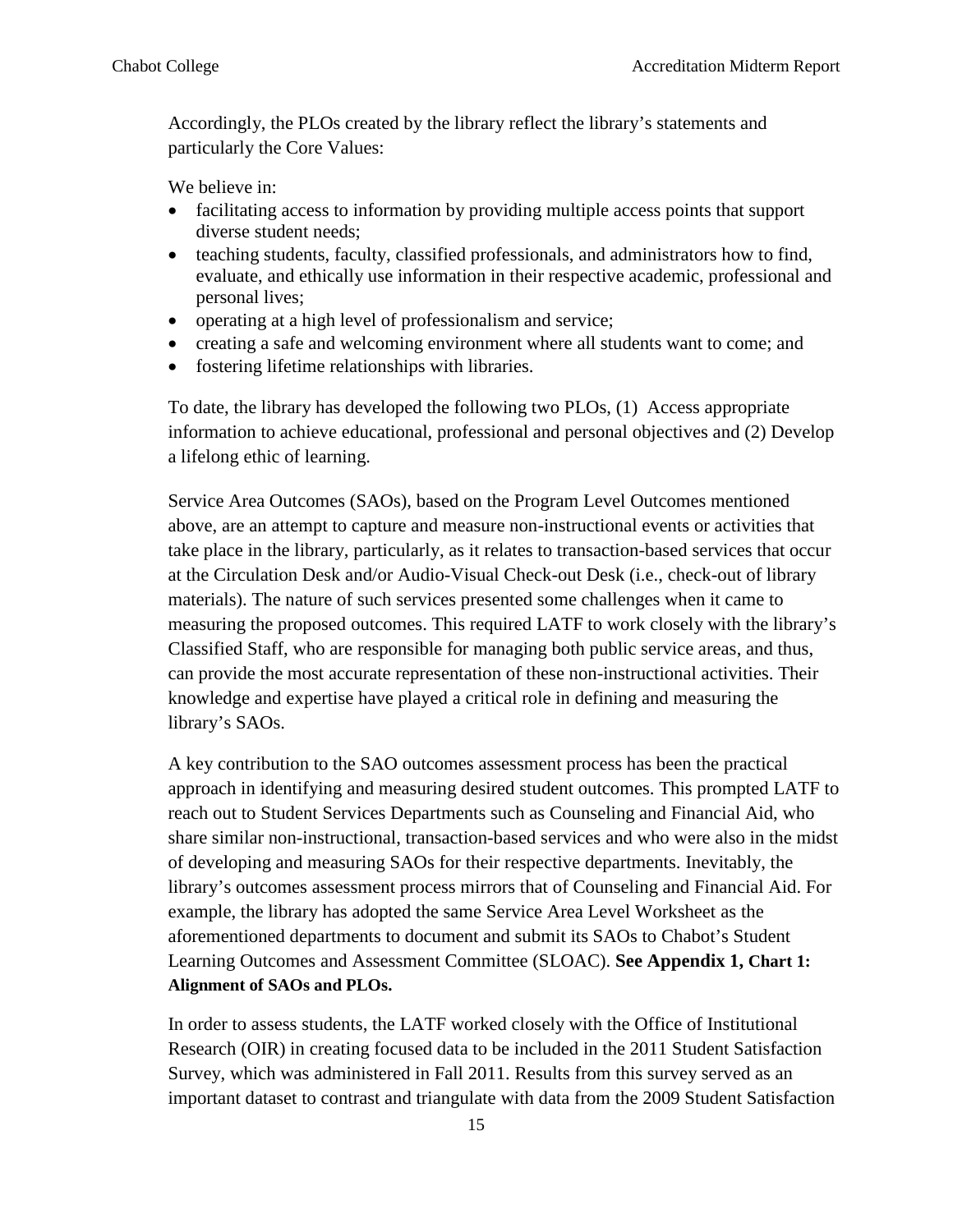Accordingly, the PLOs created by the library reflect the library's statements and particularly the Core Values:

We believe in:

- facilitating access to information by providing multiple access points that support diverse student needs;
- teaching students, faculty, classified professionals, and administrators how to find, evaluate, and ethically use information in their respective academic, professional and personal lives;
- operating at a high level of professionalism and service;
- creating a safe and welcoming environment where all students want to come; and
- fostering lifetime relationships with libraries.

To date, the library has developed the following two PLOs, (1) Access appropriate information to achieve educational, professional and personal objectives and (2) Develop a lifelong ethic of learning.

Service Area Outcomes (SAOs), based on the Program Level Outcomes mentioned above, are an attempt to capture and measure non-instructional events or activities that take place in the library, particularly, as it relates to transaction-based services that occur at the Circulation Desk and/or Audio-Visual Check-out Desk (i.e., check-out of library materials). The nature of such services presented some challenges when it came to measuring the proposed outcomes. This required LATF to work closely with the library's Classified Staff, who are responsible for managing both public service areas, and thus, can provide the most accurate representation of these non-instructional activities. Their knowledge and expertise have played a critical role in defining and measuring the library's SAOs.

A key contribution to the SAO outcomes assessment process has been the practical approach in identifying and measuring desired student outcomes. This prompted LATF to reach out to Student Services Departments such as Counseling and Financial Aid, who share similar non-instructional, transaction-based services and who were also in the midst of developing and measuring SAOs for their respective departments. Inevitably, the library's outcomes assessment process mirrors that of Counseling and Financial Aid. For example, the library has adopted the same Service Area Level Worksheet as the aforementioned departments to document and submit its SAOs to Chabot's Student Learning Outcomes and Assessment Committee (SLOAC). **See Appendix 1, Chart 1: Alignment of SAOs and PLOs.**

In order to assess students, the LATF worked closely with the Office of Institutional Research (OIR) in creating focused data to be included in the 2011 Student Satisfaction Survey, which was administered in Fall 2011. Results from this survey served as an important dataset to contrast and triangulate with data from the 2009 Student Satisfaction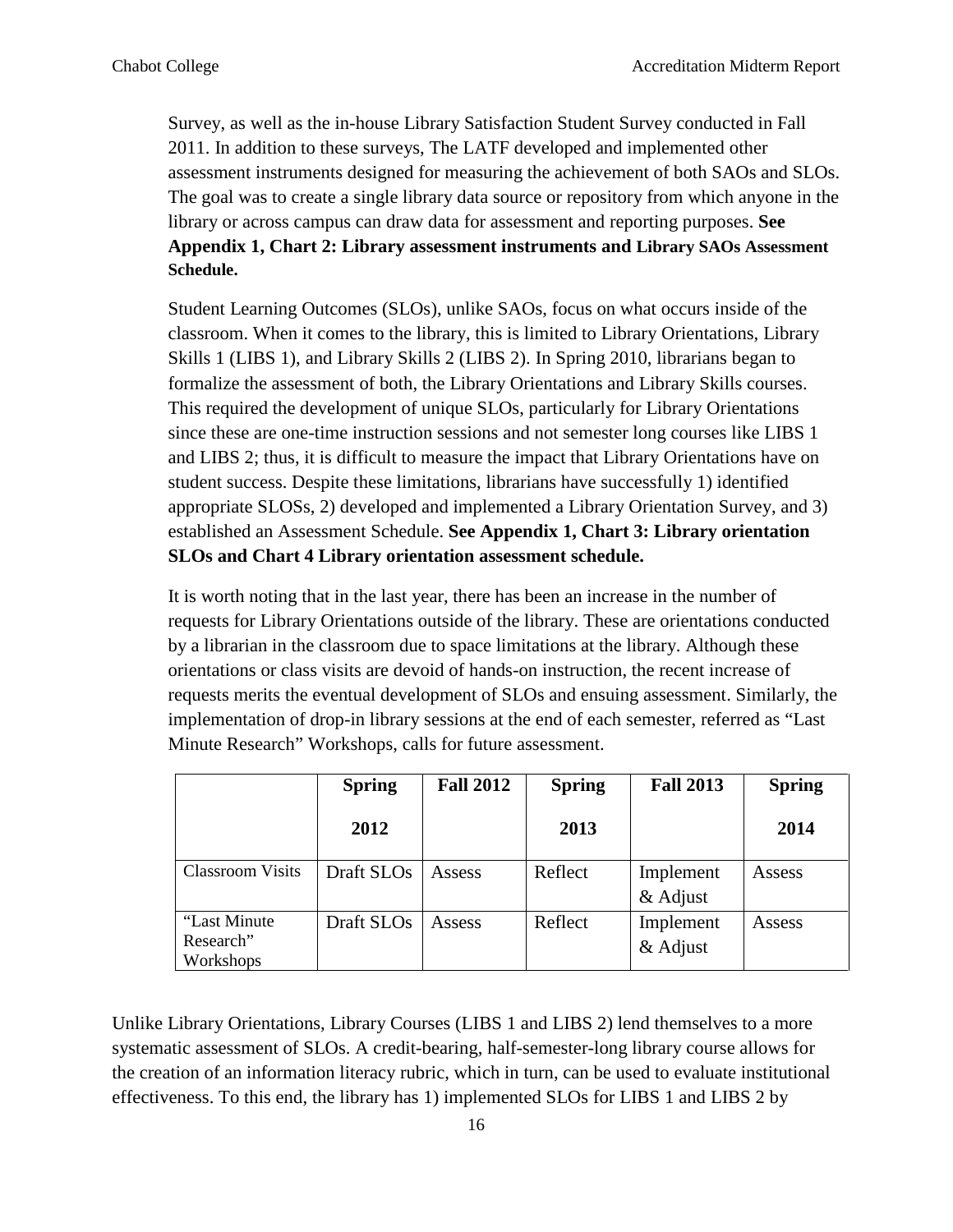Survey, as well as the in-house Library Satisfaction Student Survey conducted in Fall 2011. In addition to these surveys, The LATF developed and implemented other assessment instruments designed for measuring the achievement of both SAOs and SLOs. The goal was to create a single library data source or repository from which anyone in the library or across campus can draw data for assessment and reporting purposes. **See Appendix 1, Chart 2: Library assessment instruments and Library SAOs Assessment Schedule.**

Student Learning Outcomes (SLOs), unlike SAOs, focus on what occurs inside of the classroom. When it comes to the library, this is limited to Library Orientations, Library Skills 1 (LIBS 1), and Library Skills 2 (LIBS 2). In Spring 2010, librarians began to formalize the assessment of both, the Library Orientations and Library Skills courses. This required the development of unique SLOs, particularly for Library Orientations since these are one-time instruction sessions and not semester long courses like LIBS 1 and LIBS 2; thus, it is difficult to measure the impact that Library Orientations have on student success. Despite these limitations, librarians have successfully 1) identified appropriate SLOSs, 2) developed and implemented a Library Orientation Survey, and 3) established an Assessment Schedule. **See Appendix 1, Chart 3: Library orientation SLOs and Chart 4 Library orientation assessment schedule.**

It is worth noting that in the last year, there has been an increase in the number of requests for Library Orientations outside of the library. These are orientations conducted by a librarian in the classroom due to space limitations at the library. Although these orientations or class visits are devoid of hands-on instruction, the recent increase of requests merits the eventual development of SLOs and ensuing assessment. Similarly, the implementation of drop-in library sessions at the end of each semester, referred as "Last Minute Research" Workshops, calls for future assessment.

|                         | <b>Spring</b> | <b>Fall 2012</b> | <b>Spring</b> | <b>Fall 2013</b> | <b>Spring</b> |
|-------------------------|---------------|------------------|---------------|------------------|---------------|
|                         | 2012          |                  | 2013          |                  | 2014          |
| <b>Classroom Visits</b> | Draft SLOs    | Assess           | Reflect       | Implement        | Assess        |
|                         |               |                  |               | & Adjust         |               |
| "Last Minute"           | Draft SLOs    | Assess           | Reflect       | Implement        | Assess        |
| Research"               |               |                  |               | $&$ Adjust       |               |
| Workshops               |               |                  |               |                  |               |

Unlike Library Orientations, Library Courses (LIBS 1 and LIBS 2) lend themselves to a more systematic assessment of SLOs. A credit-bearing, half-semester-long library course allows for the creation of an information literacy rubric, which in turn, can be used to evaluate institutional effectiveness. To this end, the library has 1) implemented SLOs for LIBS 1 and LIBS 2 by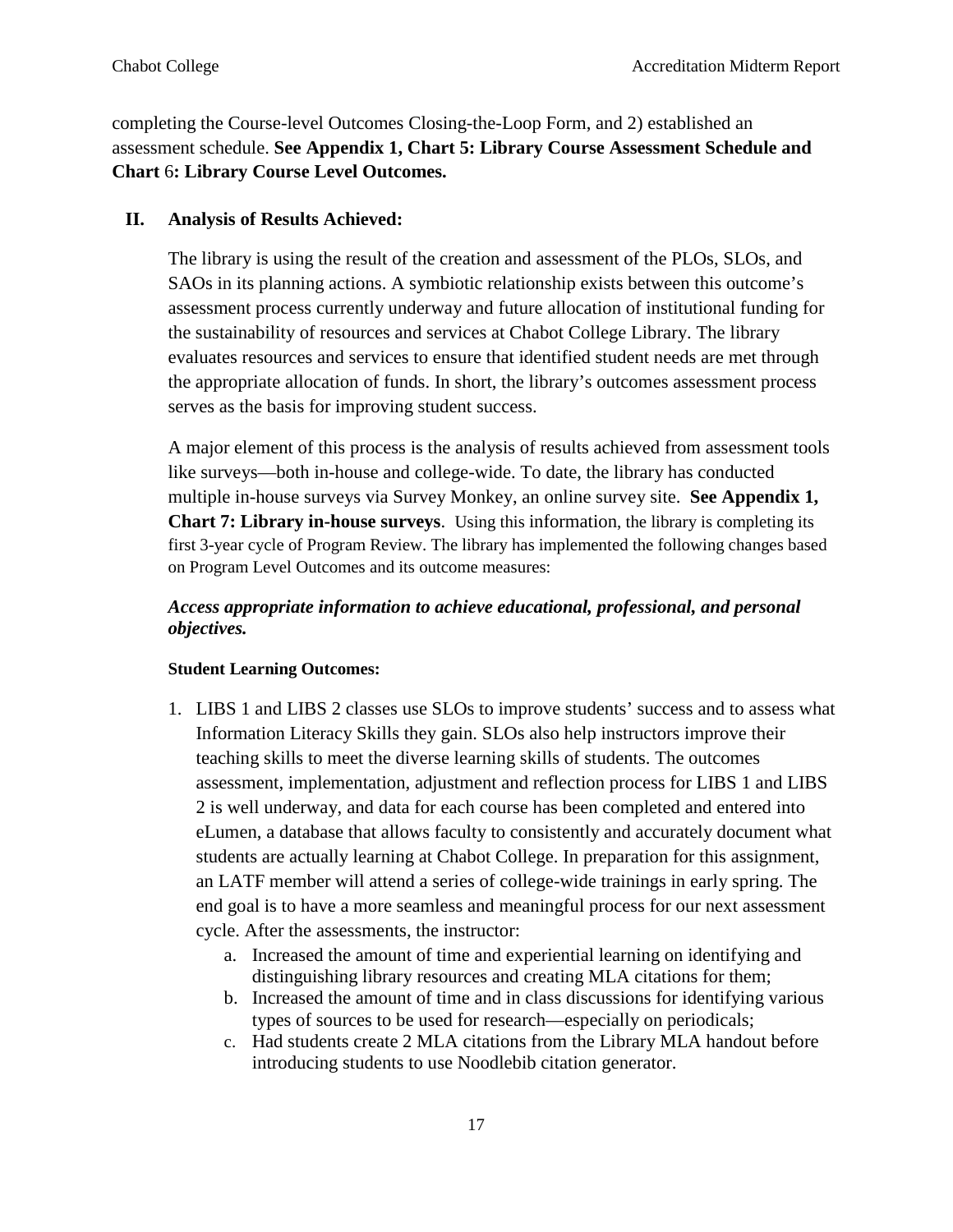completing the Course-level Outcomes Closing-the-Loop Form, and 2) established an assessment schedule. **See Appendix 1, Chart 5: Library Course Assessment Schedule and Chart** 6**: Library Course Level Outcomes.**

#### **II. Analysis of Results Achieved:**

The library is using the result of the creation and assessment of the PLOs, SLOs, and SAOs in its planning actions. A symbiotic relationship exists between this outcome's assessment process currently underway and future allocation of institutional funding for the sustainability of resources and services at Chabot College Library. The library evaluates resources and services to ensure that identified student needs are met through the appropriate allocation of funds. In short, the library's outcomes assessment process serves as the basis for improving student success.

A major element of this process is the analysis of results achieved from assessment tools like surveys—both in-house and college-wide. To date, the library has conducted multiple in-house surveys via Survey Monkey, an online survey site. **See Appendix 1, Chart 7: Library in-house surveys**. Using this information, the library is completing its first 3-year cycle of Program Review. The library has implemented the following changes based on Program Level Outcomes and its outcome measures:

#### *Access appropriate information to achieve educational, professional, and personal objectives.*

#### **Student Learning Outcomes:**

- 1. LIBS 1 and LIBS 2 classes use SLOs to improve students' success and to assess what Information Literacy Skills they gain. SLOs also help instructors improve their teaching skills to meet the diverse learning skills of students. The outcomes assessment, implementation, adjustment and reflection process for LIBS 1 and LIBS 2 is well underway, and data for each course has been completed and entered into eLumen, a database that allows faculty to consistently and accurately document what students are actually learning at Chabot College. In preparation for this assignment, an LATF member will attend a series of college-wide trainings in early spring. The end goal is to have a more seamless and meaningful process for our next assessment cycle. After the assessments, the instructor:
	- a. Increased the amount of time and experiential learning on identifying and distinguishing library resources and creating MLA citations for them;
	- b. Increased the amount of time and in class discussions for identifying various types of sources to be used for research—especially on periodicals;
	- c. Had students create 2 MLA citations from the Library MLA handout before introducing students to use Noodlebib citation generator.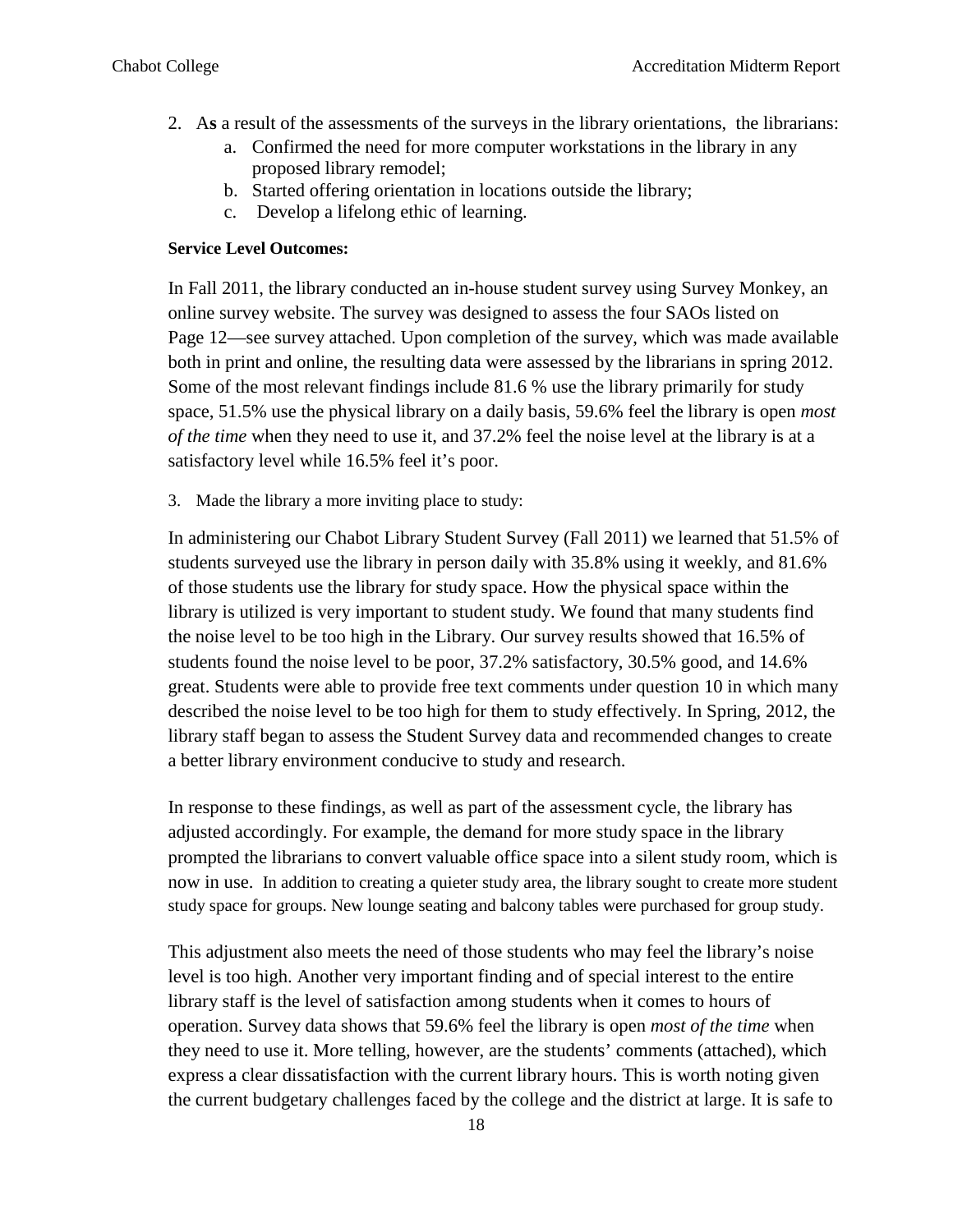- 2. A**s** a result of the assessments of the surveys in the library orientations, the librarians:
	- a. Confirmed the need for more computer workstations in the library in any proposed library remodel;
	- b. Started offering orientation in locations outside the library;
	- c. Develop a lifelong ethic of learning.

#### **Service Level Outcomes:**

In Fall 2011, the library conducted an in-house student survey using Survey Monkey, an online survey website. The survey was designed to assess the four SAOs listed on Page 12—see survey attached. Upon completion of the survey, which was made available both in print and online, the resulting data were assessed by the librarians in spring 2012. Some of the most relevant findings include 81.6 % use the library primarily for study space, 51.5% use the physical library on a daily basis, 59.6% feel the library is open *most of the time* when they need to use it, and 37.2% feel the noise level at the library is at a satisfactory level while 16.5% feel it's poor.

3. Made the library a more inviting place to study:

In administering our Chabot Library Student Survey (Fall 2011) we learned that 51.5% of students surveyed use the library in person daily with 35.8% using it weekly, and 81.6% of those students use the library for study space. How the physical space within the library is utilized is very important to student study. We found that many students find the noise level to be too high in the Library. Our survey results showed that 16.5% of students found the noise level to be poor, 37.2% satisfactory, 30.5% good, and 14.6% great. Students were able to provide free text comments under question 10 in which many described the noise level to be too high for them to study effectively. In Spring, 2012, the library staff began to assess the Student Survey data and recommended changes to create a better library environment conducive to study and research.

In response to these findings, as well as part of the assessment cycle, the library has adjusted accordingly. For example, the demand for more study space in the library prompted the librarians to convert valuable office space into a silent study room, which is now in use. In addition to creating a quieter study area, the library sought to create more student study space for groups. New lounge seating and balcony tables were purchased for group study.

This adjustment also meets the need of those students who may feel the library's noise level is too high. Another very important finding and of special interest to the entire library staff is the level of satisfaction among students when it comes to hours of operation. Survey data shows that 59.6% feel the library is open *most of the time* when they need to use it. More telling, however, are the students' comments (attached), which express a clear dissatisfaction with the current library hours. This is worth noting given the current budgetary challenges faced by the college and the district at large. It is safe to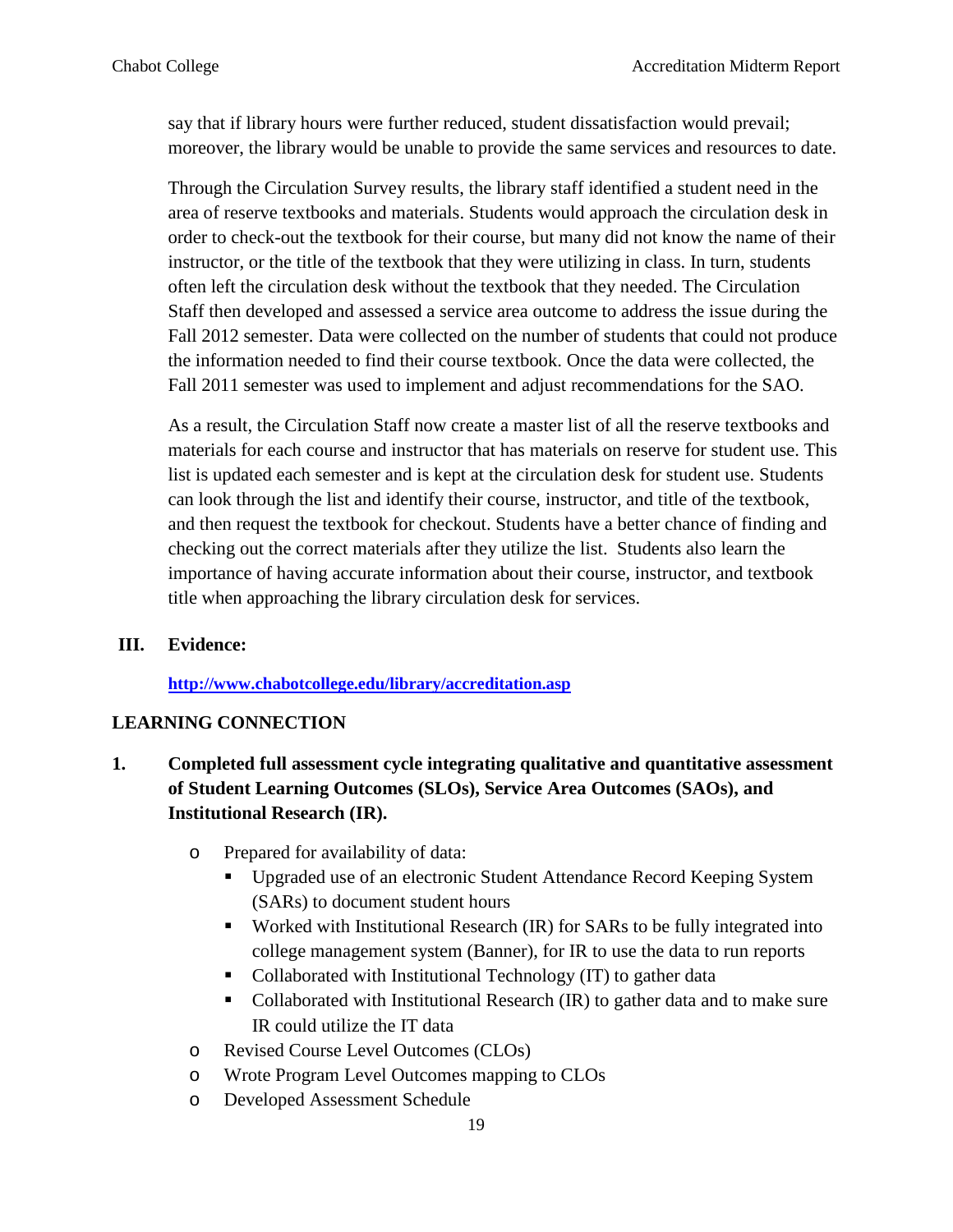say that if library hours were further reduced, student dissatisfaction would prevail; moreover, the library would be unable to provide the same services and resources to date.

Through the Circulation Survey results, the library staff identified a student need in the area of reserve textbooks and materials. Students would approach the circulation desk in order to check-out the textbook for their course, but many did not know the name of their instructor, or the title of the textbook that they were utilizing in class. In turn, students often left the circulation desk without the textbook that they needed. The Circulation Staff then developed and assessed a service area outcome to address the issue during the Fall 2012 semester. Data were collected on the number of students that could not produce the information needed to find their course textbook. Once the data were collected, the Fall 2011 semester was used to implement and adjust recommendations for the SAO.

As a result, the Circulation Staff now create a master list of all the reserve textbooks and materials for each course and instructor that has materials on reserve for student use. This list is updated each semester and is kept at the circulation desk for student use. Students can look through the list and identify their course, instructor, and title of the textbook, and then request the textbook for checkout. Students have a better chance of finding and checking out the correct materials after they utilize the list. Students also learn the importance of having accurate information about their course, instructor, and textbook title when approaching the library circulation desk for services.

#### **III. Evidence:**

**<http://www.chabotcollege.edu/library/accreditation.asp>**

#### **LEARNING CONNECTION**

- **1. Completed full assessment cycle integrating qualitative and quantitative assessment of Student Learning Outcomes (SLOs), Service Area Outcomes (SAOs), and Institutional Research (IR).**
	- o Prepared for availability of data:
		- Upgraded use of an electronic Student Attendance Record Keeping System (SARs) to document student hours
		- Worked with Institutional Research (IR) for SARs to be fully integrated into college management system (Banner), for IR to use the data to run reports
		- Collaborated with Institutional Technology (IT) to gather data
		- Collaborated with Institutional Research (IR) to gather data and to make sure IR could utilize the IT data
	- o Revised Course Level Outcomes (CLOs)
	- o Wrote Program Level Outcomes mapping to CLOs
	- o Developed Assessment Schedule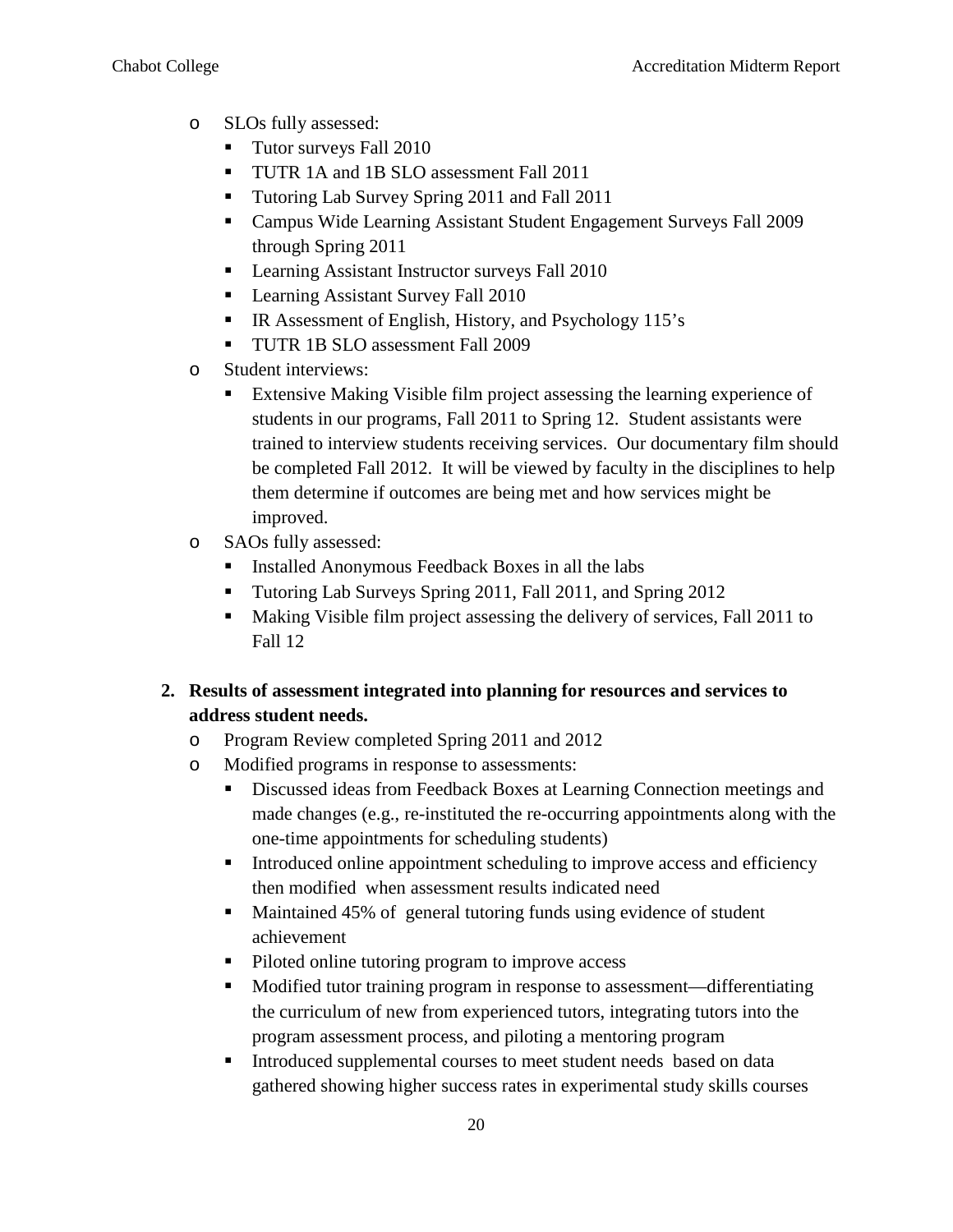- o SLOs fully assessed:
	- **Tutor surveys Fall 2010**
	- **TUTR 1A and 1B SLO assessment Fall 2011**
	- Tutoring Lab Survey Spring 2011 and Fall 2011
	- Campus Wide Learning Assistant Student Engagement Surveys Fall 2009 through Spring 2011
	- **Learning Assistant Instructor surveys Fall 2010**
	- **Learning Assistant Survey Fall 2010**
	- IR Assessment of English, History, and Psychology 115's
	- **TUTR 1B SLO** assessment Fall 2009
- o Student interviews:
	- **Extensive Making Visible film project assessing the learning experience of** students in our programs, Fall 2011 to Spring 12. Student assistants were trained to interview students receiving services. Our documentary film should be completed Fall 2012. It will be viewed by faculty in the disciplines to help them determine if outcomes are being met and how services might be improved.
- o SAOs fully assessed:
	- Installed Anonymous Feedback Boxes in all the labs
	- Tutoring Lab Surveys Spring 2011, Fall 2011, and Spring 2012
	- Making Visible film project assessing the delivery of services, Fall 2011 to Fall 12

# **2. Results of assessment integrated into planning for resources and services to address student needs.**

- o Program Review completed Spring 2011 and 2012
- o Modified programs in response to assessments:
	- Discussed ideas from Feedback Boxes at Learning Connection meetings and made changes (e.g., re-instituted the re-occurring appointments along with the one-time appointments for scheduling students)
	- Introduced online appointment scheduling to improve access and efficiency then modified when assessment results indicated need
	- Maintained 45% of general tutoring funds using evidence of student achievement
	- Piloted online tutoring program to improve access
	- Modified tutor training program in response to assessment—differentiating the curriculum of new from experienced tutors, integrating tutors into the program assessment process, and piloting a mentoring program
	- **Introduced supplemental courses to meet student needs based on data** gathered showing higher success rates in experimental study skills courses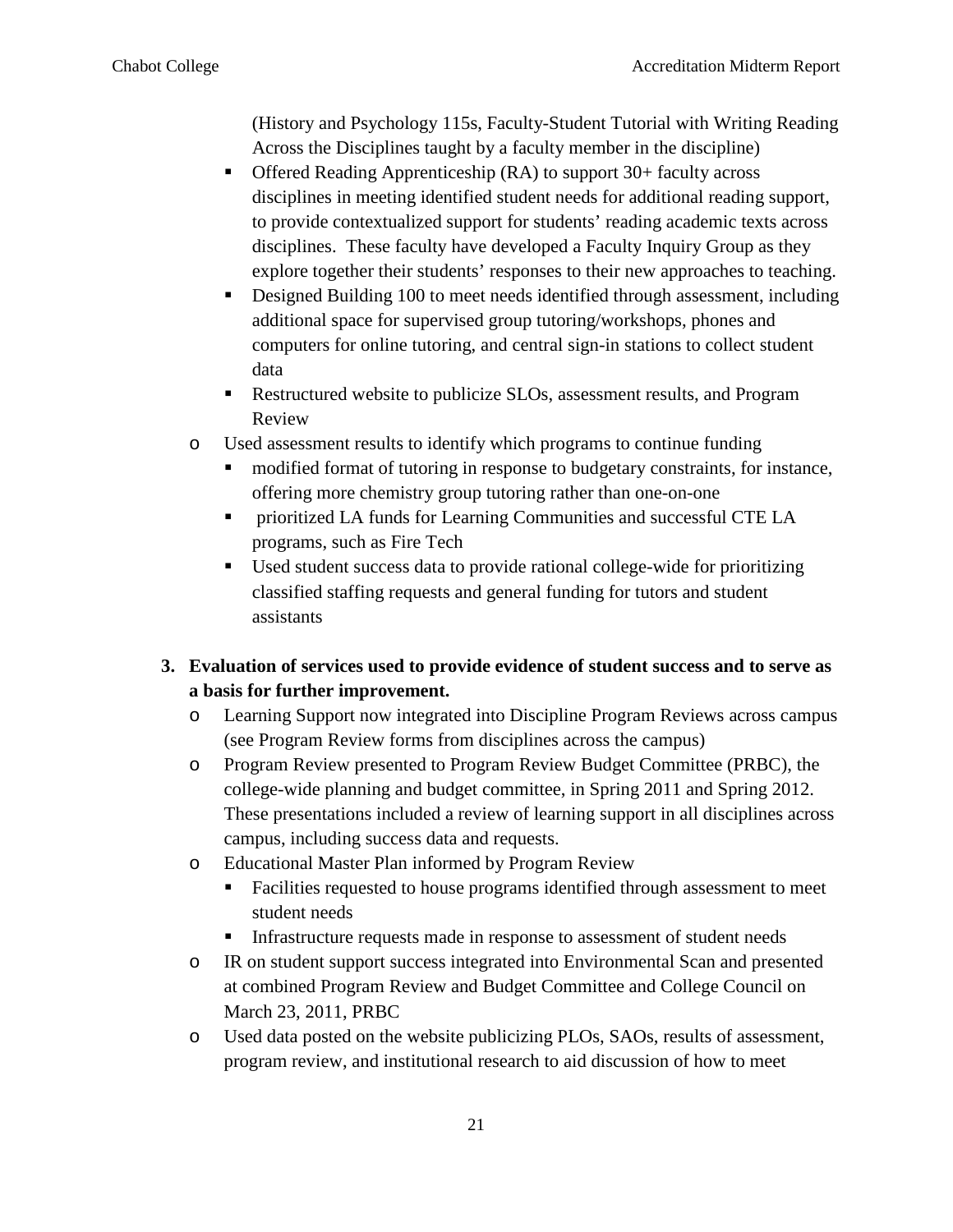(History and Psychology 115s, Faculty-Student Tutorial with Writing Reading Across the Disciplines taught by a faculty member in the discipline)

- Offered Reading Apprenticeship (RA) to support 30+ faculty across disciplines in meeting identified student needs for additional reading support, to provide contextualized support for students' reading academic texts across disciplines. These faculty have developed a Faculty Inquiry Group as they explore together their students' responses to their new approaches to teaching.
- Designed Building 100 to meet needs identified through assessment, including additional space for supervised group tutoring/workshops, phones and computers for online tutoring, and central sign-in stations to collect student data
- Restructured website to publicize SLOs, assessment results, and Program Review
- o Used assessment results to identify which programs to continue funding
	- modified format of tutoring in response to budgetary constraints, for instance, offering more chemistry group tutoring rather than one-on-one
	- prioritized LA funds for Learning Communities and successful CTE LA programs, such as Fire Tech
	- Used student success data to provide rational college-wide for prioritizing classified staffing requests and general funding for tutors and student assistants

# **3. Evaluation of services used to provide evidence of student success and to serve as a basis for further improvement.**

- o Learning Support now integrated into Discipline Program Reviews across campus (see Program Review forms from disciplines across the campus)
- o Program Review presented to Program Review Budget Committee (PRBC), the college-wide planning and budget committee, in Spring 2011 and Spring 2012. These presentations included a review of learning support in all disciplines across campus, including success data and requests.
- o Educational Master Plan informed by Program Review
	- Facilities requested to house programs identified through assessment to meet student needs
	- Infrastructure requests made in response to assessment of student needs
- o IR on student support success integrated into Environmental Scan and presented at combined Program Review and Budget Committee and College Council on March 23, 2011, PRBC
- o Used data posted on the website publicizing PLOs, SAOs, results of assessment, program review, and institutional research to aid discussion of how to meet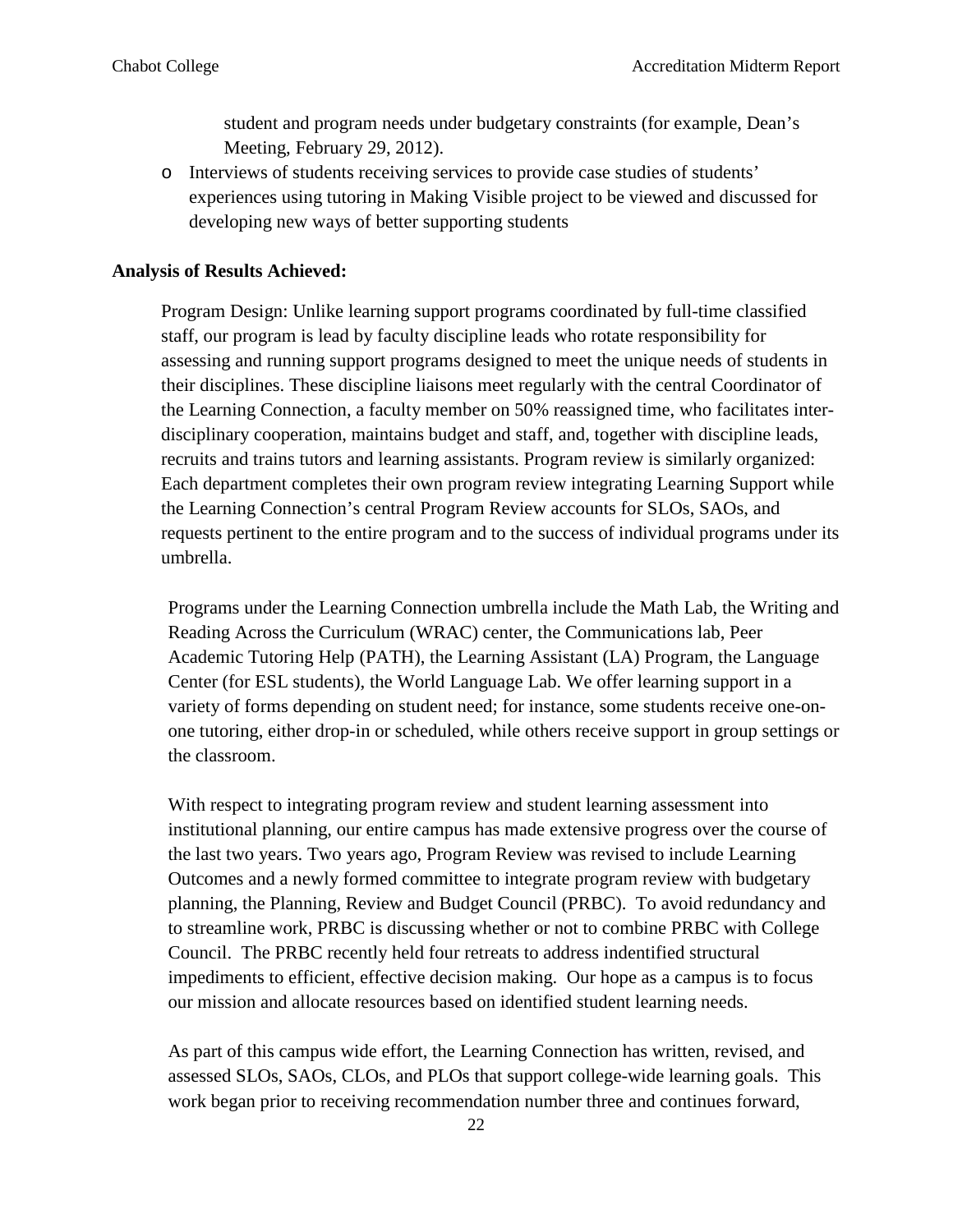student and program needs under budgetary constraints (for example, Dean's Meeting, February 29, 2012).

o Interviews of students receiving services to provide case studies of students' experiences using tutoring in Making Visible project to be viewed and discussed for developing new ways of better supporting students

#### **Analysis of Results Achieved:**

Program Design: Unlike learning support programs coordinated by full-time classified staff, our program is lead by faculty discipline leads who rotate responsibility for assessing and running support programs designed to meet the unique needs of students in their disciplines. These discipline liaisons meet regularly with the central Coordinator of the Learning Connection, a faculty member on 50% reassigned time, who facilitates interdisciplinary cooperation, maintains budget and staff, and, together with discipline leads, recruits and trains tutors and learning assistants. Program review is similarly organized: Each department completes their own program review integrating Learning Support while the Learning Connection's central Program Review accounts for SLOs, SAOs, and requests pertinent to the entire program and to the success of individual programs under its umbrella.

Programs under the Learning Connection umbrella include the Math Lab, the Writing and Reading Across the Curriculum (WRAC) center, the Communications lab, Peer Academic Tutoring Help (PATH), the Learning Assistant (LA) Program, the Language Center (for ESL students), the World Language Lab. We offer learning support in a variety of forms depending on student need; for instance, some students receive one-onone tutoring, either drop-in or scheduled, while others receive support in group settings or the classroom.

With respect to integrating program review and student learning assessment into institutional planning, our entire campus has made extensive progress over the course of the last two years. Two years ago, Program Review was revised to include Learning Outcomes and a newly formed committee to integrate program review with budgetary planning, the Planning, Review and Budget Council (PRBC). To avoid redundancy and to streamline work, PRBC is discussing whether or not to combine PRBC with College Council. The PRBC recently held four retreats to address indentified structural impediments to efficient, effective decision making. Our hope as a campus is to focus our mission and allocate resources based on identified student learning needs.

As part of this campus wide effort, the Learning Connection has written, revised, and assessed SLOs, SAOs, CLOs, and PLOs that support college-wide learning goals. This work began prior to receiving recommendation number three and continues forward,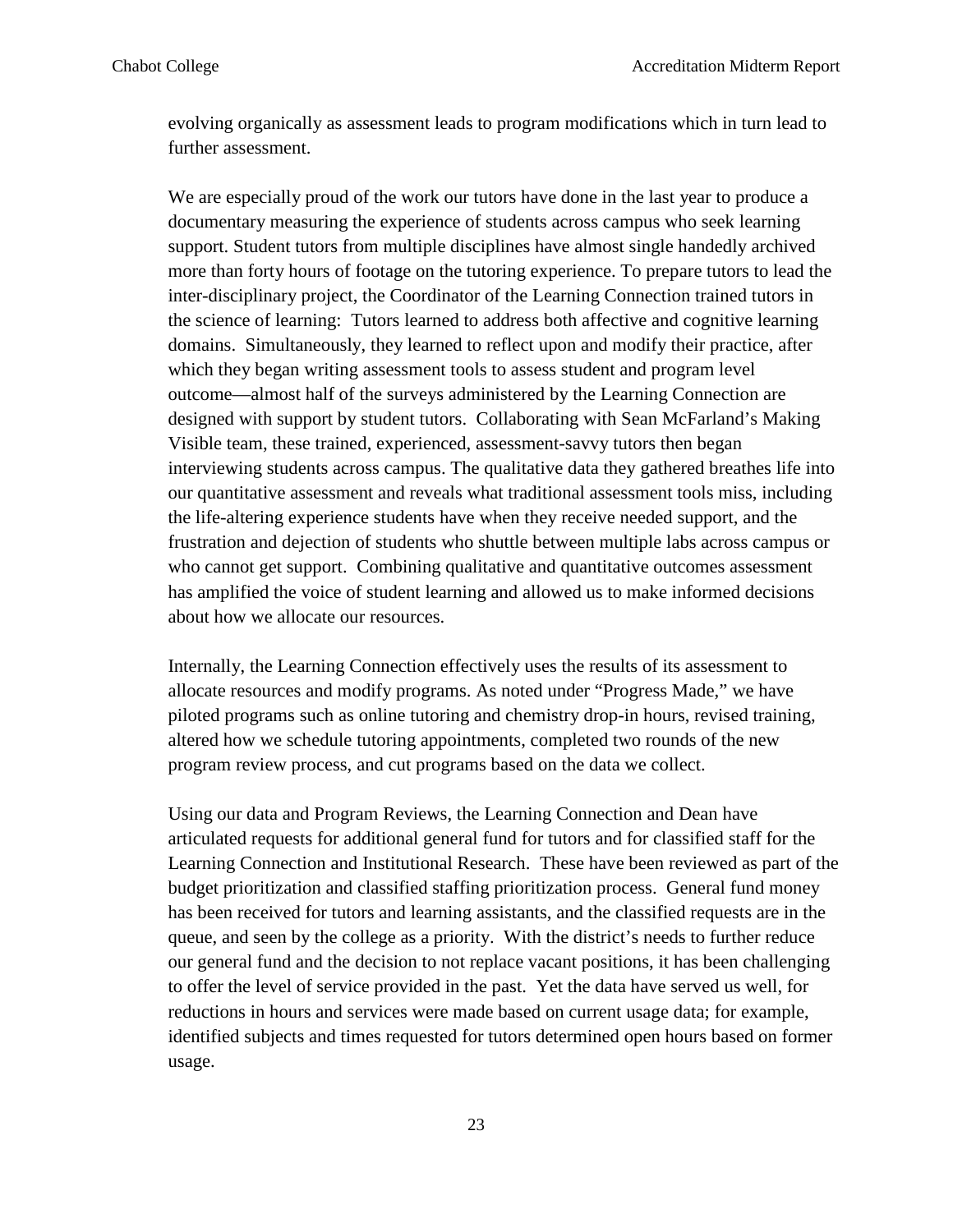evolving organically as assessment leads to program modifications which in turn lead to further assessment.

We are especially proud of the work our tutors have done in the last year to produce a documentary measuring the experience of students across campus who seek learning support. Student tutors from multiple disciplines have almost single handedly archived more than forty hours of footage on the tutoring experience. To prepare tutors to lead the inter-disciplinary project, the Coordinator of the Learning Connection trained tutors in the science of learning: Tutors learned to address both affective and cognitive learning domains. Simultaneously, they learned to reflect upon and modify their practice, after which they began writing assessment tools to assess student and program level outcome—almost half of the surveys administered by the Learning Connection are designed with support by student tutors. Collaborating with Sean McFarland's Making Visible team, these trained, experienced, assessment-savvy tutors then began interviewing students across campus. The qualitative data they gathered breathes life into our quantitative assessment and reveals what traditional assessment tools miss, including the life-altering experience students have when they receive needed support, and the frustration and dejection of students who shuttle between multiple labs across campus or who cannot get support. Combining qualitative and quantitative outcomes assessment has amplified the voice of student learning and allowed us to make informed decisions about how we allocate our resources.

Internally, the Learning Connection effectively uses the results of its assessment to allocate resources and modify programs. As noted under "Progress Made," we have piloted programs such as online tutoring and chemistry drop-in hours, revised training, altered how we schedule tutoring appointments, completed two rounds of the new program review process, and cut programs based on the data we collect.

Using our data and Program Reviews, the Learning Connection and Dean have articulated requests for additional general fund for tutors and for classified staff for the Learning Connection and Institutional Research. These have been reviewed as part of the budget prioritization and classified staffing prioritization process. General fund money has been received for tutors and learning assistants, and the classified requests are in the queue, and seen by the college as a priority. With the district's needs to further reduce our general fund and the decision to not replace vacant positions, it has been challenging to offer the level of service provided in the past. Yet the data have served us well, for reductions in hours and services were made based on current usage data; for example, identified subjects and times requested for tutors determined open hours based on former usage.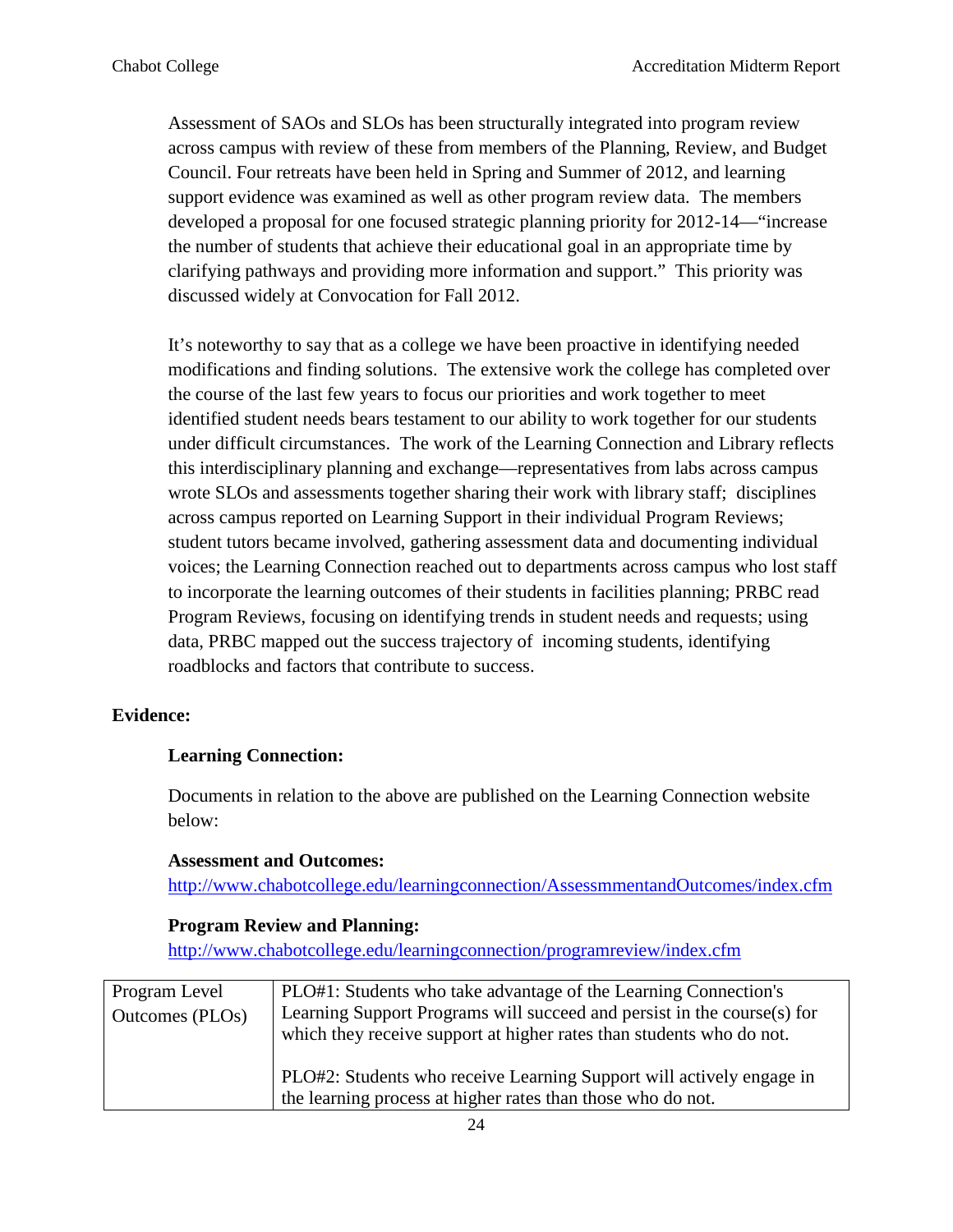Assessment of SAOs and SLOs has been structurally integrated into program review across campus with review of these from members of the Planning, Review, and Budget Council. Four retreats have been held in Spring and Summer of 2012, and learning support evidence was examined as well as other program review data. The members developed a proposal for one focused strategic planning priority for 2012-14—"increase the number of students that achieve their educational goal in an appropriate time by clarifying pathways and providing more information and support." This priority was discussed widely at Convocation for Fall 2012.

It's noteworthy to say that as a college we have been proactive in identifying needed modifications and finding solutions. The extensive work the college has completed over the course of the last few years to focus our priorities and work together to meet identified student needs bears testament to our ability to work together for our students under difficult circumstances. The work of the Learning Connection and Library reflects this interdisciplinary planning and exchange—representatives from labs across campus wrote SLOs and assessments together sharing their work with library staff; disciplines across campus reported on Learning Support in their individual Program Reviews; student tutors became involved, gathering assessment data and documenting individual voices; the Learning Connection reached out to departments across campus who lost staff to incorporate the learning outcomes of their students in facilities planning; PRBC read Program Reviews, focusing on identifying trends in student needs and requests; using data, PRBC mapped out the success trajectory of incoming students, identifying roadblocks and factors that contribute to success.

#### **Evidence:**

#### **Learning Connection:**

Documents in relation to the above are published on the Learning Connection website below:

#### **Assessment and Outcomes:**

<http://www.chabotcollege.edu/learningconnection/AssessmmentandOutcomes/index.cfm>

#### **Program Review and Planning:**

<http://www.chabotcollege.edu/learningconnection/programreview/index.cfm>

| Program Level<br>Outcomes (PLOs) | PLO#1: Students who take advantage of the Learning Connection's<br>Learning Support Programs will succeed and persist in the course(s) for<br>which they receive support at higher rates than students who do not. |
|----------------------------------|--------------------------------------------------------------------------------------------------------------------------------------------------------------------------------------------------------------------|
|                                  | PLO#2: Students who receive Learning Support will actively engage in<br>the learning process at higher rates than those who do not.                                                                                |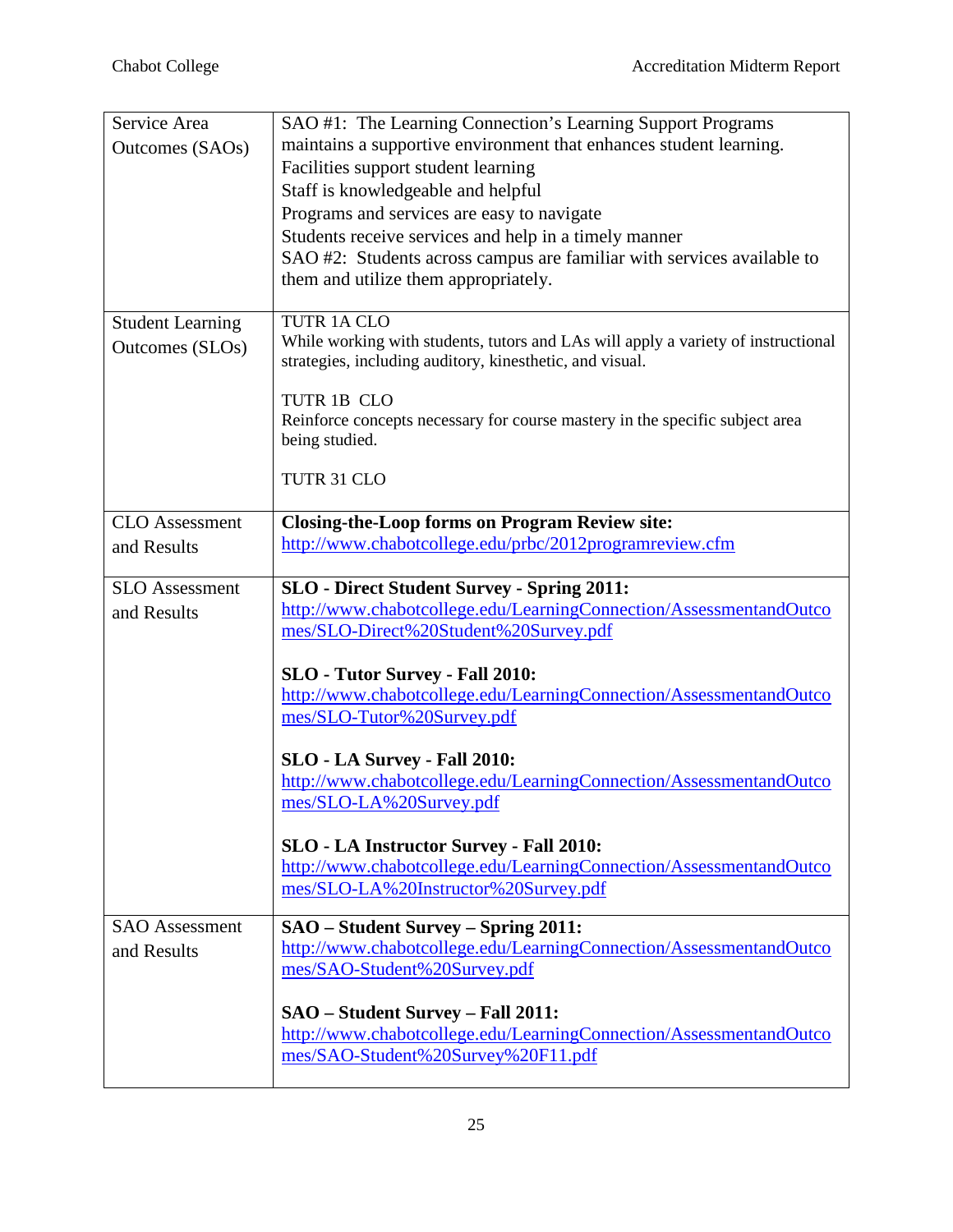| Service Area            | SAO #1: The Learning Connection's Learning Support Programs                                                                                   |
|-------------------------|-----------------------------------------------------------------------------------------------------------------------------------------------|
| Outcomes (SAOs)         | maintains a supportive environment that enhances student learning.                                                                            |
|                         | Facilities support student learning                                                                                                           |
|                         | Staff is knowledgeable and helpful                                                                                                            |
|                         | Programs and services are easy to navigate                                                                                                    |
|                         | Students receive services and help in a timely manner                                                                                         |
|                         | SAO #2: Students across campus are familiar with services available to                                                                        |
|                         | them and utilize them appropriately.                                                                                                          |
|                         |                                                                                                                                               |
| <b>Student Learning</b> | TUTR 1A CLO                                                                                                                                   |
| Outcomes (SLOs)         | While working with students, tutors and LAs will apply a variety of instructional<br>strategies, including auditory, kinesthetic, and visual. |
|                         |                                                                                                                                               |
|                         | TUTR 1B CLO                                                                                                                                   |
|                         | Reinforce concepts necessary for course mastery in the specific subject area<br>being studied.                                                |
|                         | TUTR 31 CLO                                                                                                                                   |
|                         |                                                                                                                                               |
| <b>CLO</b> Assessment   | <b>Closing-the-Loop forms on Program Review site:</b>                                                                                         |
| and Results             | http://www.chabotcollege.edu/prbc/2012programreview.cfm                                                                                       |
|                         |                                                                                                                                               |
| <b>SLO</b> Assessment   | <b>SLO</b> - Direct Student Survey - Spring 2011:                                                                                             |
| and Results             | http://www.chabotcollege.edu/LearningConnection/AssessmentandOutco                                                                            |
|                         | mes/SLO-Direct%20Student%20Survey.pdf                                                                                                         |
|                         | <b>SLO</b> - Tutor Survey - Fall 2010:                                                                                                        |
|                         | http://www.chabotcollege.edu/LearningConnection/AssessmentandOutco                                                                            |
|                         | mes/SLO-Tutor%20Survey.pdf                                                                                                                    |
|                         | SLO - LA Survey - Fall 2010:                                                                                                                  |
|                         | http://www.chabotcollege.edu/LearningConnection/AssessmentandOutco                                                                            |
|                         | mes/SLO-LA%20Survey.pdf                                                                                                                       |
|                         | <b>SLO - LA Instructor Survey - Fall 2010:</b>                                                                                                |
|                         | http://www.chabotcollege.edu/LearningConnection/AssessmentandOutco                                                                            |
|                         | mes/SLO-LA%20Instructor%20Survey.pdf                                                                                                          |
| <b>SAO</b> Assessment   | <b>SAO</b> – Student Survey – Spring 2011:                                                                                                    |
| and Results             | http://www.chabotcollege.edu/LearningConnection/AssessmentandOutco                                                                            |
|                         | mes/SAO-Student%20Survey.pdf                                                                                                                  |
|                         | SAO - Student Survey - Fall 2011:                                                                                                             |
|                         | http://www.chabotcollege.edu/LearningConnection/AssessmentandOutco                                                                            |
|                         | mes/SAO-Student%20Survey%20F11.pdf                                                                                                            |
|                         |                                                                                                                                               |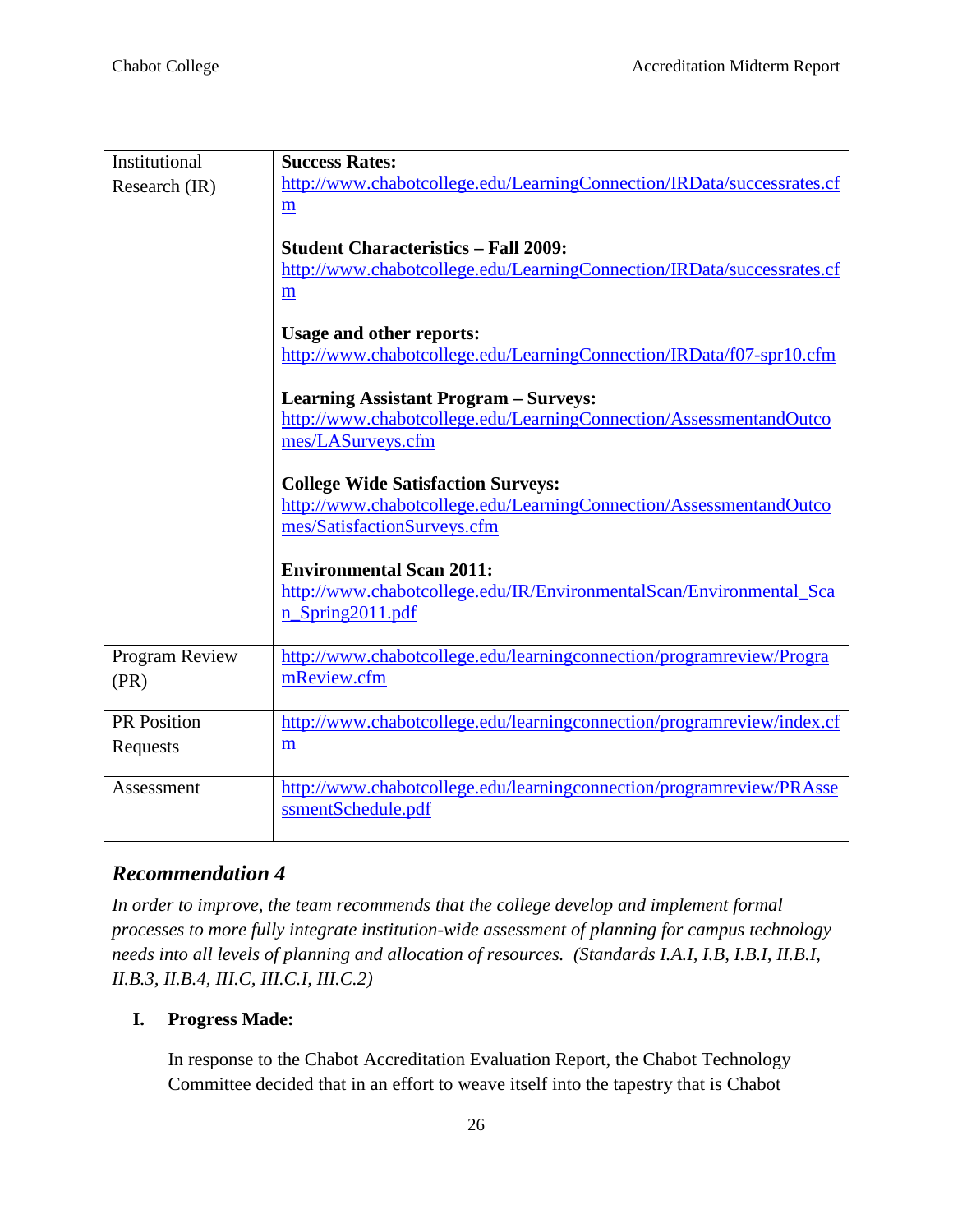| Institutional      | <b>Success Rates:</b>                                                  |
|--------------------|------------------------------------------------------------------------|
| Research (IR)      | http://www.chabotcollege.edu/LearningConnection/IRData/successrates.cf |
|                    | m                                                                      |
|                    | <b>Student Characteristics - Fall 2009:</b>                            |
|                    | http://www.chabotcollege.edu/LearningConnection/IRData/successrates.cf |
|                    | m                                                                      |
|                    | <b>Usage and other reports:</b>                                        |
|                    | http://www.chabotcollege.edu/LearningConnection/IRData/f07-spr10.cfm   |
|                    | <b>Learning Assistant Program - Surveys:</b>                           |
|                    | http://www.chabotcollege.edu/LearningConnection/AssessmentandOutco     |
|                    | mes/LASurveys.cfm                                                      |
|                    | <b>College Wide Satisfaction Surveys:</b>                              |
|                    | http://www.chabotcollege.edu/LearningConnection/AssessmentandOutco     |
|                    | mes/SatisfactionSurveys.cfm                                            |
|                    | <b>Environmental Scan 2011:</b>                                        |
|                    | http://www.chabotcollege.edu/IR/EnvironmentalScan/Environmental_Sca    |
|                    | n_Spring2011.pdf                                                       |
| Program Review     | http://www.chabotcollege.edu/learningconnection/programreview/Progra   |
| (PR)               | mReview.cfm                                                            |
| <b>PR</b> Position | http://www.chabotcollege.edu/learningconnection/programreview/index.cf |
| Requests           | m                                                                      |
| Assessment         | http://www.chabotcollege.edu/learningconnection/programreview/PRAsse   |
|                    | ssmentSchedule.pdf                                                     |

# *Recommendation 4*

*In order to improve, the team recommends that the college develop and implement formal processes to more fully integrate institution-wide assessment of planning for campus technology needs into all levels of planning and allocation of resources. (Standards I.A.I, I.B, I.B.I, II.B.I, II.B.3, II.B.4, III.C, III.C.I, III.C.2)*

# **I. Progress Made:**

In response to the Chabot Accreditation Evaluation Report, the Chabot Technology Committee decided that in an effort to weave itself into the tapestry that is Chabot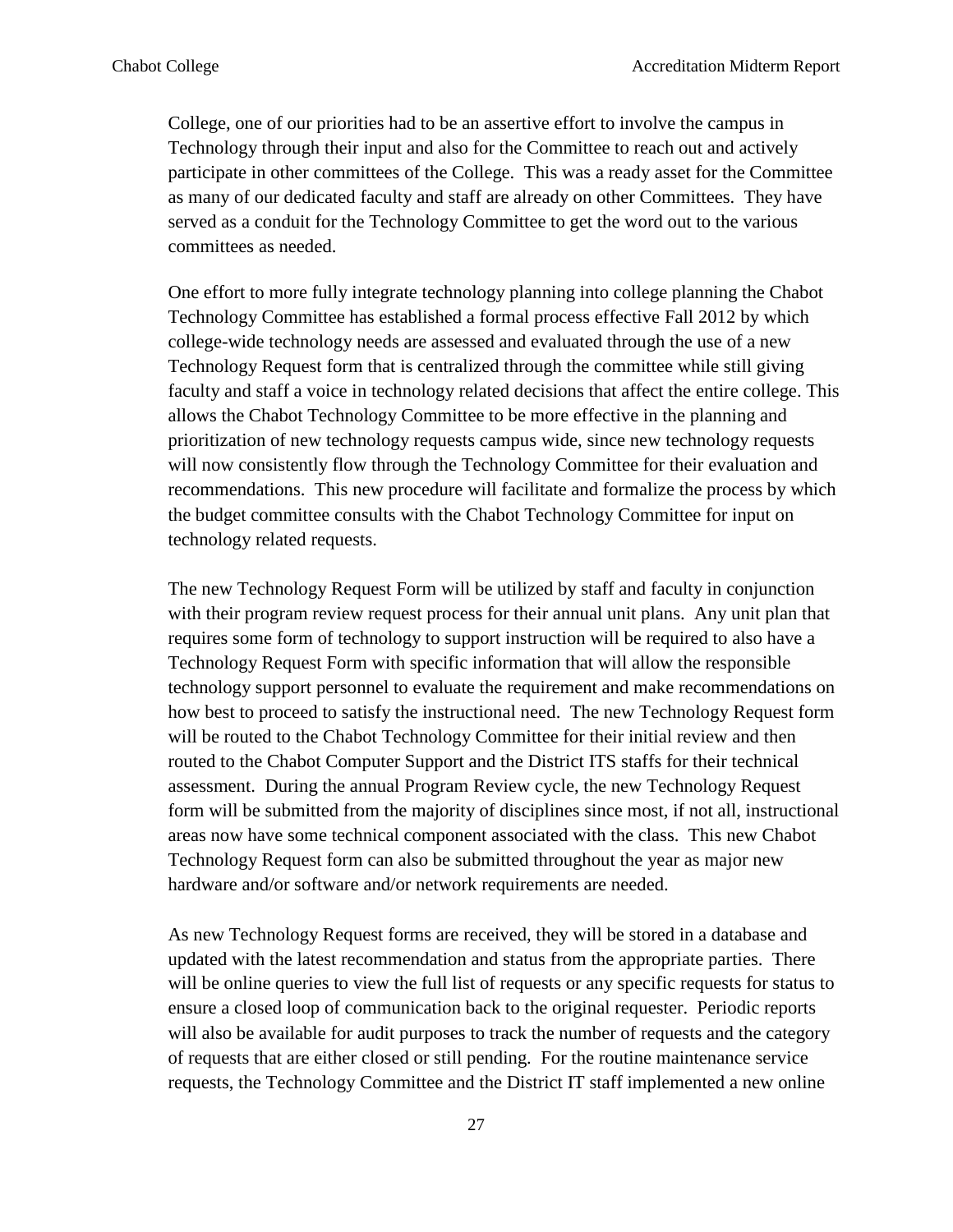College, one of our priorities had to be an assertive effort to involve the campus in Technology through their input and also for the Committee to reach out and actively participate in other committees of the College. This was a ready asset for the Committee as many of our dedicated faculty and staff are already on other Committees. They have served as a conduit for the Technology Committee to get the word out to the various committees as needed.

One effort to more fully integrate technology planning into college planning the Chabot Technology Committee has established a formal process effective Fall 2012 by which college-wide technology needs are assessed and evaluated through the use of a new Technology Request form that is centralized through the committee while still giving faculty and staff a voice in technology related decisions that affect the entire college. This allows the Chabot Technology Committee to be more effective in the planning and prioritization of new technology requests campus wide, since new technology requests will now consistently flow through the Technology Committee for their evaluation and recommendations. This new procedure will facilitate and formalize the process by which the budget committee consults with the Chabot Technology Committee for input on technology related requests.

The new Technology Request Form will be utilized by staff and faculty in conjunction with their program review request process for their annual unit plans. Any unit plan that requires some form of technology to support instruction will be required to also have a Technology Request Form with specific information that will allow the responsible technology support personnel to evaluate the requirement and make recommendations on how best to proceed to satisfy the instructional need. The new Technology Request form will be routed to the Chabot Technology Committee for their initial review and then routed to the Chabot Computer Support and the District ITS staffs for their technical assessment. During the annual Program Review cycle, the new Technology Request form will be submitted from the majority of disciplines since most, if not all, instructional areas now have some technical component associated with the class. This new Chabot Technology Request form can also be submitted throughout the year as major new hardware and/or software and/or network requirements are needed.

As new Technology Request forms are received, they will be stored in a database and updated with the latest recommendation and status from the appropriate parties. There will be online queries to view the full list of requests or any specific requests for status to ensure a closed loop of communication back to the original requester. Periodic reports will also be available for audit purposes to track the number of requests and the category of requests that are either closed or still pending. For the routine maintenance service requests, the Technology Committee and the District IT staff implemented a new online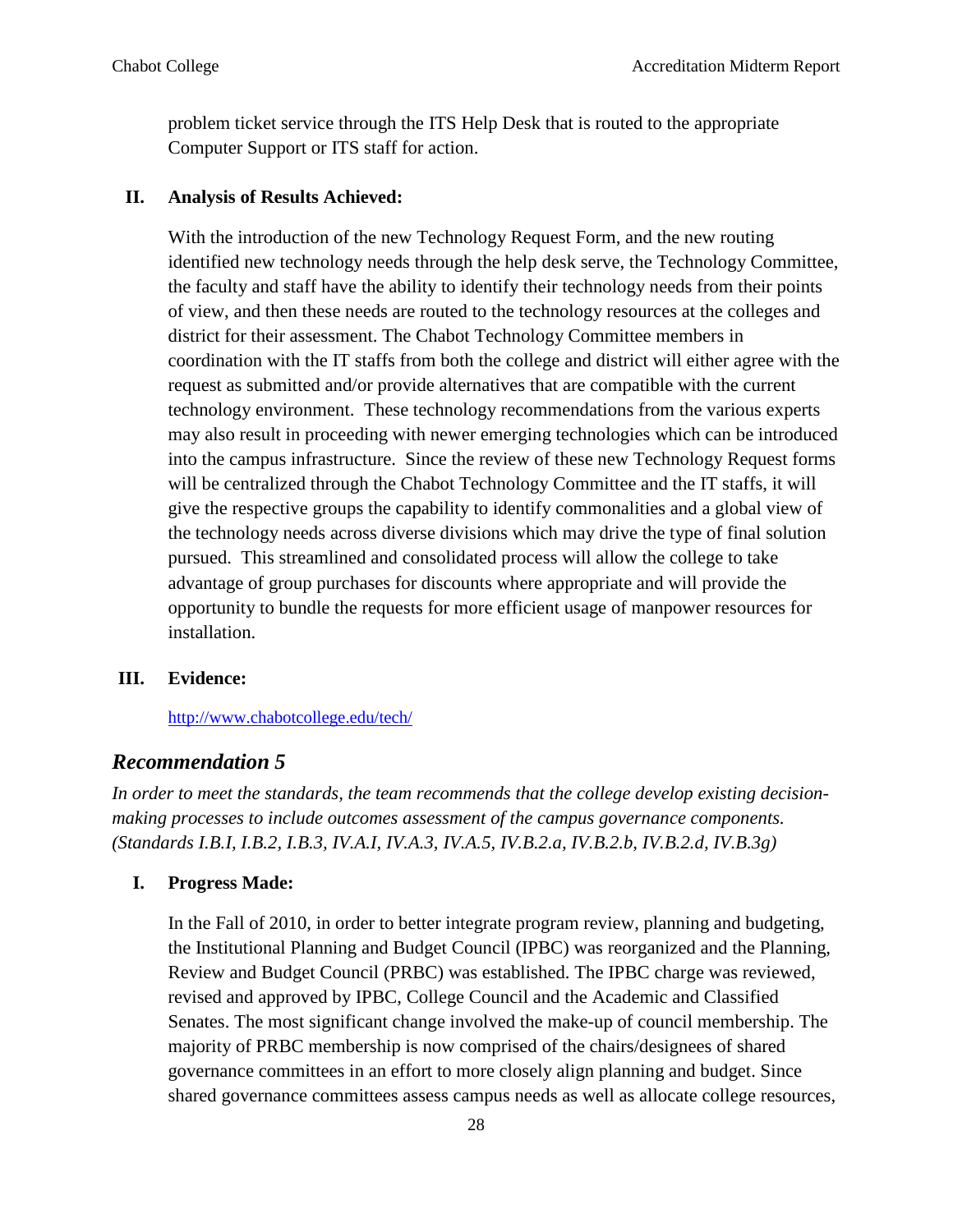problem ticket service through the ITS Help Desk that is routed to the appropriate Computer Support or ITS staff for action.

#### **II. Analysis of Results Achieved:**

With the introduction of the new Technology Request Form, and the new routing identified new technology needs through the help desk serve, the Technology Committee, the faculty and staff have the ability to identify their technology needs from their points of view, and then these needs are routed to the technology resources at the colleges and district for their assessment. The Chabot Technology Committee members in coordination with the IT staffs from both the college and district will either agree with the request as submitted and/or provide alternatives that are compatible with the current technology environment. These technology recommendations from the various experts may also result in proceeding with newer emerging technologies which can be introduced into the campus infrastructure. Since the review of these new Technology Request forms will be centralized through the Chabot Technology Committee and the IT staffs, it will give the respective groups the capability to identify commonalities and a global view of the technology needs across diverse divisions which may drive the type of final solution pursued. This streamlined and consolidated process will allow the college to take advantage of group purchases for discounts where appropriate and will provide the opportunity to bundle the requests for more efficient usage of manpower resources for installation.

#### **III. Evidence:**

<http://www.chabotcollege.edu/tech/>

#### *Recommendation 5*

*In order to meet the standards, the team recommends that the college develop existing decisionmaking processes to include outcomes assessment of the campus governance components. (Standards I.B.I, I.B.2, I.B.3, IV.A.I, IV.A.3, IV.A.5, IV.B.2.a, IV.B.2.b, IV.B.2.d, IV.B.3g)*

#### **I. Progress Made:**

In the Fall of 2010, in order to better integrate program review, planning and budgeting, the Institutional Planning and Budget Council (IPBC) was reorganized and the Planning, Review and Budget Council (PRBC) was established. The IPBC charge was reviewed, revised and approved by IPBC, College Council and the Academic and Classified Senates. The most significant change involved the make-up of council membership. The majority of PRBC membership is now comprised of the chairs/designees of shared governance committees in an effort to more closely align planning and budget. Since shared governance committees assess campus needs as well as allocate college resources,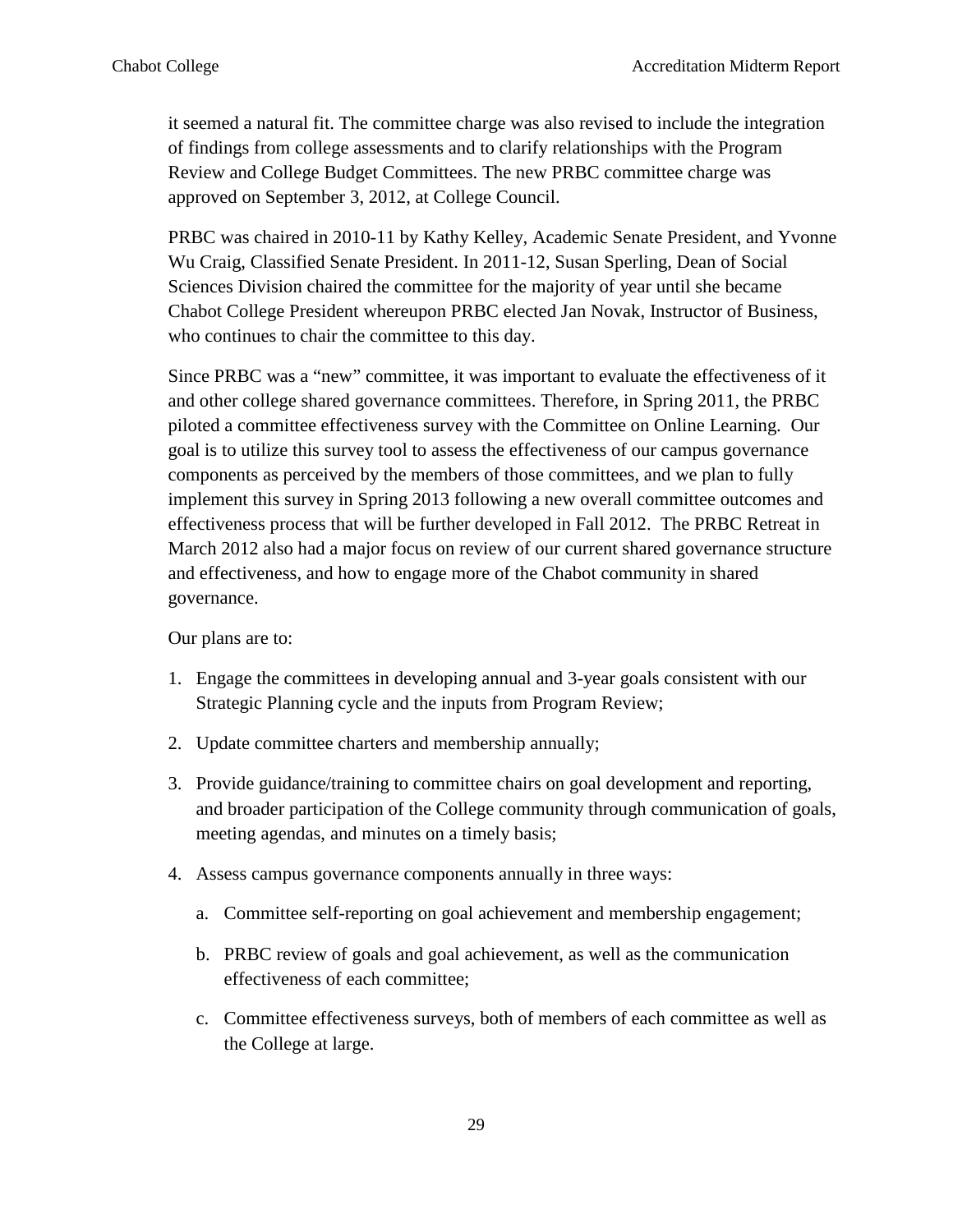it seemed a natural fit. The committee charge was also revised to include the integration of findings from college assessments and to clarify relationships with the Program Review and College Budget Committees. The new PRBC committee charge was approved on September 3, 2012, at College Council.

PRBC was chaired in 2010-11 by Kathy Kelley, Academic Senate President, and Yvonne Wu Craig, Classified Senate President. In 2011-12, Susan Sperling, Dean of Social Sciences Division chaired the committee for the majority of year until she became Chabot College President whereupon PRBC elected Jan Novak, Instructor of Business, who continues to chair the committee to this day.

Since PRBC was a "new" committee, it was important to evaluate the effectiveness of it and other college shared governance committees. Therefore, in Spring 2011, the PRBC piloted a committee effectiveness survey with the Committee on Online Learning. Our goal is to utilize this survey tool to assess the effectiveness of our campus governance components as perceived by the members of those committees, and we plan to fully implement this survey in Spring 2013 following a new overall committee outcomes and effectiveness process that will be further developed in Fall 2012. The PRBC Retreat in March 2012 also had a major focus on review of our current shared governance structure and effectiveness, and how to engage more of the Chabot community in shared governance.

Our plans are to:

- 1. Engage the committees in developing annual and 3-year goals consistent with our Strategic Planning cycle and the inputs from Program Review;
- 2. Update committee charters and membership annually;
- 3. Provide guidance/training to committee chairs on goal development and reporting, and broader participation of the College community through communication of goals, meeting agendas, and minutes on a timely basis;
- 4. Assess campus governance components annually in three ways:
	- a. Committee self-reporting on goal achievement and membership engagement;
	- b. PRBC review of goals and goal achievement, as well as the communication effectiveness of each committee;
	- c. Committee effectiveness surveys, both of members of each committee as well as the College at large.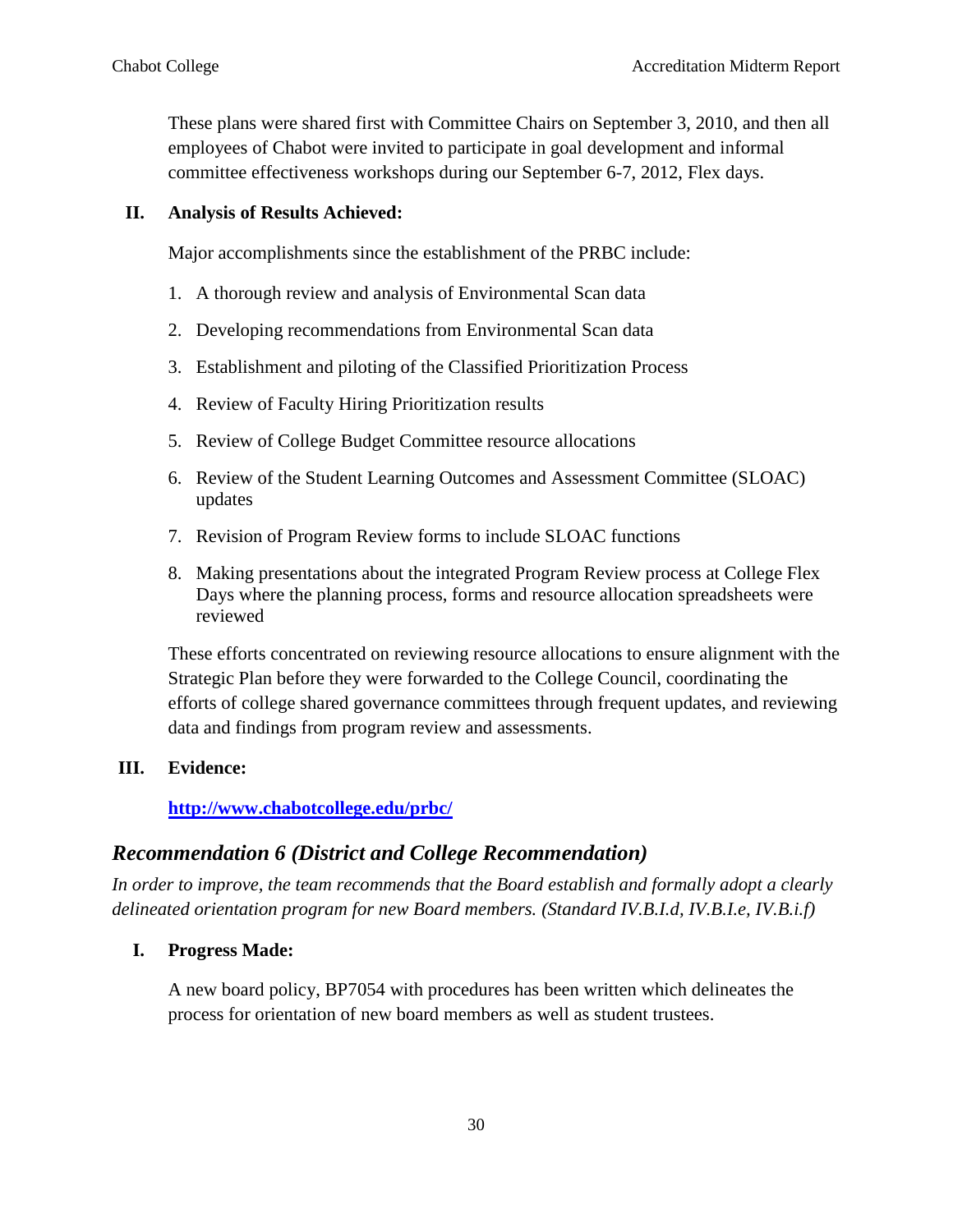These plans were shared first with Committee Chairs on September 3, 2010, and then all employees of Chabot were invited to participate in goal development and informal committee effectiveness workshops during our September 6-7, 2012, Flex days.

#### **II. Analysis of Results Achieved:**

Major accomplishments since the establishment of the PRBC include:

- 1. A thorough review and analysis of Environmental Scan data
- 2. Developing recommendations from Environmental Scan data
- 3. Establishment and piloting of the Classified Prioritization Process
- 4. Review of Faculty Hiring Prioritization results
- 5. Review of College Budget Committee resource allocations
- 6. Review of the Student Learning Outcomes and Assessment Committee (SLOAC) updates
- 7. Revision of Program Review forms to include SLOAC functions
- 8. Making presentations about the integrated Program Review process at College Flex Days where the planning process, forms and resource allocation spreadsheets were reviewed

These efforts concentrated on reviewing resource allocations to ensure alignment with the Strategic Plan before they were forwarded to the College Council, coordinating the efforts of college shared governance committees through frequent updates, and reviewing data and findings from program review and assessments.

#### **III. Evidence:**

#### **<http://www.chabotcollege.edu/prbc/>**

# *Recommendation 6 (District and College Recommendation)*

*In order to improve, the team recommends that the Board establish and formally adopt a clearly delineated orientation program for new Board members. (Standard IV.B.I.d, IV.B.I.e, IV.B.i.f)*

#### **I. Progress Made:**

A new board policy, BP7054 with procedures has been written which delineates the process for orientation of new board members as well as student trustees.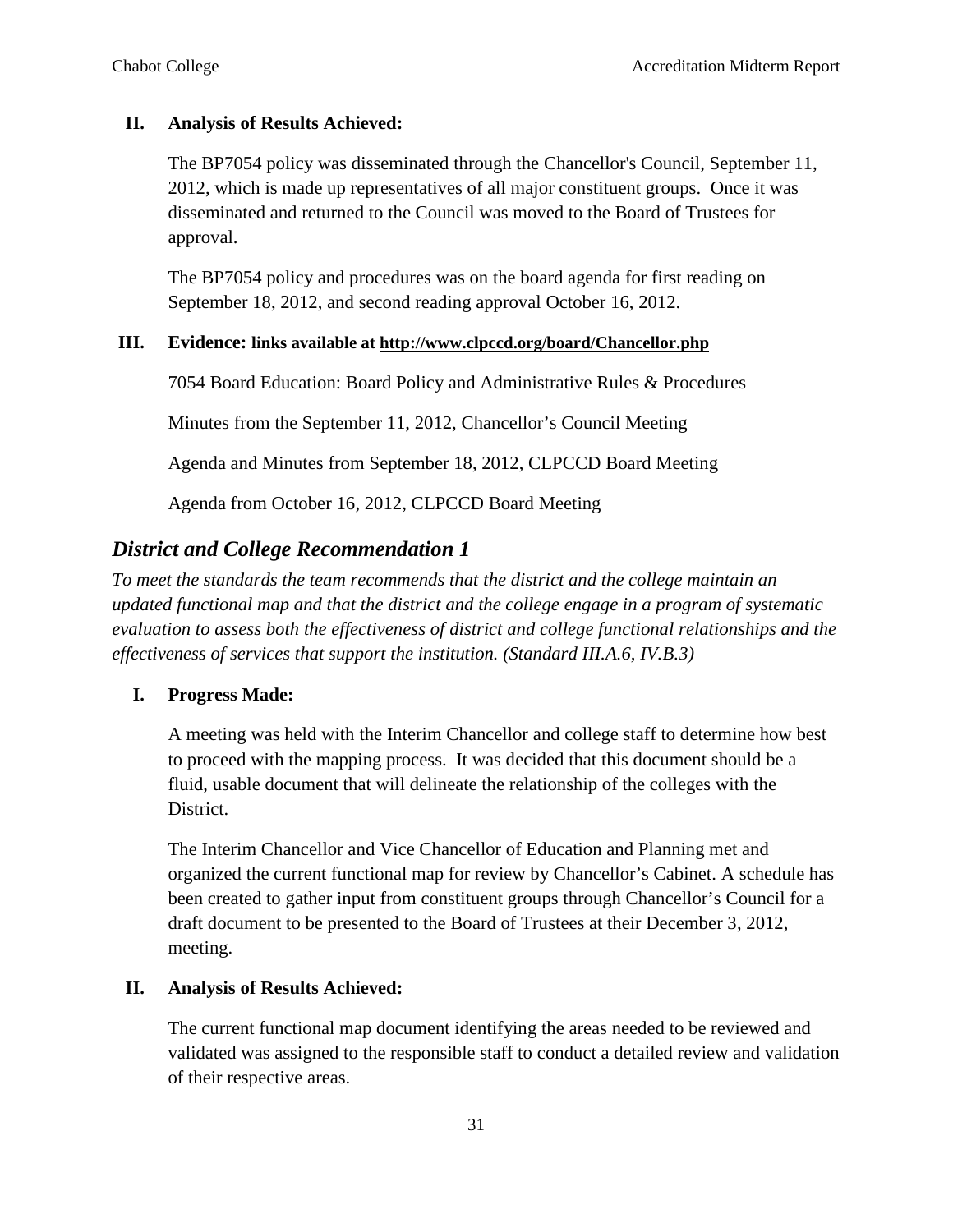### **II. Analysis of Results Achieved:**

The BP7054 policy was disseminated through the Chancellor's Council, [September](http://www.clpccd.org/board/documents/Binder1.pdf) 11, 2012, which is made up representatives of all major constituent groups. Once it was disseminated and returned to the Council was moved to the Board of Trustees for approval.

The BP7054 policy and procedures was on the board agenda for first reading on [September](http://www.clpccd.org/board/documents/2012_0918RegularMtgAgenda_Official.pdf) 18, 2012, and second reading approval October 16, 2012.

#### **III. Evidence: links available at<http://www.clpccd.org/board/Chancellor.php>**

7054 Board Education: Board Policy and Administrative Rules & Procedures

Minutes from the September 11, 2012, Chancellor's Council Meeting

Agenda and Minutes from September 18, 2012, CLPCCD Board Meeting

Agenda from October 16, 2012, CLPCCD Board Meeting

# *District and College Recommendation 1*

*To meet the standards the team recommends that the district and the college maintain an updated functional map and that the district and the college engage in a program of systematic evaluation to assess both the effectiveness of district and college functional relationships and the effectiveness of services that support the institution. (Standard III.A.6, IV.B.3)*

# **I. Progress Made:**

A meeting was held with the Interim Chancellor and college staff to determine how best to proceed with the mapping process. It was decided that this document should be a fluid, usable document that will delineate the relationship of the colleges with the District.

The Interim Chancellor and Vice Chancellor of Education and Planning met and organized the current functional map for review by Chancellor's Cabinet. A schedule has been created to gather input from constituent groups through Chancellor's Council for a draft document to be presented to the Board of Trustees at their December 3, 2012, meeting.

# **II. Analysis of Results Achieved:**

The current functional map document identifying the areas needed to be reviewed and validated was assigned to the responsible staff to conduct a detailed review and validation of their respective areas.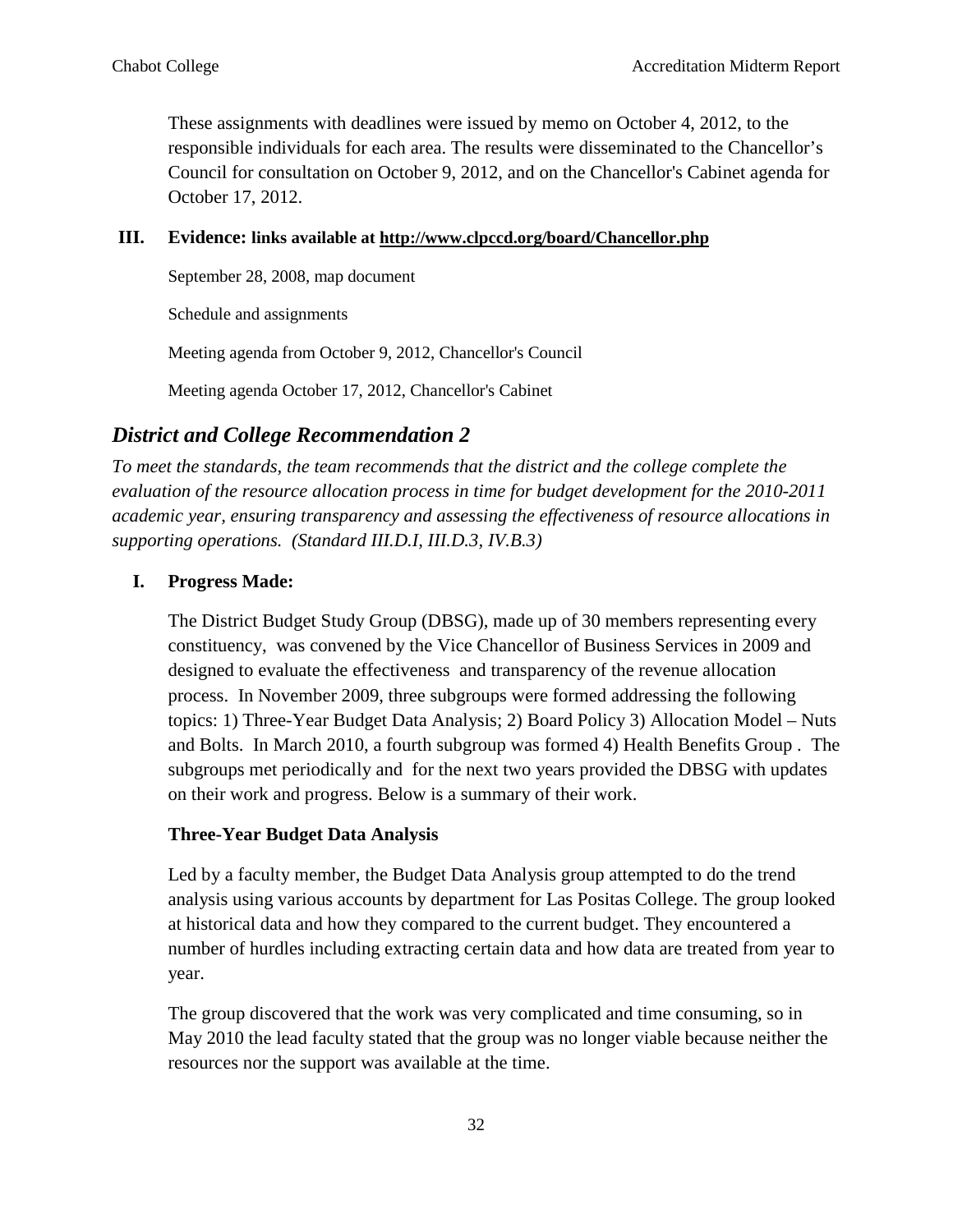These assignments with deadlines were issued by memo on October 4, 2012, to the responsible individuals for each area. The results were disseminated to the Chancellor's Council for consultation on October 9, 2012, and on the Chancellor's Cabinet agenda for October 17, 2012.

#### **III. Evidence: links available at<http://www.clpccd.org/board/Chancellor.php>**

September 28, 2008, map document

Schedule and assignments

Meeting agenda from October 9, 2012, Chancellor's Council

Meeting agenda October 17, 2012, Chancellor's Cabinet

# *District and College Recommendation 2*

*To meet the standards, the team recommends that the district and the college complete the evaluation of the resource allocation process in time for budget development for the 2010-2011 academic year, ensuring transparency and assessing the effectiveness of resource allocations in supporting operations. (Standard III.D.I, III.D.3, IV.B.3)*

#### **I. Progress Made:**

The District Budget Study Group (DBSG), made up of 30 members representing every constituency, was convened by the Vice Chancellor of Business Services in 2009 and designed to evaluate the effectiveness and transparency of the revenue allocation process. In November 2009, three subgroups were formed addressing the following topics: 1) Three-Year Budget Data Analysis; 2) Board Policy 3) Allocation Model – Nuts and Bolts. In March 2010, a fourth subgroup was formed 4) Health Benefits Group . The subgroups met periodically and for the next two years provided the DBSG with updates on their work and progress. Below is a summary of their work.

#### **Three-Year Budget Data Analysis**

Led by a faculty member, the Budget Data Analysis group attempted to do the trend analysis using various accounts by department for Las Positas College. The group looked at historical data and how they compared to the current budget. They encountered a number of hurdles including extracting certain data and how data are treated from year to year.

The group discovered that the work was very complicated and time consuming, so in May 2010 the lead faculty stated that the group was no longer viable because neither the resources nor the support was available at the time.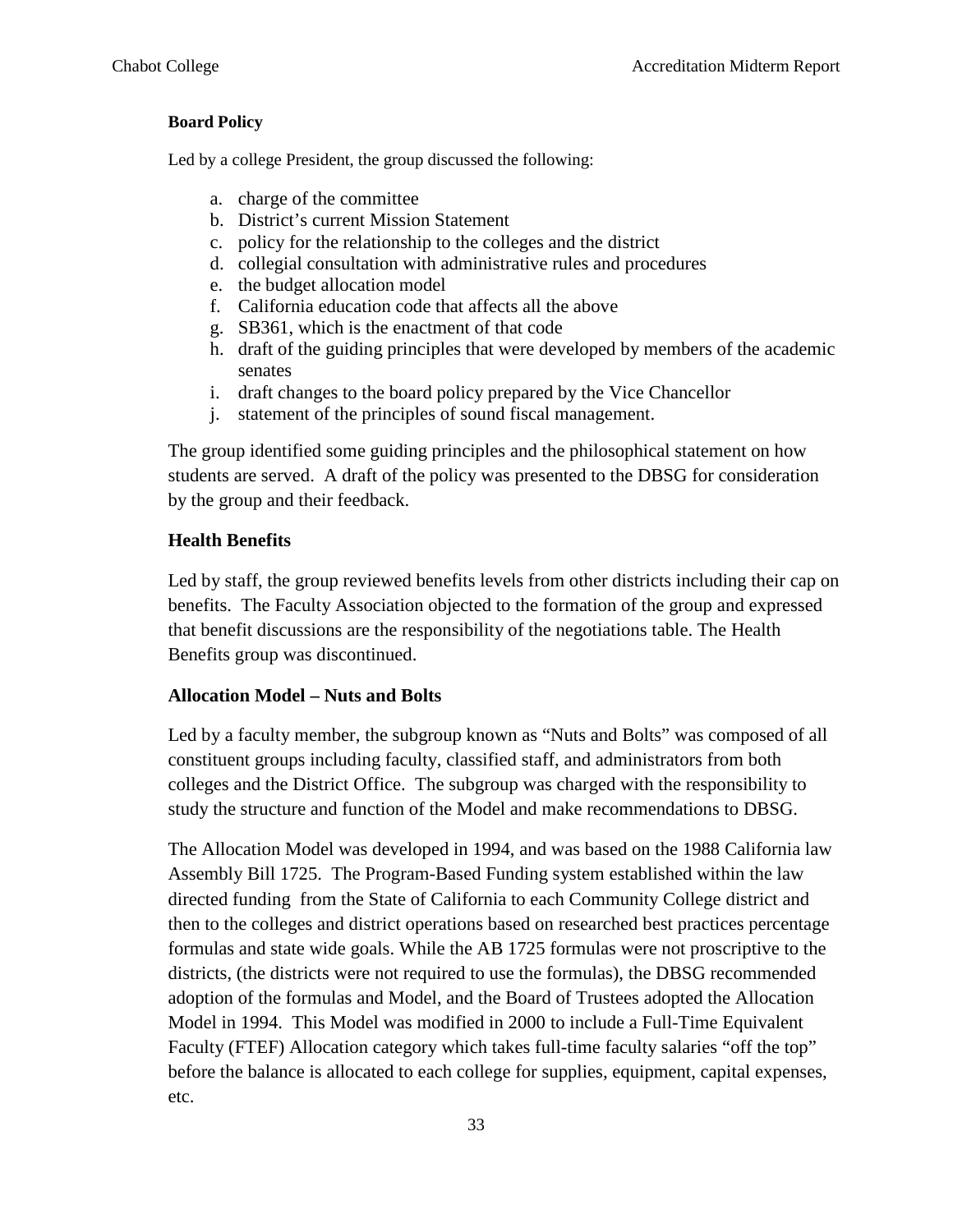#### **Board Policy**

Led by a college President, the group discussed the following:

- a. charge of the committee
- b. District's current Mission Statement
- c. policy for the relationship to the colleges and the district
- d. collegial consultation with administrative rules and procedures
- e. the budget allocation model
- f. California education code that affects all the above
- g. SB361, which is the enactment of that code
- h. draft of the guiding principles that were developed by members of the academic senates
- i. draft changes to the board policy prepared by the Vice Chancellor
- j. statement of the principles of sound fiscal management.

The group identified some guiding principles and the philosophical statement on how students are served. A draft of the policy was presented to the DBSG for consideration by the group and their feedback.

#### **Health Benefits**

Led by staff, the group reviewed benefits levels from other districts including their cap on benefits. The Faculty Association objected to the formation of the group and expressed that benefit discussions are the responsibility of the negotiations table. The Health Benefits group was discontinued.

#### **Allocation Model – Nuts and Bolts**

Led by a faculty member, the subgroup known as "Nuts and Bolts" was composed of all constituent groups including faculty, classified staff, and administrators from both colleges and the District Office. The subgroup was charged with the responsibility to study the structure and function of the Model and make recommendations to DBSG.

The Allocation Model was developed in 1994, and was based on the 1988 California law Assembly Bill 1725. The Program-Based Funding system established within the law directed funding from the State of California to each Community College district and then to the colleges and district operations based on researched best practices percentage formulas and state wide goals. While the AB 1725 formulas were not proscriptive to the districts, (the districts were not required to use the formulas), the DBSG recommended adoption of the formulas and Model, and the Board of Trustees adopted the Allocation Model in 1994. This Model was modified in 2000 to include a Full-Time Equivalent Faculty (FTEF) Allocation category which takes full-time faculty salaries "off the top" before the balance is allocated to each college for supplies, equipment, capital expenses, etc.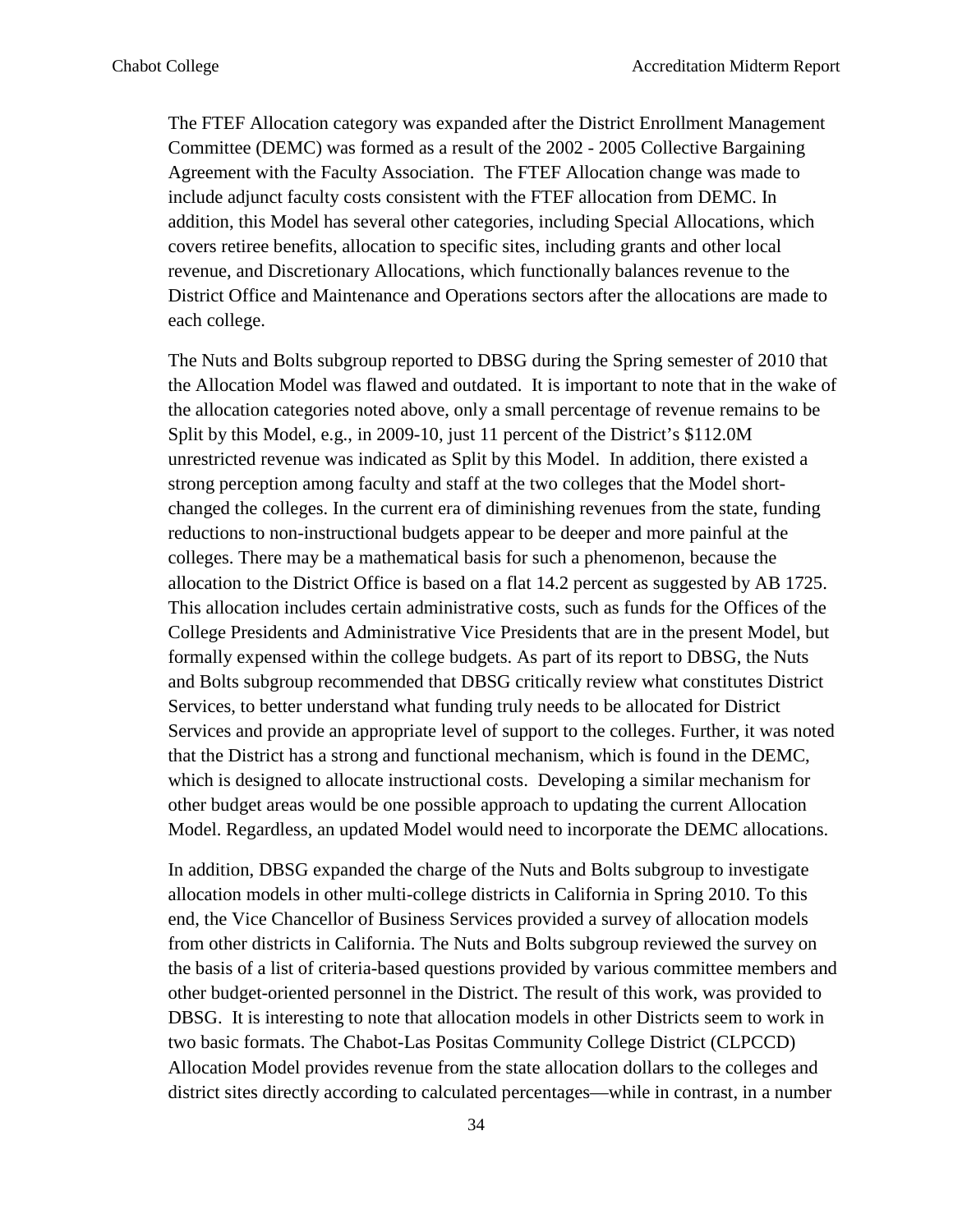The FTEF Allocation category was expanded after the District Enrollment Management Committee (DEMC) was formed as a result of the 2002 - 2005 Collective Bargaining Agreement with the Faculty Association. The FTEF Allocation change was made to include adjunct faculty costs consistent with the FTEF allocation from DEMC. In addition, this Model has several other categories, including Special Allocations, which covers retiree benefits, allocation to specific sites, including grants and other local revenue, and Discretionary Allocations, which functionally balances revenue to the District Office and Maintenance and Operations sectors after the allocations are made to each college.

The Nuts and Bolts subgroup reported to DBSG during the Spring semester of 2010 that the Allocation Model was flawed and outdated. It is important to note that in the wake of the allocation categories noted above, only a small percentage of revenue remains to be Split by this Model, e.g., in 2009-10, just 11 percent of the District's \$112.0M unrestricted revenue was indicated as Split by this Model. In addition, there existed a strong perception among faculty and staff at the two colleges that the Model shortchanged the colleges. In the current era of diminishing revenues from the state, funding reductions to non-instructional budgets appear to be deeper and more painful at the colleges. There may be a mathematical basis for such a phenomenon, because the allocation to the District Office is based on a flat 14.2 percent as suggested by AB 1725. This allocation includes certain administrative costs, such as funds for the Offices of the College Presidents and Administrative Vice Presidents that are in the present Model, but formally expensed within the college budgets. As part of its report to DBSG, the Nuts and Bolts subgroup recommended that DBSG critically review what constitutes District Services, to better understand what funding truly needs to be allocated for District Services and provide an appropriate level of support to the colleges. Further, it was noted that the District has a strong and functional mechanism, which is found in the DEMC, which is designed to allocate instructional costs. Developing a similar mechanism for other budget areas would be one possible approach to updating the current Allocation Model. Regardless, an updated Model would need to incorporate the DEMC allocations.

In addition, DBSG expanded the charge of the Nuts and Bolts subgroup to investigate allocation models in other multi-college districts in California in Spring 2010. To this end, the Vice Chancellor of Business Services provided a survey of allocation models from other districts in California. The Nuts and Bolts subgroup reviewed the survey on the basis of a list of criteria-based questions provided by various committee members and other budget-oriented personnel in the District. The result of this work, was provided to DBSG. It is interesting to note that allocation models in other Districts seem to work in two basic formats. The Chabot-Las Positas Community College District (CLPCCD) Allocation Model provides revenue from the state allocation dollars to the colleges and district sites directly according to calculated percentages—while in contrast, in a number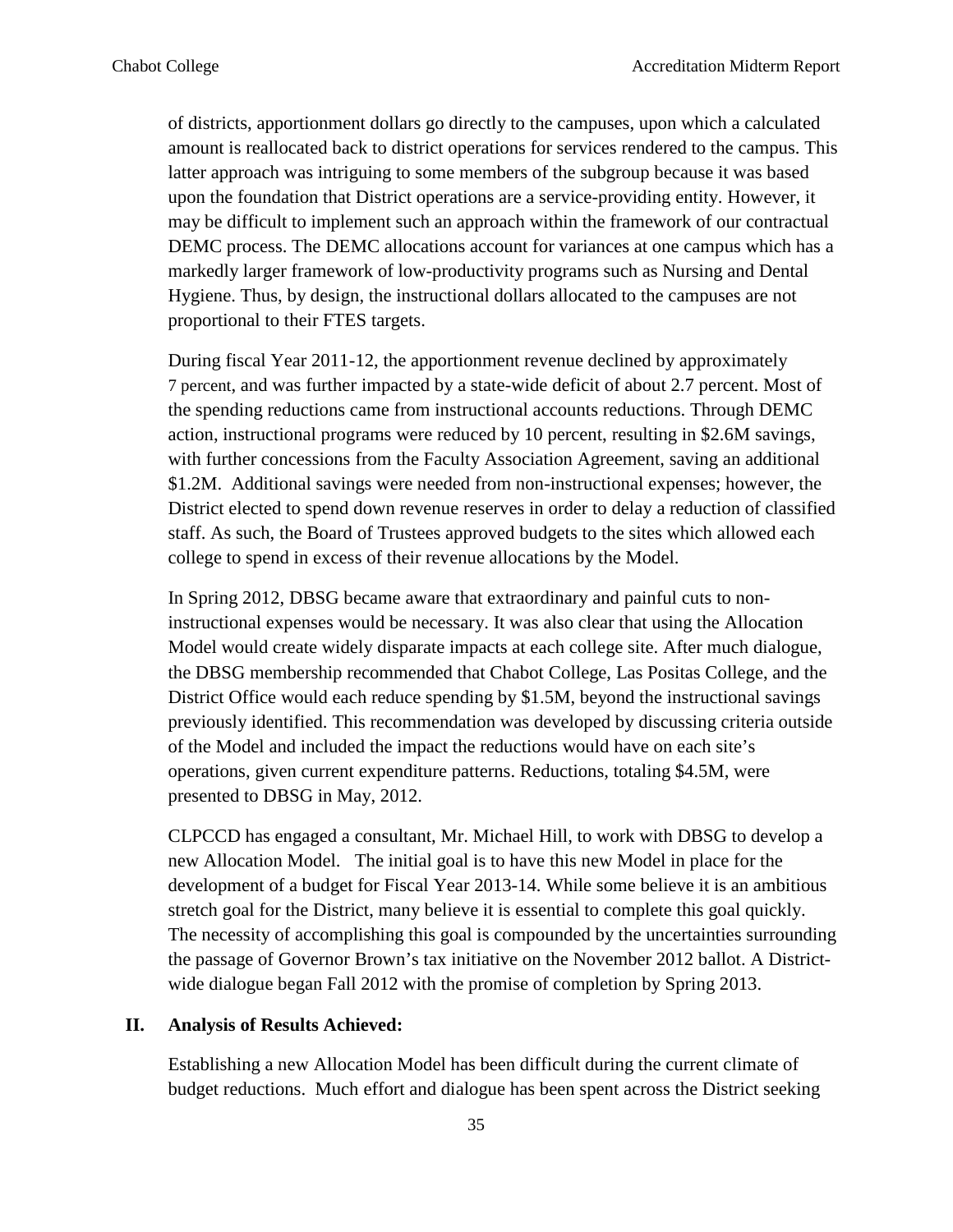of districts, apportionment dollars go directly to the campuses, upon which a calculated amount is reallocated back to district operations for services rendered to the campus. This latter approach was intriguing to some members of the subgroup because it was based upon the foundation that District operations are a service-providing entity. However, it may be difficult to implement such an approach within the framework of our contractual DEMC process. The DEMC allocations account for variances at one campus which has a markedly larger framework of low-productivity programs such as Nursing and Dental Hygiene. Thus, by design, the instructional dollars allocated to the campuses are not proportional to their FTES targets.

During fiscal Year 2011-12, the apportionment revenue declined by approximately 7 percent, and was further impacted by a state-wide deficit of about 2.7 percent. Most of the spending reductions came from instructional accounts reductions. Through DEMC action, instructional programs were reduced by 10 percent, resulting in \$2.6M savings, with further concessions from the Faculty Association Agreement, saving an additional \$1.2M. Additional savings were needed from non-instructional expenses; however, the District elected to spend down revenue reserves in order to delay a reduction of classified staff. As such, the Board of Trustees approved budgets to the sites which allowed each college to spend in excess of their revenue allocations by the Model.

In Spring 2012, DBSG became aware that extraordinary and painful cuts to noninstructional expenses would be necessary. It was also clear that using the Allocation Model would create widely disparate impacts at each college site. After much dialogue, the DBSG membership recommended that Chabot College, Las Positas College, and the District Office would each reduce spending by \$1.5M, beyond the instructional savings previously identified. This recommendation was developed by discussing criteria outside of the Model and included the impact the reductions would have on each site's operations, given current expenditure patterns. Reductions, totaling \$4.5M, were presented to DBSG in May, 2012.

CLPCCD has engaged a consultant, Mr. Michael Hill, to work with DBSG to develop a new Allocation Model. The initial goal is to have this new Model in place for the development of a budget for Fiscal Year 2013-14. While some believe it is an ambitious stretch goal for the District, many believe it is essential to complete this goal quickly. The necessity of accomplishing this goal is compounded by the uncertainties surrounding the passage of Governor Brown's tax initiative on the November 2012 ballot. A Districtwide dialogue began Fall 2012 with the promise of completion by Spring 2013.

#### **II. Analysis of Results Achieved:**

Establishing a new Allocation Model has been difficult during the current climate of budget reductions. Much effort and dialogue has been spent across the District seeking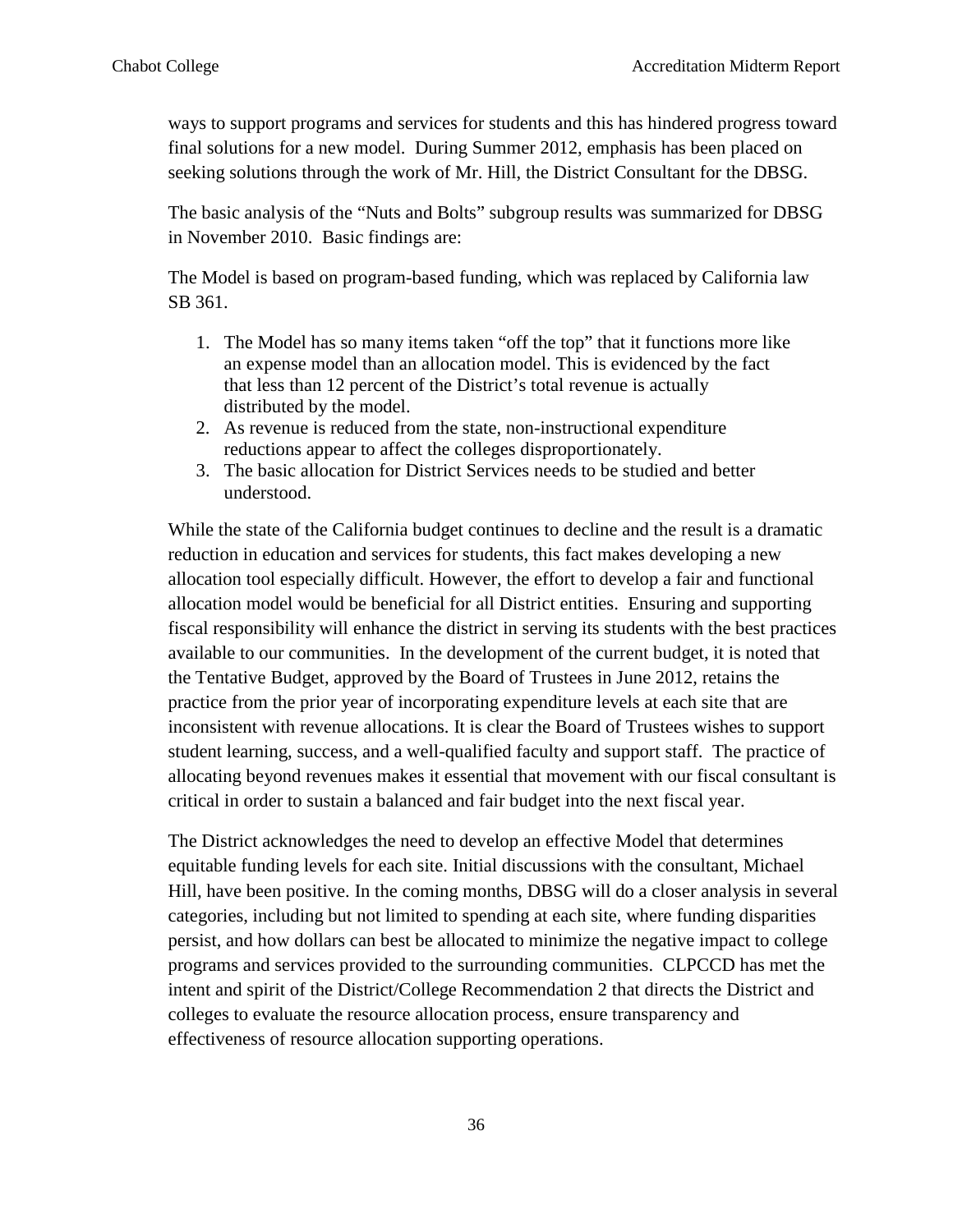ways to support programs and services for students and this has hindered progress toward final solutions for a new model. During Summer 2012, emphasis has been placed on seeking solutions through the work of Mr. Hill, the District Consultant for the DBSG.

The basic analysis of the "Nuts and Bolts" subgroup results was summarized for DBSG in November 2010. Basic findings are:

The Model is based on program-based funding, which was replaced by California law SB 361.

- 1. The Model has so many items taken "off the top" that it functions more like an expense model than an allocation model. This is evidenced by the fact that less than 12 percent of the District's total revenue is actually distributed by the model.
- 2. As revenue is reduced from the state, non-instructional expenditure reductions appear to affect the colleges disproportionately.
- 3. The basic allocation for District Services needs to be studied and better understood.

While the state of the California budget continues to decline and the result is a dramatic reduction in education and services for students, this fact makes developing a new allocation tool especially difficult. However, the effort to develop a fair and functional allocation model would be beneficial for all District entities. Ensuring and supporting fiscal responsibility will enhance the district in serving its students with the best practices available to our communities. In the development of the current budget, it is noted that the Tentative Budget, approved by the Board of Trustees in June 2012, retains the practice from the prior year of incorporating expenditure levels at each site that are inconsistent with revenue allocations. It is clear the Board of Trustees wishes to support student learning, success, and a well-qualified faculty and support staff. The practice of allocating beyond revenues makes it essential that movement with our fiscal consultant is critical in order to sustain a balanced and fair budget into the next fiscal year.

The District acknowledges the need to develop an effective Model that determines equitable funding levels for each site. Initial discussions with the consultant, Michael Hill, have been positive. In the coming months, DBSG will do a closer analysis in several categories, including but not limited to spending at each site, where funding disparities persist, and how dollars can best be allocated to minimize the negative impact to college programs and services provided to the surrounding communities. CLPCCD has met the intent and spirit of the District/College Recommendation 2 that directs the District and colleges to evaluate the resource allocation process, ensure transparency and effectiveness of resource allocation supporting operations.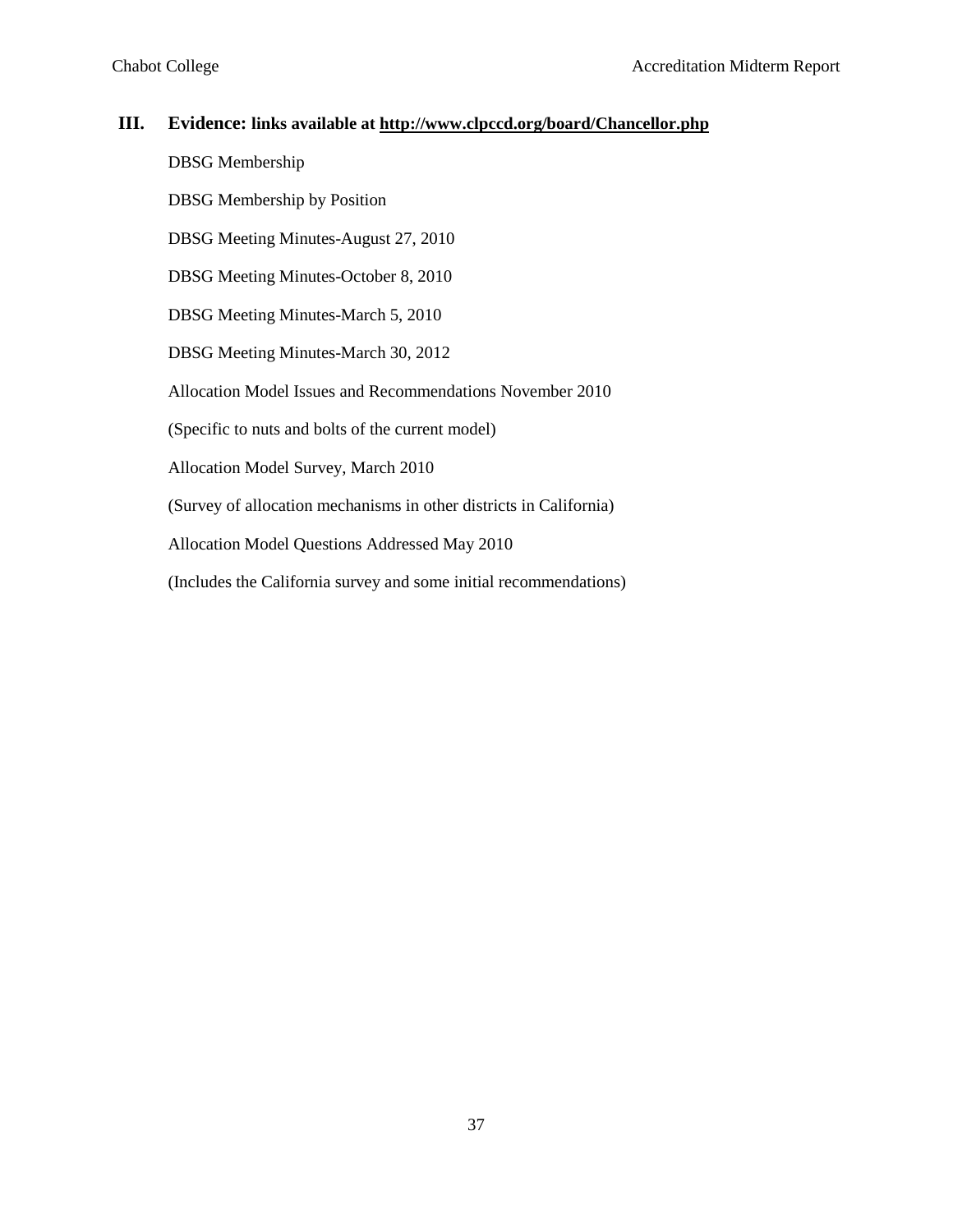#### **III. Evidence: links available at<http://www.clpccd.org/board/Chancellor.php>**

DBSG Membership

DBSG Membership by Position

DBSG Meeting Minutes-August 27, 2010

DBSG Meeting Minutes-October 8, 2010

DBSG Meeting Minutes-March 5, 2010

DBSG Meeting Minutes-March 30, 2012

Allocation Model Issues and Recommendations November 2010

(Specific to nuts and bolts of the current model)

Allocation Model Survey, March 2010

(Survey of allocation mechanisms in other districts in California)

Allocation Model Questions Addressed May 2010

(Includes the California survey and some initial recommendations)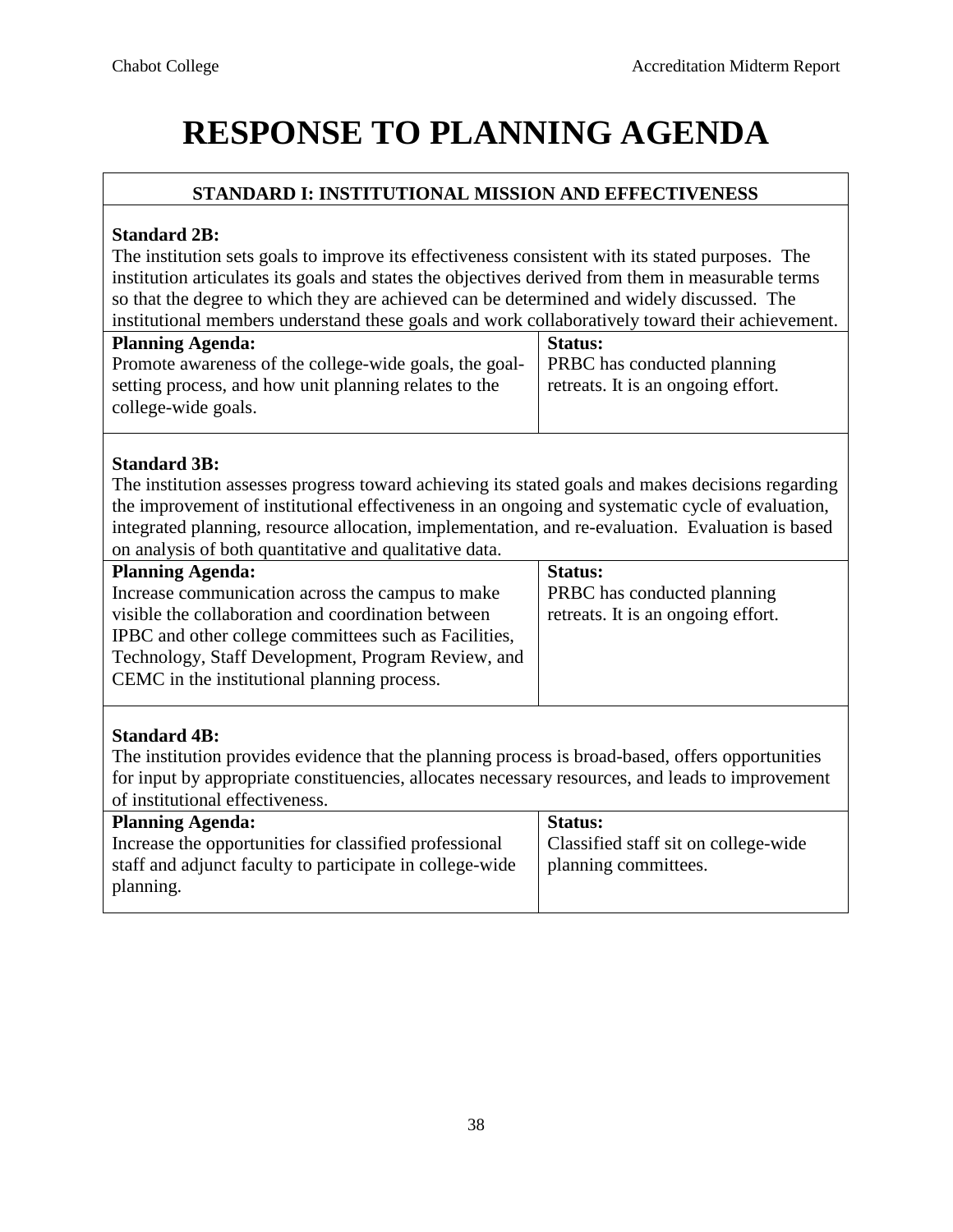# **RESPONSE TO PLANNING AGENDA**

# **STANDARD I: INSTITUTIONAL MISSION AND EFFECTIVENESS**

#### **Standard 2B:**

The institution sets goals to improve its effectiveness consistent with its stated purposes. The institution articulates its goals and states the objectives derived from them in measurable terms so that the degree to which they are achieved can be determined and widely discussed. The institutional members understand these goals and work collaboratively toward their achievement.

| <b>Planning Agenda:</b>                                | <b>Status:</b>                     |
|--------------------------------------------------------|------------------------------------|
| Promote awareness of the college-wide goals, the goal- | <b>PRBC</b> has conducted planning |
| setting process, and how unit planning relates to the  | retreats. It is an ongoing effort. |
| college-wide goals.                                    |                                    |
|                                                        |                                    |

### **Standard 3B:**

The institution assesses progress toward achieving its stated goals and makes decisions regarding the improvement of institutional effectiveness in an ongoing and systematic cycle of evaluation, integrated planning, resource allocation, implementation, and re-evaluation. Evaluation is based on analysis of both quantitative and qualitative data.

| <b>Planning Agenda:</b>                               | <b>Status:</b>                     |
|-------------------------------------------------------|------------------------------------|
| Increase communication across the campus to make      | <b>PRBC</b> has conducted planning |
| visible the collaboration and coordination between    | retreats. It is an ongoing effort. |
| IPBC and other college committees such as Facilities, |                                    |
| Technology, Staff Development, Program Review, and    |                                    |
| CEMC in the institutional planning process.           |                                    |
|                                                       |                                    |

# **Standard 4B:**

The institution provides evidence that the planning process is broad-based, offers opportunities for input by appropriate constituencies, allocates necessary resources, and leads to improvement of institutional effectiveness.

| <b>Planning Agenda:</b>                                  | <b>Status:</b>                       |
|----------------------------------------------------------|--------------------------------------|
| Increase the opportunities for classified professional   | Classified staff sit on college-wide |
| staff and adjunct faculty to participate in college-wide | planning committees.                 |
| planning.                                                |                                      |
|                                                          |                                      |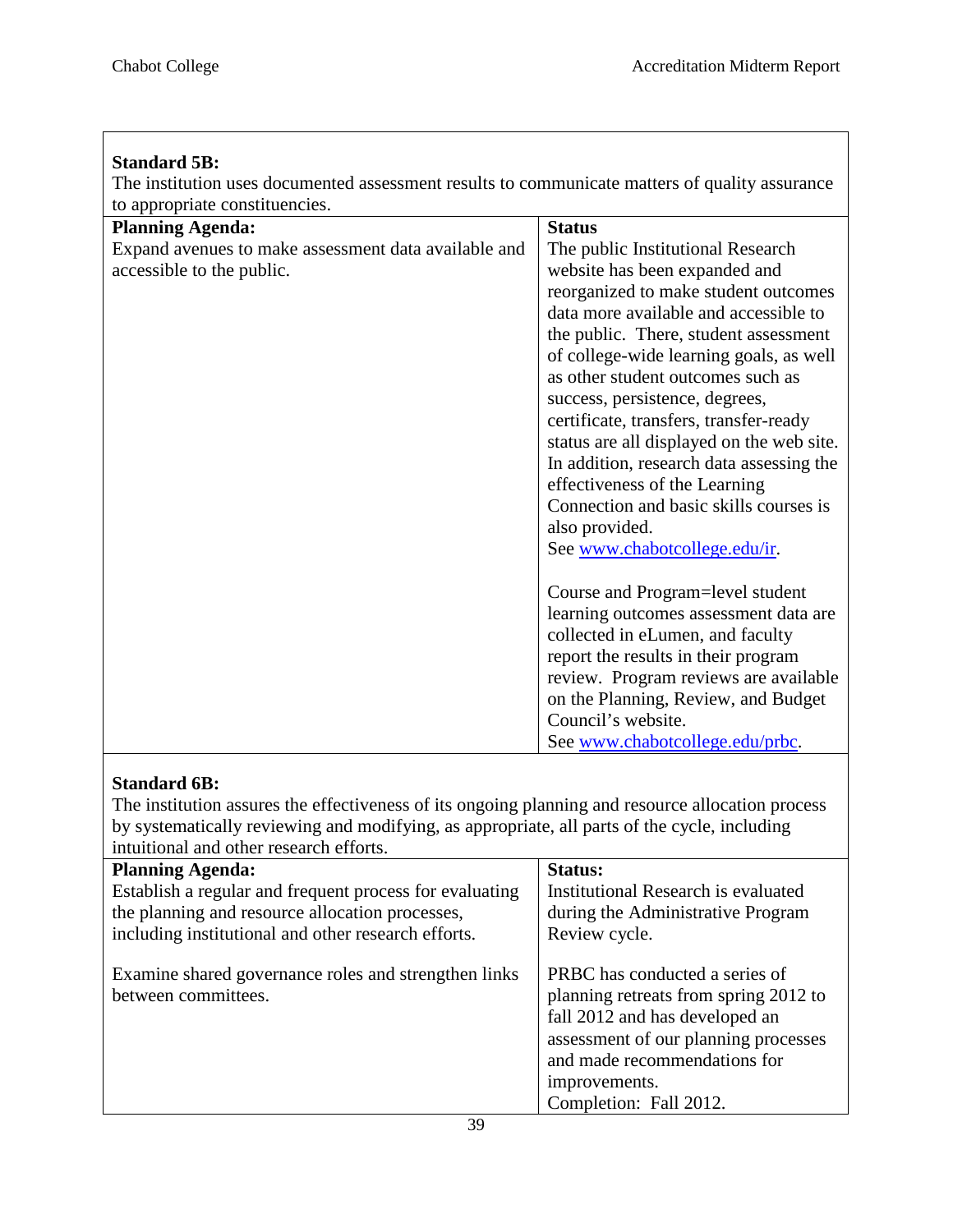Г

| <b>Standard 5B:</b><br>The institution uses documented assessment results to communicate matters of quality assurance                          |                                                                                                                                                                                                                                                                                                                                                                                                                                                                                                                                                                                                                                                                                                                                                                                                                                          |
|------------------------------------------------------------------------------------------------------------------------------------------------|------------------------------------------------------------------------------------------------------------------------------------------------------------------------------------------------------------------------------------------------------------------------------------------------------------------------------------------------------------------------------------------------------------------------------------------------------------------------------------------------------------------------------------------------------------------------------------------------------------------------------------------------------------------------------------------------------------------------------------------------------------------------------------------------------------------------------------------|
| to appropriate constituencies.<br><b>Planning Agenda:</b><br>Expand avenues to make assessment data available and<br>accessible to the public. | <b>Status</b><br>The public Institutional Research<br>website has been expanded and<br>reorganized to make student outcomes<br>data more available and accessible to<br>the public. There, student assessment<br>of college-wide learning goals, as well<br>as other student outcomes such as<br>success, persistence, degrees,<br>certificate, transfers, transfer-ready<br>status are all displayed on the web site.<br>In addition, research data assessing the<br>effectiveness of the Learning<br>Connection and basic skills courses is<br>also provided.<br>See www.chabotcollege.edu/ir.<br>Course and Program=level student<br>learning outcomes assessment data are<br>collected in eLumen, and faculty<br>report the results in their program<br>review. Program reviews are available<br>on the Planning, Review, and Budget |
|                                                                                                                                                | Council's website.<br>See www.chabotcollege.edu/prbc.                                                                                                                                                                                                                                                                                                                                                                                                                                                                                                                                                                                                                                                                                                                                                                                    |

# **Standard 6B:**

The institution assures the effectiveness of its ongoing planning and resource allocation process by systematically reviewing and modifying, as appropriate, all parts of the cycle, including intuitional and other research efforts.

| <b>Planning Agenda:</b><br>Establish a regular and frequent process for evaluating<br>the planning and resource allocation processes, | <b>Status:</b><br>Institutional Research is evaluated<br>during the Administrative Program                                                                                                                                   |
|---------------------------------------------------------------------------------------------------------------------------------------|------------------------------------------------------------------------------------------------------------------------------------------------------------------------------------------------------------------------------|
| including institutional and other research efforts.                                                                                   | Review cycle.                                                                                                                                                                                                                |
| Examine shared governance roles and strengthen links<br>between committees.                                                           | PRBC has conducted a series of<br>planning retreats from spring 2012 to<br>fall 2012 and has developed an<br>assessment of our planning processes<br>and made recommendations for<br>improvements.<br>Completion: Fall 2012. |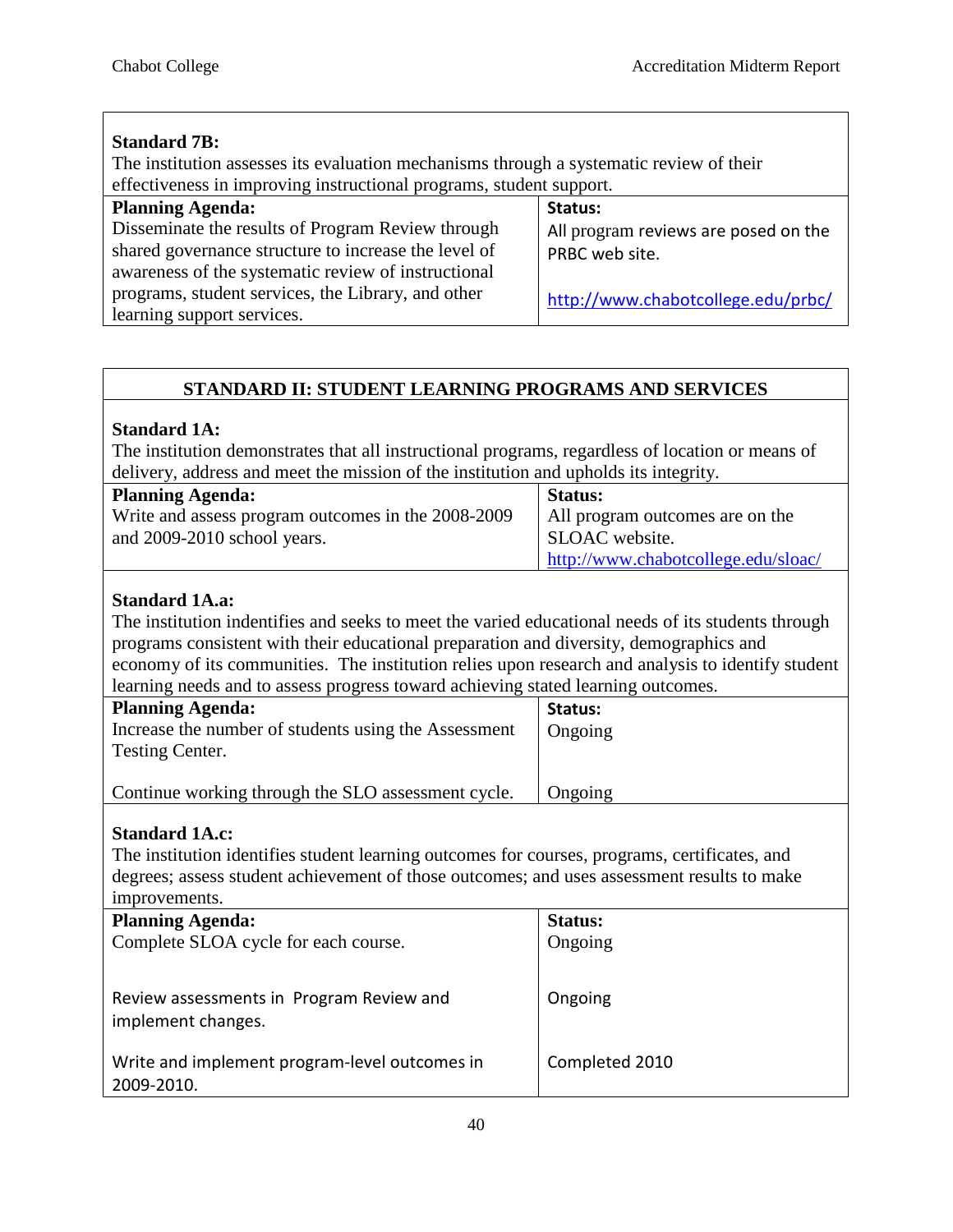| <b>Standard 7B:</b><br>The institution assesses its evaluation mechanisms through a systematic review of their<br>effectiveness in improving instructional programs, student support. |                                                 |
|---------------------------------------------------------------------------------------------------------------------------------------------------------------------------------------|-------------------------------------------------|
| <b>Planning Agenda:</b><br>Disseminate the results of Program Review through                                                                                                          | Status:<br>All program reviews are posed on the |
| shared governance structure to increase the level of<br>awareness of the systematic review of instructional                                                                           | PRBC web site.                                  |
| programs, student services, the Library, and other<br>learning support services.                                                                                                      | http://www.chabotcollege.edu/prbc/              |

# **STANDARD II: STUDENT LEARNING PROGRAMS AND SERVICES**

#### **Standard 1A:**

The institution demonstrates that all instructional programs, regardless of location or means of delivery, address and meet the mission of the institution and upholds its integrity.

| <b>Planning Agenda:</b>                            | <b>Status:</b>                      |
|----------------------------------------------------|-------------------------------------|
| Write and assess program outcomes in the 2008-2009 | All program outcomes are on the     |
| and 2009-2010 school years.                        | SLOAC website.                      |
|                                                    | http://www.chabotcollege.edu/sloac/ |

### **Standard 1A.a:**

The institution indentifies and seeks to meet the varied educational needs of its students through programs consistent with their educational preparation and diversity, demographics and economy of its communities. The institution relies upon research and analysis to identify student learning needs and to assess progress toward achieving stated learning outcomes.

| <b>Planning Agenda:</b>                                                        | Status: |
|--------------------------------------------------------------------------------|---------|
| Increase the number of students using the Assessment<br><b>Testing Center.</b> | Ongoing |
| Continue working through the SLO assessment cycle.                             | Ongoing |

#### **Standard 1A.c:**

The institution identifies student learning outcomes for courses, programs, certificates, and degrees; assess student achievement of those outcomes; and uses assessment results to make improvements

| <u>HILDI V VIIIUILIS.</u>                                      |                |
|----------------------------------------------------------------|----------------|
| <b>Planning Agenda:</b>                                        | <b>Status:</b> |
| Complete SLOA cycle for each course.                           | Ongoing        |
| Review assessments in Program Review and<br>implement changes. | Ongoing        |
| Write and implement program-level outcomes in<br>2009-2010.    | Completed 2010 |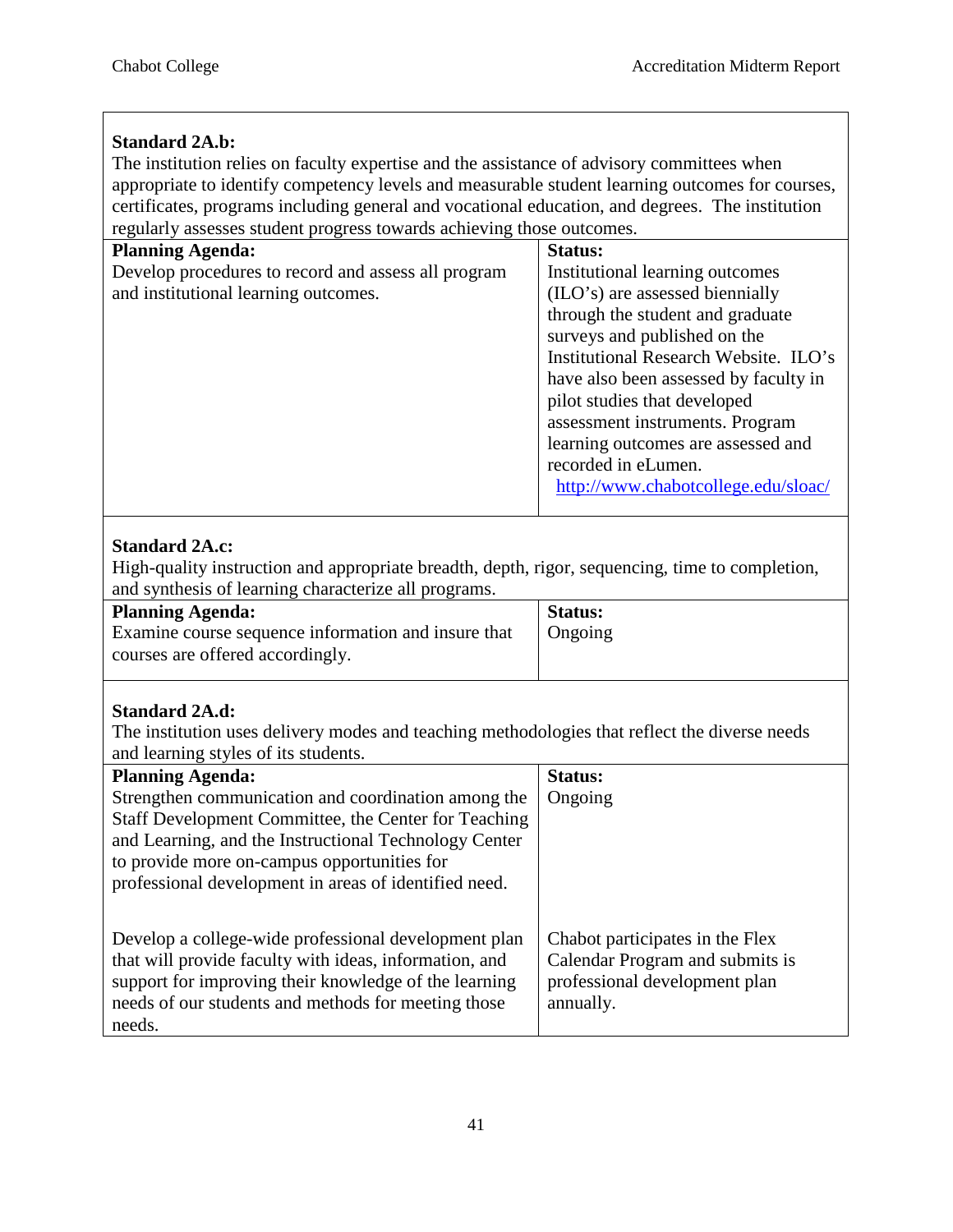# **Standard 2A.b:**

The institution relies on faculty expertise and the assistance of advisory committees when appropriate to identify competency levels and measurable student learning outcomes for courses, certificates, programs including general and vocational education, and degrees. The institution regularly assesses student progress towards achieving those outcomes.

| regularly assesses student progress towards achieving those outcomes. |                                       |
|-----------------------------------------------------------------------|---------------------------------------|
| <b>Planning Agenda:</b>                                               | <b>Status:</b>                        |
| Develop procedures to record and assess all program                   | Institutional learning outcomes       |
| and institutional learning outcomes.                                  | (ILO's) are assessed biennially       |
|                                                                       | through the student and graduate      |
|                                                                       | surveys and published on the          |
|                                                                       | Institutional Research Website. ILO's |
|                                                                       | have also been assessed by faculty in |
|                                                                       | pilot studies that developed          |
|                                                                       | assessment instruments. Program       |
|                                                                       | learning outcomes are assessed and    |
|                                                                       | recorded in eLumen.                   |
|                                                                       | http://www.chabotcollege.edu/sloac/   |
|                                                                       |                                       |

# **Standard 2A.c:**

High-quality instruction and appropriate breadth, depth, rigor, sequencing, time to completion, and synthesis of learning characterize all programs.

| <b>Status:</b> |
|----------------|
| Ongoing        |
|                |
|                |

# **Standard 2A.d:**

The institution uses delivery modes and teaching methodologies that reflect the diverse needs and learning styles of its students.

| <b>Planning Agenda:</b>                                                                                                                                                                                                                  | <b>Status:</b>                                                                                                   |
|------------------------------------------------------------------------------------------------------------------------------------------------------------------------------------------------------------------------------------------|------------------------------------------------------------------------------------------------------------------|
| Strengthen communication and coordination among the                                                                                                                                                                                      | Ongoing                                                                                                          |
| Staff Development Committee, the Center for Teaching                                                                                                                                                                                     |                                                                                                                  |
| and Learning, and the Instructional Technology Center                                                                                                                                                                                    |                                                                                                                  |
| to provide more on-campus opportunities for                                                                                                                                                                                              |                                                                                                                  |
| professional development in areas of identified need.                                                                                                                                                                                    |                                                                                                                  |
|                                                                                                                                                                                                                                          |                                                                                                                  |
| Develop a college-wide professional development plan<br>that will provide faculty with ideas, information, and<br>support for improving their knowledge of the learning<br>needs of our students and methods for meeting those<br>needs. | Chabot participates in the Flex<br>Calendar Program and submits is<br>professional development plan<br>annually. |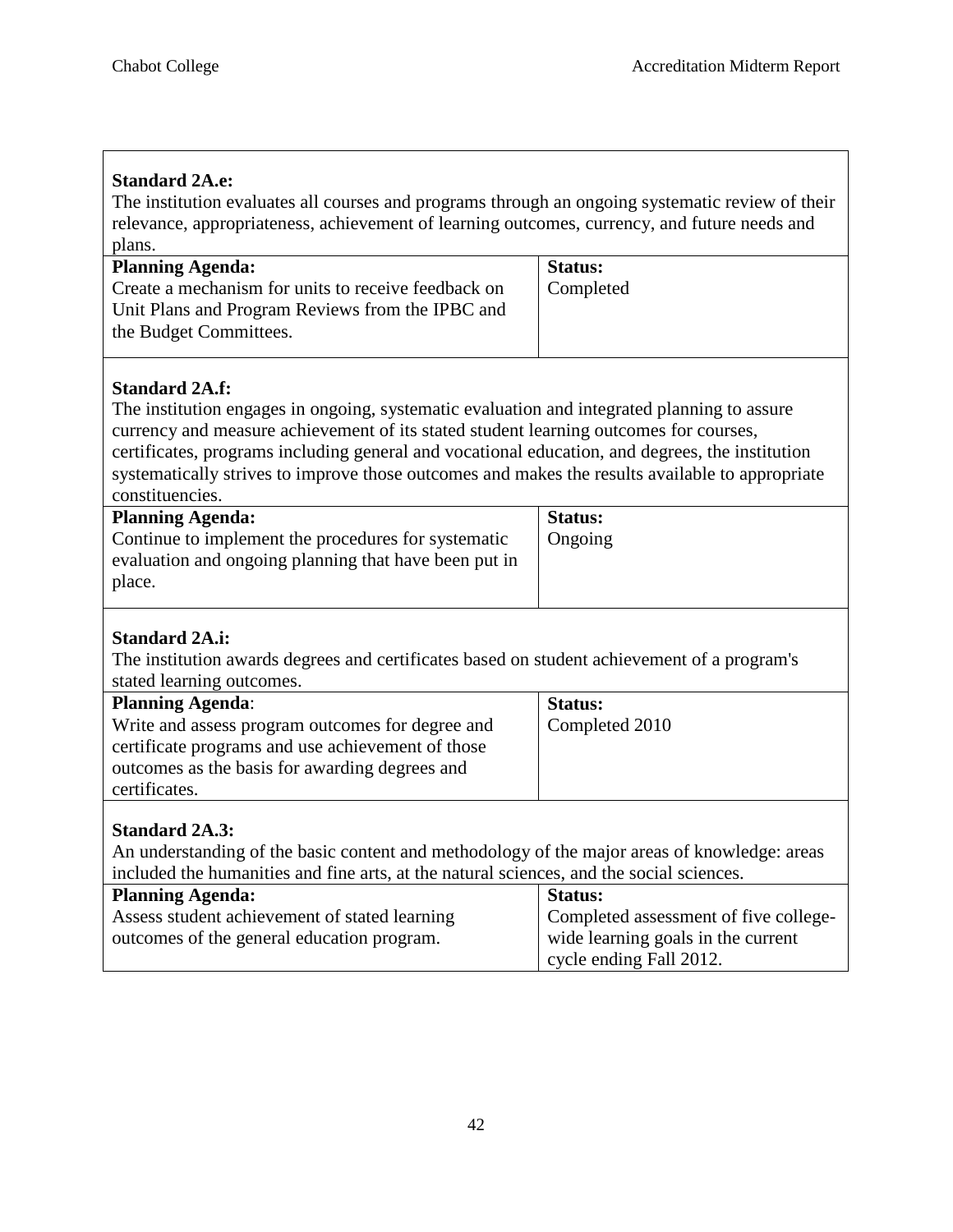| <b>Standard 2A.e:</b>                                                                            |                                       |  |
|--------------------------------------------------------------------------------------------------|---------------------------------------|--|
| The institution evaluates all courses and programs through an ongoing systematic review of their |                                       |  |
| relevance, appropriateness, achievement of learning outcomes, currency, and future needs and     |                                       |  |
| plans.                                                                                           |                                       |  |
| <b>Planning Agenda:</b>                                                                          | <b>Status:</b>                        |  |
| Create a mechanism for units to receive feedback on                                              | Completed                             |  |
| Unit Plans and Program Reviews from the IPBC and                                                 |                                       |  |
| the Budget Committees.                                                                           |                                       |  |
|                                                                                                  |                                       |  |
|                                                                                                  |                                       |  |
| <b>Standard 2A.f:</b>                                                                            |                                       |  |
| The institution engages in ongoing, systematic evaluation and integrated planning to assure      |                                       |  |
| currency and measure achievement of its stated student learning outcomes for courses,            |                                       |  |
| certificates, programs including general and vocational education, and degrees, the institution  |                                       |  |
| systematically strives to improve those outcomes and makes the results available to appropriate  |                                       |  |
| constituencies.                                                                                  |                                       |  |
| <b>Planning Agenda:</b>                                                                          | <b>Status:</b>                        |  |
| Continue to implement the procedures for systematic                                              | Ongoing                               |  |
| evaluation and ongoing planning that have been put in                                            |                                       |  |
| place.                                                                                           |                                       |  |
|                                                                                                  |                                       |  |
| <b>Standard 2A.i:</b>                                                                            |                                       |  |
| The institution awards degrees and certificates based on student achievement of a program's      |                                       |  |
| stated learning outcomes.                                                                        |                                       |  |
| <b>Planning Agenda:</b>                                                                          | <b>Status:</b>                        |  |
| Write and assess program outcomes for degree and                                                 | Completed 2010                        |  |
| certificate programs and use achievement of those                                                |                                       |  |
| outcomes as the basis for awarding degrees and                                                   |                                       |  |
| certificates.                                                                                    |                                       |  |
|                                                                                                  |                                       |  |
| <b>Standard 2A.3:</b>                                                                            |                                       |  |
| An understanding of the basic content and methodology of the major areas of knowledge: areas     |                                       |  |
| included the humanities and fine arts, at the natural sciences, and the social sciences.         |                                       |  |
| <b>Planning Agenda:</b>                                                                          | <b>Status:</b>                        |  |
| Assess student achievement of stated learning                                                    | Completed assessment of five college- |  |
| outcomes of the general education program.                                                       | wide learning goals in the current    |  |
|                                                                                                  | cycle ending Fall 2012.               |  |
|                                                                                                  |                                       |  |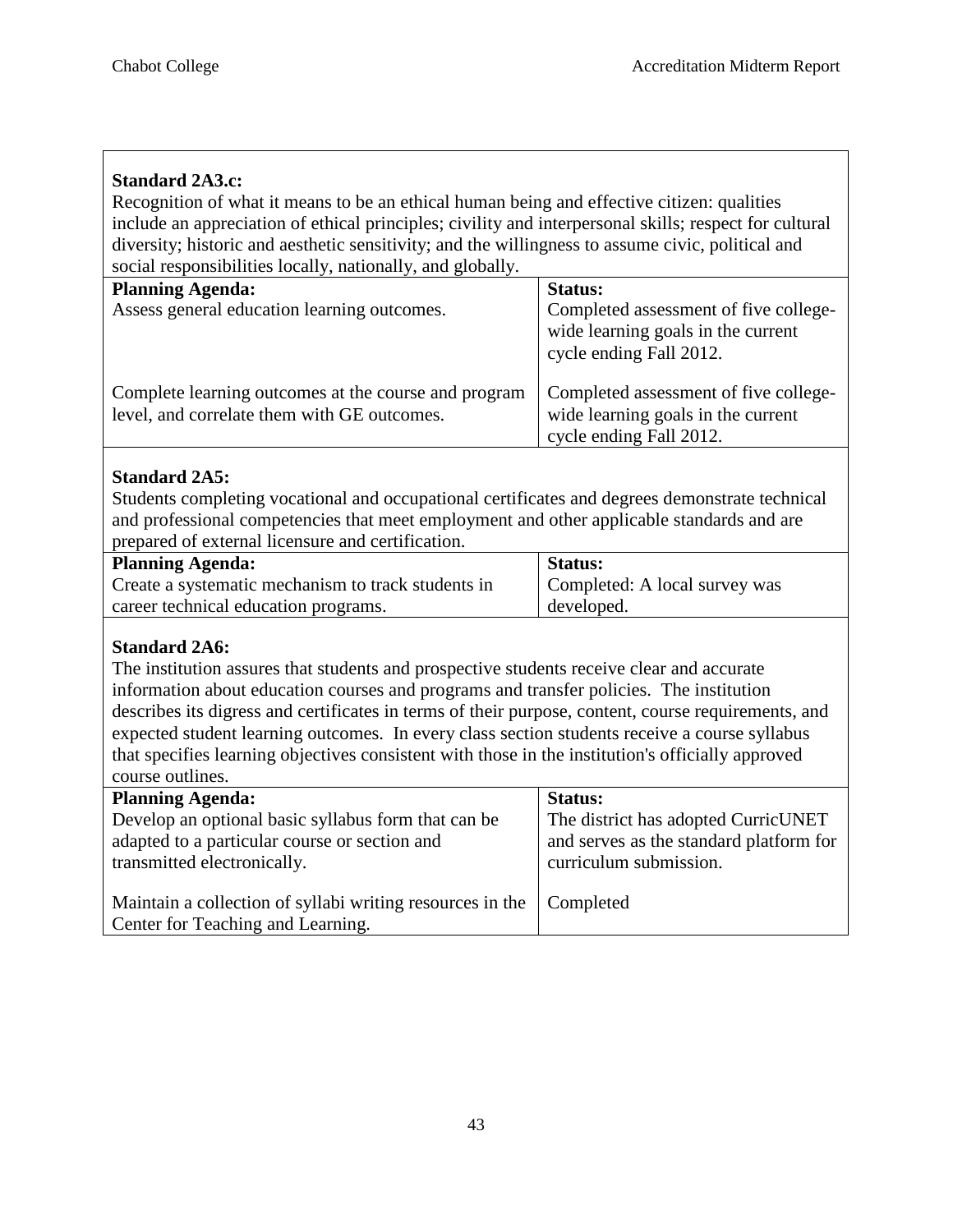### **Standard 2A3.c:**

Recognition of what it means to be an ethical human being and effective citizen: qualities include an appreciation of ethical principles; civility and interpersonal skills; respect for cultural diversity; historic and aesthetic sensitivity; and the willingness to assume civic, political and social responsibilities locally, nationally, and globally.

| <b>Planning Agenda:</b>                                                                             | <b>Status:</b>                                                                                         |
|-----------------------------------------------------------------------------------------------------|--------------------------------------------------------------------------------------------------------|
| Assess general education learning outcomes.                                                         | Completed assessment of five college-<br>wide learning goals in the current<br>cycle ending Fall 2012. |
| Complete learning outcomes at the course and program<br>level, and correlate them with GE outcomes. | Completed assessment of five college-<br>wide learning goals in the current<br>cycle ending Fall 2012. |

#### **Standard 2A5:**

Students completing vocational and occupational certificates and degrees demonstrate technical and professional competencies that meet employment and other applicable standards and are prepared of external licensure and certification.

| <b>Planning Agenda:</b>                            | <b>Status:</b>                |
|----------------------------------------------------|-------------------------------|
| Create a systematic mechanism to track students in | Completed: A local survey was |
| career technical education programs.               | developed.                    |

#### **Standard 2A6:**

The institution assures that students and prospective students receive clear and accurate information about education courses and programs and transfer policies. The institution describes its digress and certificates in terms of their purpose, content, course requirements, and expected student learning outcomes. In every class section students receive a course syllabus that specifies learning objectives consistent with those in the institution's officially approved course outlines.

| <b>Planning Agenda:</b>                                               | <b>Status:</b>                          |
|-----------------------------------------------------------------------|-----------------------------------------|
| Develop an optional basic syllabus form that can be                   | The district has adopted CurricUNET     |
| adapted to a particular course or section and                         | and serves as the standard platform for |
| transmitted electronically.                                           | curriculum submission.                  |
|                                                                       |                                         |
| Maintain a collection of syllabi writing resources in the   Completed |                                         |
| Center for Teaching and Learning.                                     |                                         |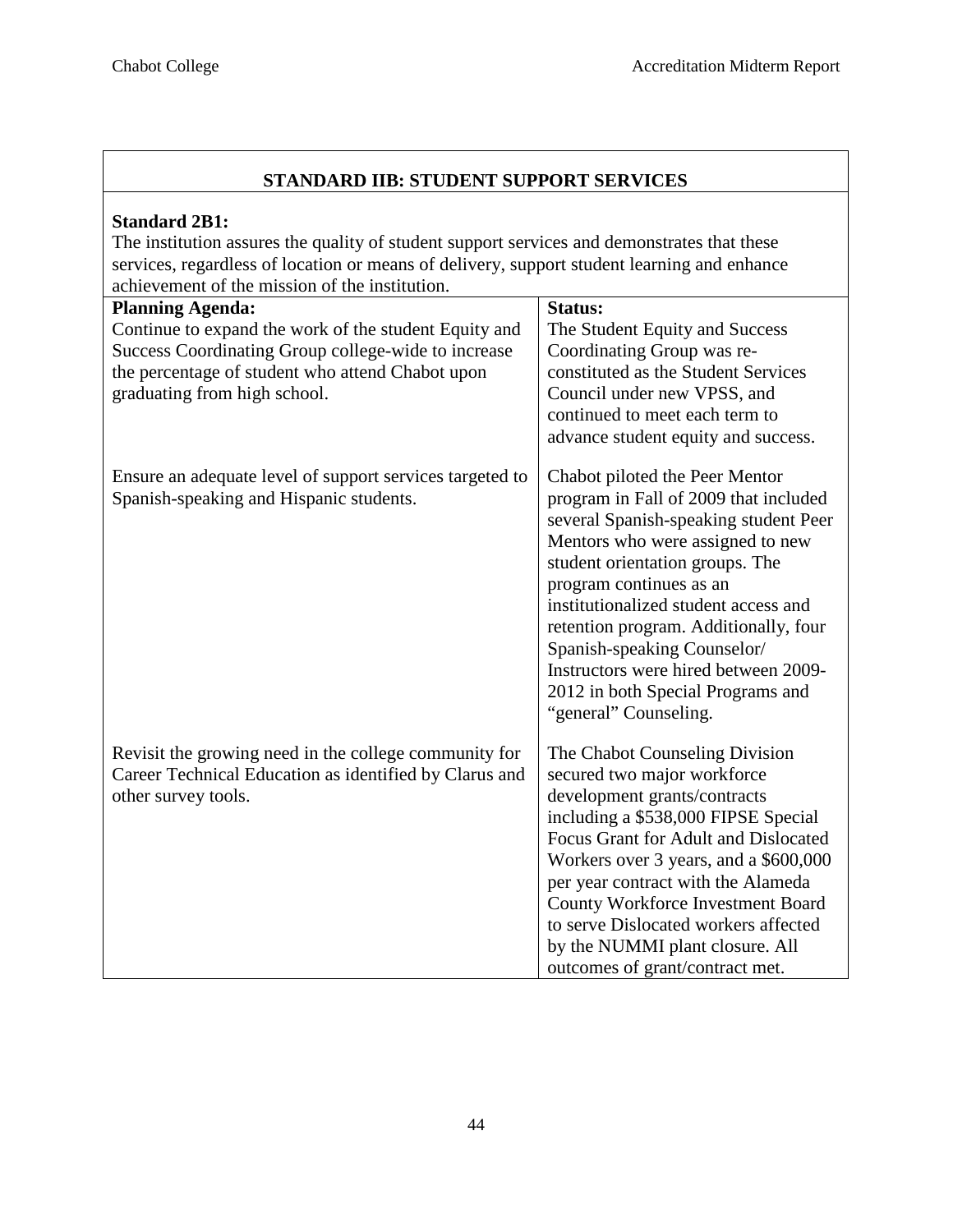| STANDARD IIB: STUDENT SUPPORT SERVICES                                                                                                                                                                                                                               |                                                                                                                                                                                                                                                                                                                                                                                                                                          |
|----------------------------------------------------------------------------------------------------------------------------------------------------------------------------------------------------------------------------------------------------------------------|------------------------------------------------------------------------------------------------------------------------------------------------------------------------------------------------------------------------------------------------------------------------------------------------------------------------------------------------------------------------------------------------------------------------------------------|
| <b>Standard 2B1:</b><br>The institution assures the quality of student support services and demonstrates that these<br>services, regardless of location or means of delivery, support student learning and enhance<br>achievement of the mission of the institution. |                                                                                                                                                                                                                                                                                                                                                                                                                                          |
| <b>Planning Agenda:</b><br>Continue to expand the work of the student Equity and<br>Success Coordinating Group college-wide to increase<br>the percentage of student who attend Chabot upon<br>graduating from high school.                                          | Status:<br>The Student Equity and Success<br>Coordinating Group was re-<br>constituted as the Student Services<br>Council under new VPSS, and<br>continued to meet each term to<br>advance student equity and success.                                                                                                                                                                                                                   |
| Ensure an adequate level of support services targeted to<br>Spanish-speaking and Hispanic students.                                                                                                                                                                  | Chabot piloted the Peer Mentor<br>program in Fall of 2009 that included<br>several Spanish-speaking student Peer<br>Mentors who were assigned to new<br>student orientation groups. The<br>program continues as an<br>institutionalized student access and<br>retention program. Additionally, four<br>Spanish-speaking Counselor/<br>Instructors were hired between 2009-<br>2012 in both Special Programs and<br>"general" Counseling. |
| Revisit the growing need in the college community for<br>Career Technical Education as identified by Clarus and<br>other survey tools.                                                                                                                               | The Chabot Counseling Division<br>secured two major workforce<br>development grants/contracts<br>including a \$538,000 FIPSE Special<br>Focus Grant for Adult and Dislocated<br>Workers over 3 years, and a \$600,000<br>per year contract with the Alameda<br><b>County Workforce Investment Board</b><br>to serve Dislocated workers affected<br>by the NUMMI plant closure. All<br>outcomes of grant/contract met.                    |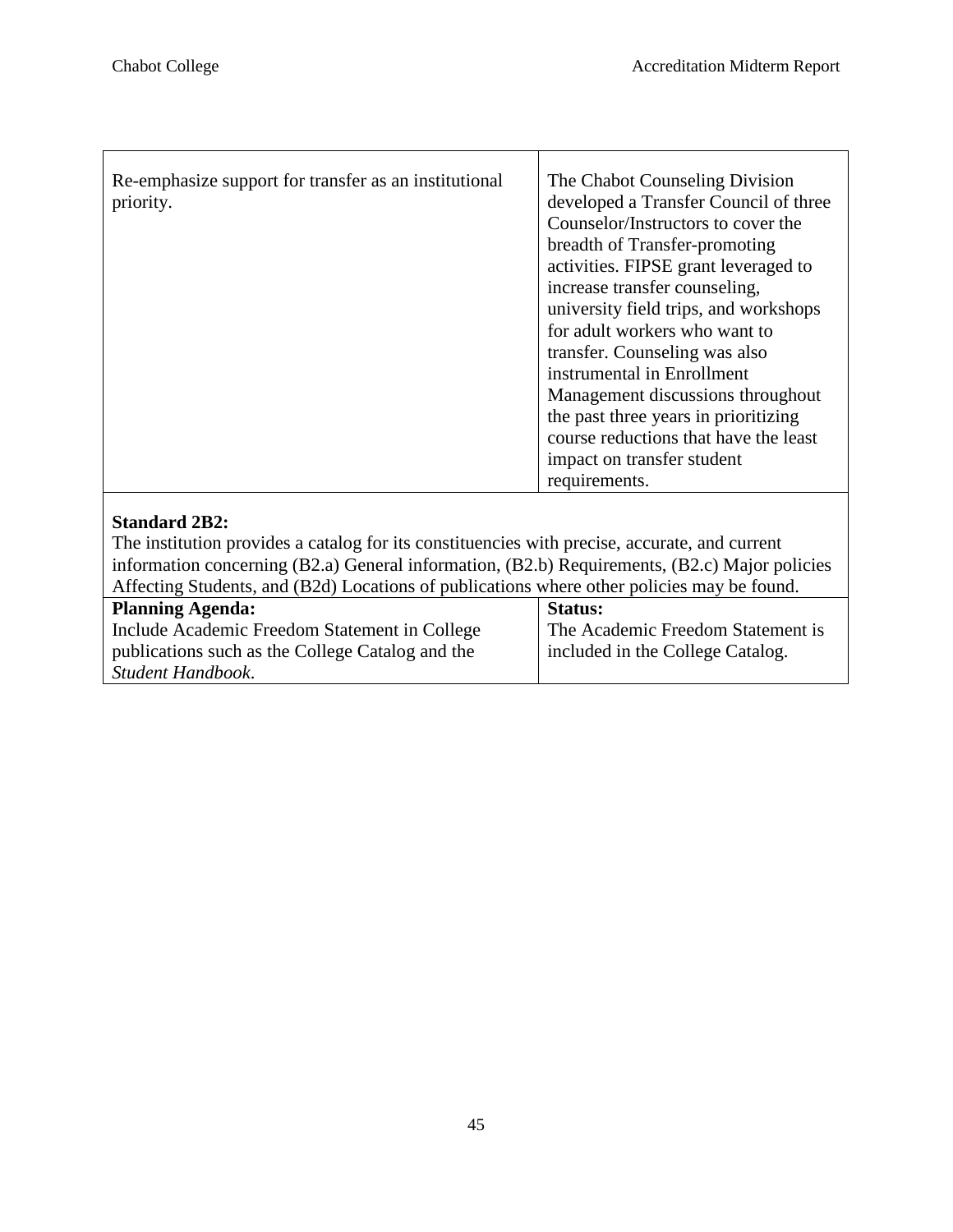$\mathsf{r}$ 

| Re-emphasize support for transfer as an institutional<br>priority.                                                                                                                                                     | The Chabot Counseling Division<br>developed a Transfer Council of three<br>Counselor/Instructors to cover the<br>breadth of Transfer-promoting<br>activities. FIPSE grant leveraged to<br>increase transfer counseling,<br>university field trips, and workshops<br>for adult workers who want to<br>transfer. Counseling was also<br>instrumental in Enrollment<br>Management discussions throughout<br>the past three years in prioritizing<br>course reductions that have the least<br>impact on transfer student<br>requirements. |
|------------------------------------------------------------------------------------------------------------------------------------------------------------------------------------------------------------------------|---------------------------------------------------------------------------------------------------------------------------------------------------------------------------------------------------------------------------------------------------------------------------------------------------------------------------------------------------------------------------------------------------------------------------------------------------------------------------------------------------------------------------------------|
| <b>Standard 2B2:</b><br>The institution provides a catalog for its constituencies with precise, accurate, and current<br>information concerning (B2.a) General information, (B2.b) Requirements, (B2.c) Major policies |                                                                                                                                                                                                                                                                                                                                                                                                                                                                                                                                       |

| Affecting Students, and (B2d) Locations of publications where other policies may be found. |                                   |
|--------------------------------------------------------------------------------------------|-----------------------------------|
| <b>Planning Agenda:</b>                                                                    | <b>Status:</b>                    |
| Include Academic Freedom Statement in College                                              | The Academic Freedom Statement is |
| publications such as the College Catalog and the                                           | included in the College Catalog.  |
| Student Handbook.                                                                          |                                   |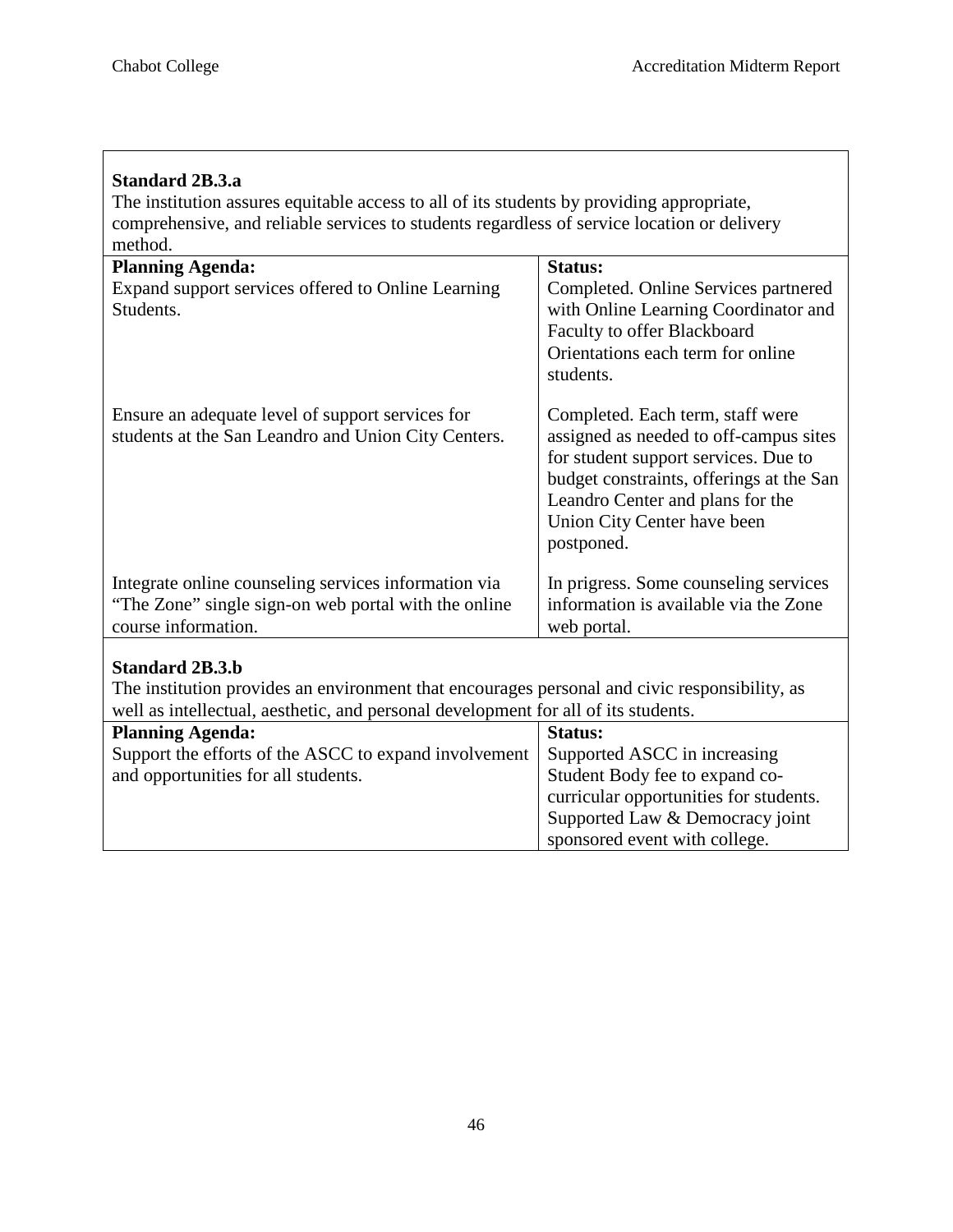| <b>Standard 2B.3.a</b>                                                                                                                                                                                        |                                                                                                                                                                                                                                                 |
|---------------------------------------------------------------------------------------------------------------------------------------------------------------------------------------------------------------|-------------------------------------------------------------------------------------------------------------------------------------------------------------------------------------------------------------------------------------------------|
| The institution assures equitable access to all of its students by providing appropriate,                                                                                                                     |                                                                                                                                                                                                                                                 |
| comprehensive, and reliable services to students regardless of service location or delivery                                                                                                                   |                                                                                                                                                                                                                                                 |
| method.                                                                                                                                                                                                       |                                                                                                                                                                                                                                                 |
| <b>Planning Agenda:</b>                                                                                                                                                                                       | Status:                                                                                                                                                                                                                                         |
| Expand support services offered to Online Learning<br>Students.                                                                                                                                               | Completed. Online Services partnered<br>with Online Learning Coordinator and<br>Faculty to offer Blackboard<br>Orientations each term for online<br>students.                                                                                   |
| Ensure an adequate level of support services for<br>students at the San Leandro and Union City Centers.                                                                                                       | Completed. Each term, staff were<br>assigned as needed to off-campus sites<br>for student support services. Due to<br>budget constraints, offerings at the San<br>Leandro Center and plans for the<br>Union City Center have been<br>postponed. |
| Integrate online counseling services information via<br>"The Zone" single sign-on web portal with the online"<br>course information.                                                                          | In prigress. Some counseling services<br>information is available via the Zone<br>web portal.                                                                                                                                                   |
| <b>Standard 2B.3.b</b><br>The institution provides an environment that encourages personal and civic responsibility, as<br>well as intellectual, aesthetic, and personal development for all of its students. |                                                                                                                                                                                                                                                 |
| <b>Planning Agenda:</b>                                                                                                                                                                                       | Status:                                                                                                                                                                                                                                         |
| Support the efforts of the ASCC to expand involvement                                                                                                                                                         | Supported ASCC in increasing                                                                                                                                                                                                                    |
| and opportunities for all students.                                                                                                                                                                           | Student Body fee to expand co-                                                                                                                                                                                                                  |
|                                                                                                                                                                                                               | curricular opportunities for students.                                                                                                                                                                                                          |
|                                                                                                                                                                                                               | Supported Law & Democracy joint                                                                                                                                                                                                                 |
|                                                                                                                                                                                                               | sponsored event with college.                                                                                                                                                                                                                   |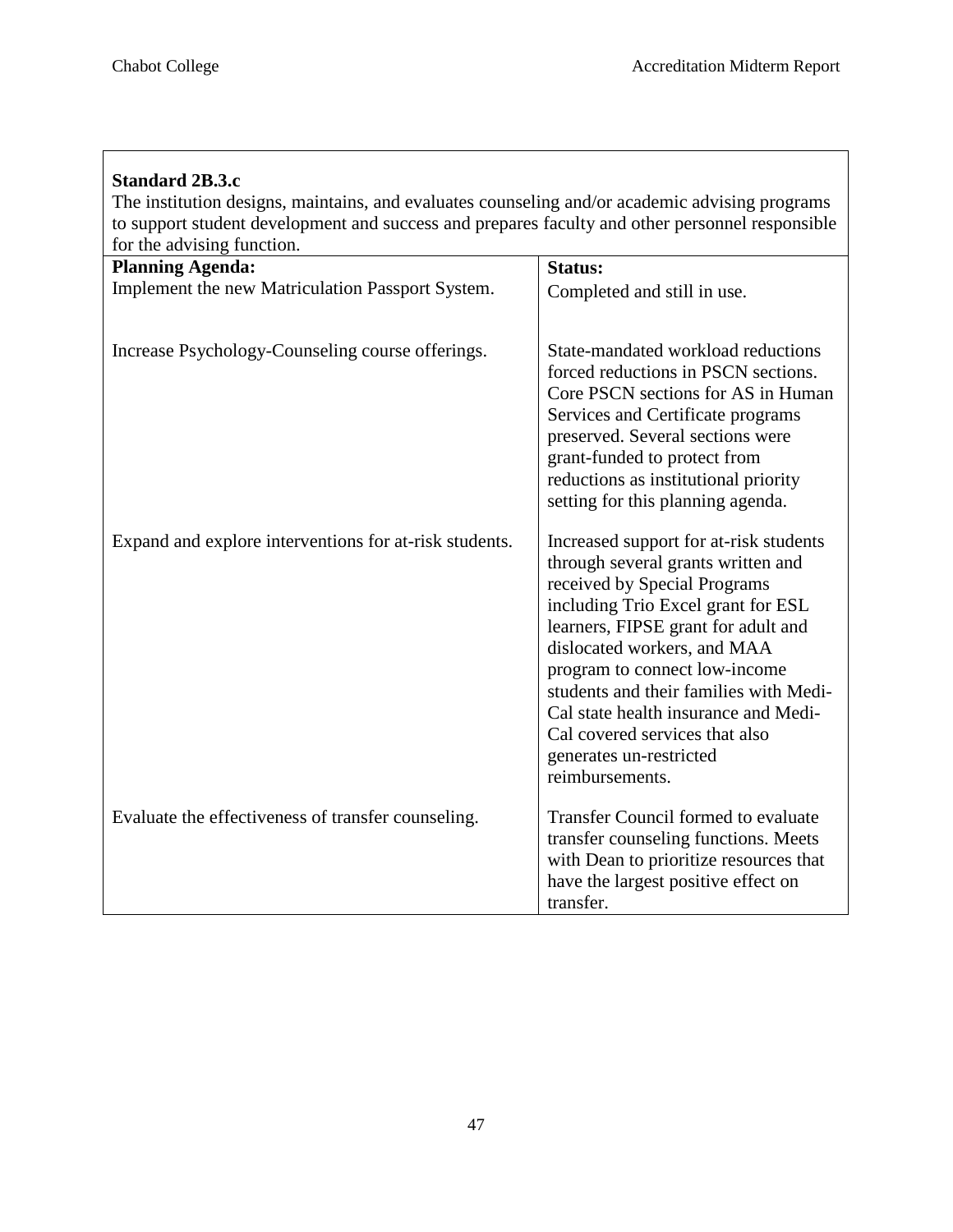| <b>Standard 2B.3.c</b>                                                                          |                                                                                                                                                                                                                                                                                                                                                                                                                             |  |
|-------------------------------------------------------------------------------------------------|-----------------------------------------------------------------------------------------------------------------------------------------------------------------------------------------------------------------------------------------------------------------------------------------------------------------------------------------------------------------------------------------------------------------------------|--|
| The institution designs, maintains, and evaluates counseling and/or academic advising programs  |                                                                                                                                                                                                                                                                                                                                                                                                                             |  |
| to support student development and success and prepares faculty and other personnel responsible |                                                                                                                                                                                                                                                                                                                                                                                                                             |  |
| for the advising function.                                                                      |                                                                                                                                                                                                                                                                                                                                                                                                                             |  |
| <b>Planning Agenda:</b>                                                                         | Status:                                                                                                                                                                                                                                                                                                                                                                                                                     |  |
| Implement the new Matriculation Passport System.                                                | Completed and still in use.                                                                                                                                                                                                                                                                                                                                                                                                 |  |
| Increase Psychology-Counseling course offerings.                                                | State-mandated workload reductions<br>forced reductions in PSCN sections.<br>Core PSCN sections for AS in Human<br>Services and Certificate programs<br>preserved. Several sections were<br>grant-funded to protect from<br>reductions as institutional priority<br>setting for this planning agenda.                                                                                                                       |  |
| Expand and explore interventions for at-risk students.                                          | Increased support for at-risk students<br>through several grants written and<br>received by Special Programs<br>including Trio Excel grant for ESL<br>learners, FIPSE grant for adult and<br>dislocated workers, and MAA<br>program to connect low-income<br>students and their families with Medi-<br>Cal state health insurance and Medi-<br>Cal covered services that also<br>generates un-restricted<br>reimbursements. |  |
| Evaluate the effectiveness of transfer counseling.                                              | Transfer Council formed to evaluate<br>transfer counseling functions. Meets<br>with Dean to prioritize resources that<br>have the largest positive effect on<br>transfer.                                                                                                                                                                                                                                                   |  |

47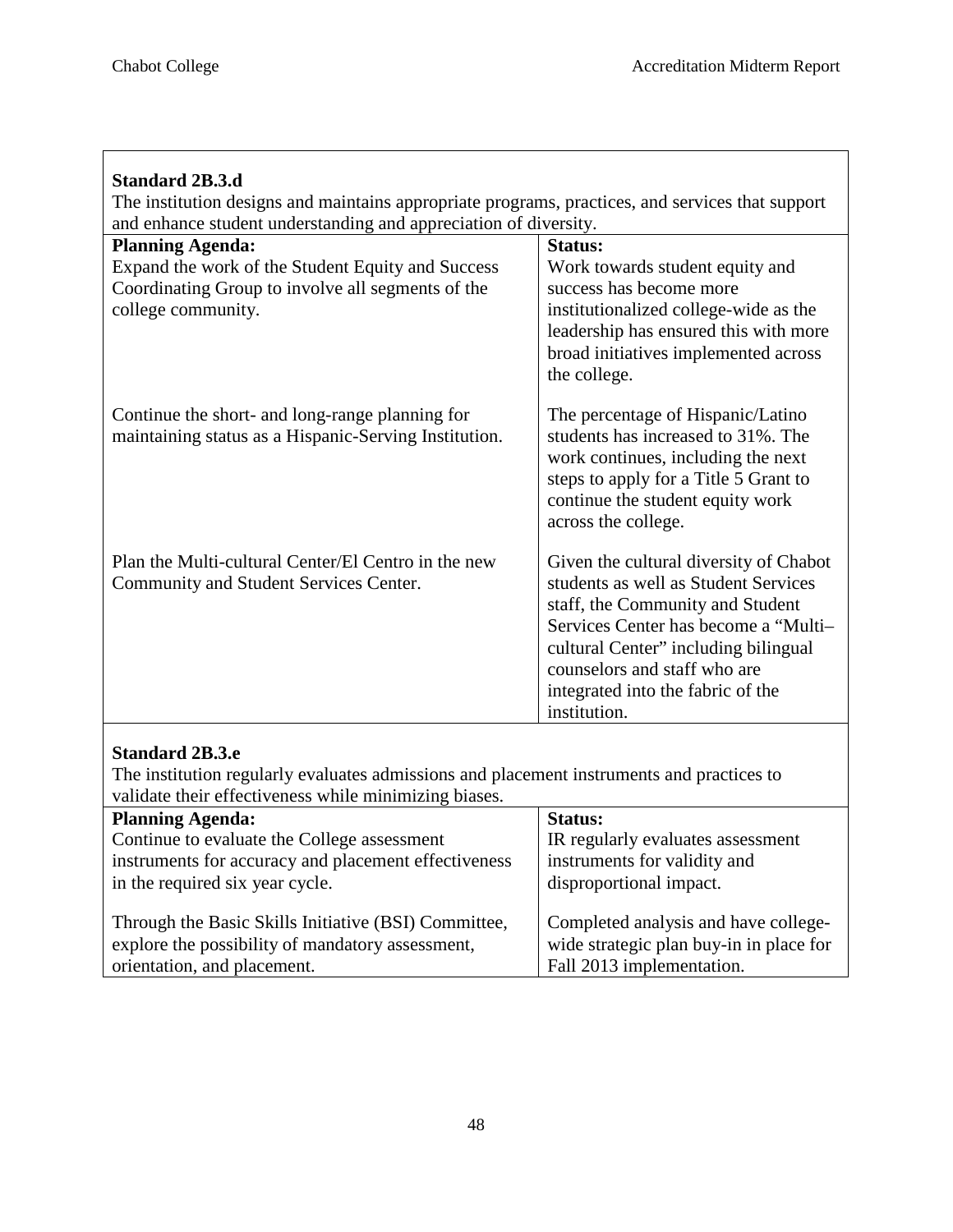| <b>Standard 2B.3.d</b>                                                                           |                                                                                |  |
|--------------------------------------------------------------------------------------------------|--------------------------------------------------------------------------------|--|
| The institution designs and maintains appropriate programs, practices, and services that support |                                                                                |  |
| and enhance student understanding and appreciation of diversity.                                 |                                                                                |  |
| <b>Planning Agenda:</b>                                                                          | <b>Status:</b>                                                                 |  |
| Expand the work of the Student Equity and Success                                                | Work towards student equity and                                                |  |
| Coordinating Group to involve all segments of the                                                | success has become more                                                        |  |
| college community.                                                                               | institutionalized college-wide as the                                          |  |
|                                                                                                  | leadership has ensured this with more                                          |  |
|                                                                                                  | broad initiatives implemented across                                           |  |
|                                                                                                  | the college.                                                                   |  |
| Continue the short- and long-range planning for                                                  | The percentage of Hispanic/Latino                                              |  |
| maintaining status as a Hispanic-Serving Institution.                                            | students has increased to 31%. The                                             |  |
|                                                                                                  | work continues, including the next                                             |  |
|                                                                                                  | steps to apply for a Title 5 Grant to                                          |  |
|                                                                                                  | continue the student equity work                                               |  |
|                                                                                                  | across the college.                                                            |  |
|                                                                                                  |                                                                                |  |
| Plan the Multi-cultural Center/El Centro in the new                                              | Given the cultural diversity of Chabot<br>students as well as Student Services |  |
| Community and Student Services Center.                                                           |                                                                                |  |
|                                                                                                  | staff, the Community and Student<br>Services Center has become a "Multi-       |  |
|                                                                                                  | cultural Center" including bilingual                                           |  |
|                                                                                                  | counselors and staff who are                                                   |  |
|                                                                                                  | integrated into the fabric of the                                              |  |
|                                                                                                  | institution.                                                                   |  |
|                                                                                                  |                                                                                |  |
| <b>Standard 2B.3.e</b>                                                                           |                                                                                |  |

 $\mathsf{I}$ 

The institution regularly evaluates admissions and placement instruments and practices to validate their effectiveness while minimizing biases.

| <b>Planning Agenda:</b>                              | <b>Status:</b>                          |
|------------------------------------------------------|-----------------------------------------|
| Continue to evaluate the College assessment          | IR regularly evaluates assessment       |
| instruments for accuracy and placement effectiveness | instruments for validity and            |
| in the required six year cycle.                      | disproportional impact.                 |
|                                                      |                                         |
| Through the Basic Skills Initiative (BSI) Committee, | Completed analysis and have college-    |
| explore the possibility of mandatory assessment,     | wide strategic plan buy-in in place for |
| orientation, and placement.                          | Fall 2013 implementation.               |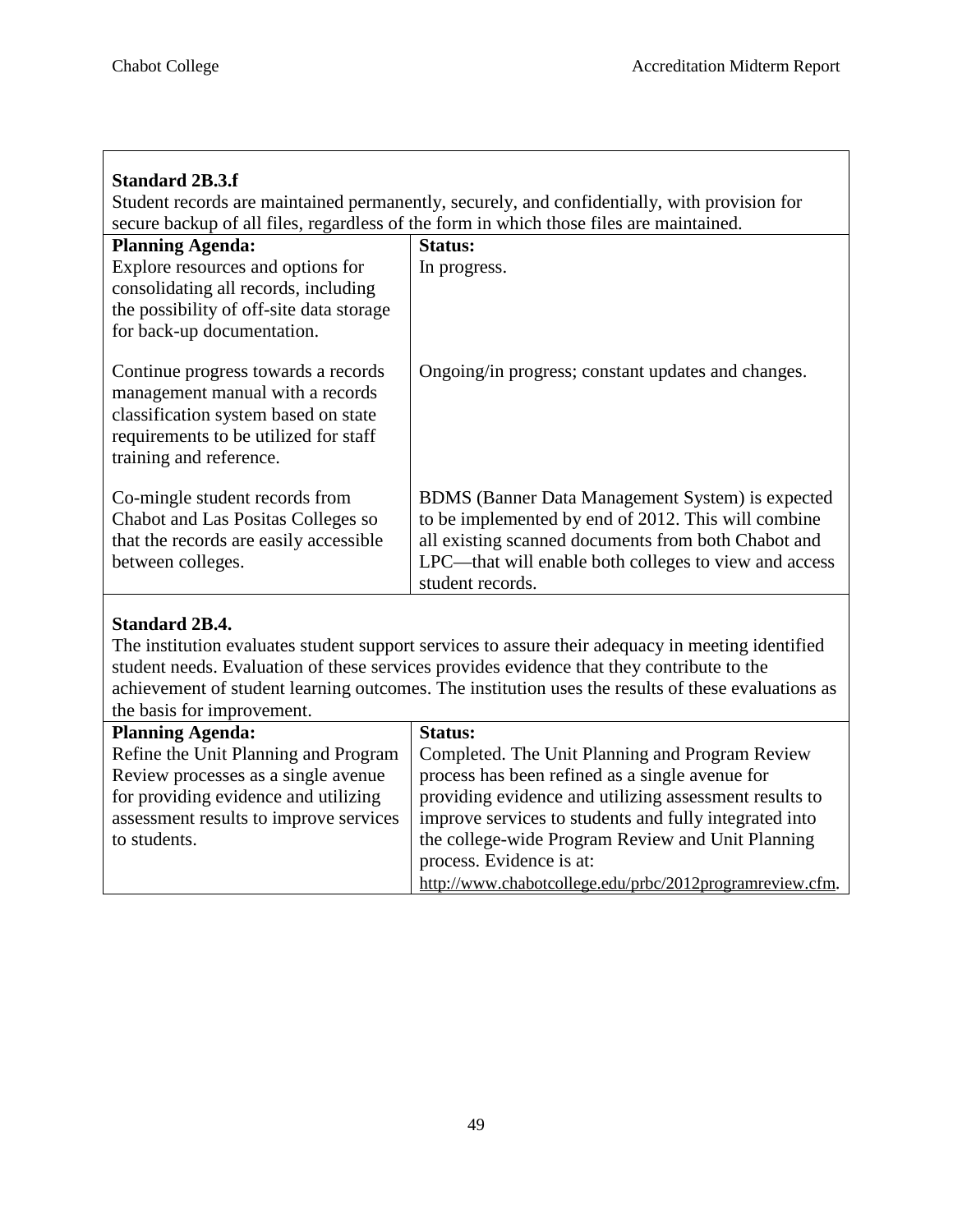# **Standard 2B.3.f**

Student records are maintained permanently, securely, and confidentially, with provision for secure backup of all files, regardless of the form in which those files are maintained.

| <b>Planning Agenda:</b>                                                                                                                                                             | <b>Status:</b>                                                                                                                                                                                                                                     |
|-------------------------------------------------------------------------------------------------------------------------------------------------------------------------------------|----------------------------------------------------------------------------------------------------------------------------------------------------------------------------------------------------------------------------------------------------|
| Explore resources and options for<br>consolidating all records, including<br>the possibility of off-site data storage<br>for back-up documentation.                                 | In progress.                                                                                                                                                                                                                                       |
| Continue progress towards a records<br>management manual with a records<br>classification system based on state<br>requirements to be utilized for staff<br>training and reference. | Ongoing/in progress; constant updates and changes.                                                                                                                                                                                                 |
| Co-mingle student records from<br>Chabot and Las Positas Colleges so<br>that the records are easily accessible<br>between colleges.                                                 | <b>BDMS</b> (Banner Data Management System) is expected<br>to be implemented by end of 2012. This will combine<br>all existing scanned documents from both Chabot and<br>LPC—that will enable both colleges to view and access<br>student records. |

# **Standard 2B.4.**

The institution evaluates student support services to assure their adequacy in meeting identified student needs. Evaluation of these services provides evidence that they contribute to the achievement of student learning outcomes. The institution uses the results of these evaluations as the basis for improvement.

| <b>Planning Agenda:</b>                | <b>Status:</b>                                           |
|----------------------------------------|----------------------------------------------------------|
| Refine the Unit Planning and Program   | Completed. The Unit Planning and Program Review          |
| Review processes as a single avenue    | process has been refined as a single avenue for          |
| for providing evidence and utilizing   | providing evidence and utilizing assessment results to   |
| assessment results to improve services | improve services to students and fully integrated into   |
| to students.                           | the college-wide Program Review and Unit Planning        |
|                                        | process. Evidence is at:                                 |
|                                        | http://www.chabotcollege.edu/prbc/2012programreview.cfm. |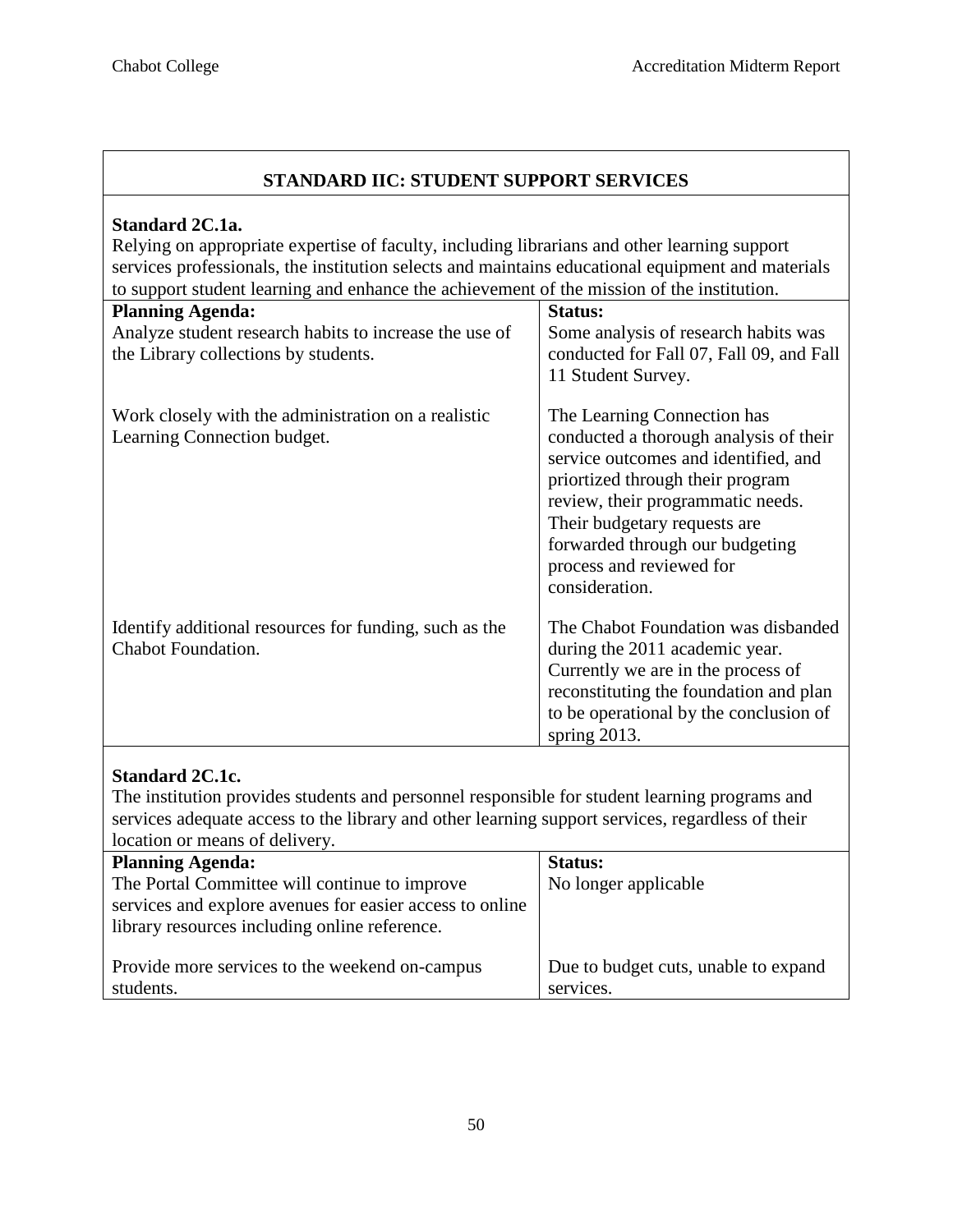# **STANDARD IIC: STUDENT SUPPORT SERVICES**

#### **Standard 2C.1a.**

Relying on appropriate expertise of faculty, including librarians and other learning support services professionals, the institution selects and maintains educational equipment and materials to support student learning and enhance the achievement of the mission of the institution.

| <b>Planning Agenda:</b><br>Analyze student research habits to increase the use of<br>the Library collections by students. | Status:<br>Some analysis of research habits was<br>conducted for Fall 07, Fall 09, and Fall<br>11 Student Survey.                                                                                                                                                                                       |
|---------------------------------------------------------------------------------------------------------------------------|---------------------------------------------------------------------------------------------------------------------------------------------------------------------------------------------------------------------------------------------------------------------------------------------------------|
| Work closely with the administration on a realistic<br>Learning Connection budget.                                        | The Learning Connection has<br>conducted a thorough analysis of their<br>service outcomes and identified, and<br>priortized through their program<br>review, their programmatic needs.<br>Their budgetary requests are<br>forwarded through our budgeting<br>process and reviewed for<br>consideration. |
| Identify additional resources for funding, such as the<br>Chabot Foundation.                                              | The Chabot Foundation was disbanded<br>during the 2011 academic year.<br>Currently we are in the process of<br>reconstituting the foundation and plan<br>to be operational by the conclusion of<br>spring $2013$ .                                                                                      |

# **Standard 2C.1c.**

The institution provides students and personnel responsible for student learning programs and services adequate access to the library and other learning support services, regardless of their location or means of delivery.

| <b>Planning Agenda:</b>                                  | <b>Status:</b>                       |
|----------------------------------------------------------|--------------------------------------|
| The Portal Committee will continue to improve            | No longer applicable                 |
| services and explore avenues for easier access to online |                                      |
| library resources including online reference.            |                                      |
|                                                          |                                      |
| Provide more services to the weekend on-campus           | Due to budget cuts, unable to expand |
| students.                                                | services.                            |
|                                                          |                                      |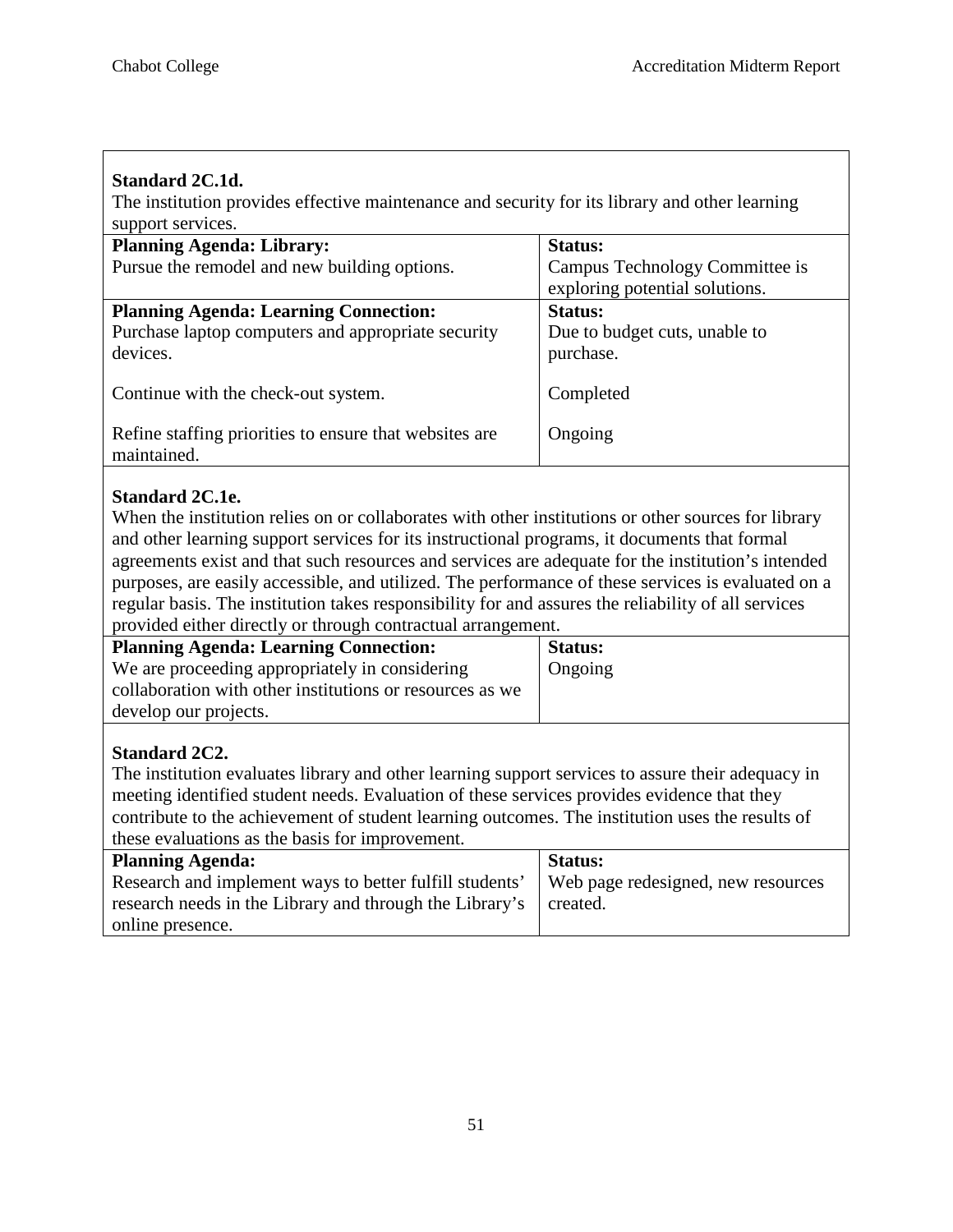# **Standard 2C.1d.**

The institution provides effective maintenance and security for its library and other learning support services.

| <b>Planning Agenda: Library:</b>                                      | <b>Status:</b>                 |
|-----------------------------------------------------------------------|--------------------------------|
| Pursue the remodel and new building options.                          | Campus Technology Committee is |
|                                                                       | exploring potential solutions. |
| <b>Planning Agenda: Learning Connection:</b>                          | Status:                        |
| Purchase laptop computers and appropriate security                    | Due to budget cuts, unable to  |
| devices.                                                              | purchase.                      |
| Continue with the check-out system.                                   | Completed                      |
| Refine staffing priorities to ensure that websites are<br>maintained. | Ongoing                        |

# **Standard 2C.1e.**

When the institution relies on or collaborates with other institutions or other sources for library and other learning support services for its instructional programs, it documents that formal agreements exist and that such resources and services are adequate for the institution's intended purposes, are easily accessible, and utilized. The performance of these services is evaluated on a regular basis. The institution takes responsibility for and assures the reliability of all services provided either directly or through contractual arrangement.

| <b>Planning Agenda: Learning Connection:</b>             | <b>Status:</b> |
|----------------------------------------------------------|----------------|
| We are proceeding appropriately in considering           | Ongoing        |
| collaboration with other institutions or resources as we |                |
| develop our projects.                                    |                |

# **Standard 2C2.**

The institution evaluates library and other learning support services to assure their adequacy in meeting identified student needs. Evaluation of these services provides evidence that they contribute to the achievement of student learning outcomes. The institution uses the results of these evaluations as the basis for improvement.

| <b>Planning Agenda:</b>                                 | <b>Status:</b>                     |
|---------------------------------------------------------|------------------------------------|
| Research and implement ways to better fulfill students' | Web page redesigned, new resources |
| research needs in the Library and through the Library's | created.                           |
| online presence.                                        |                                    |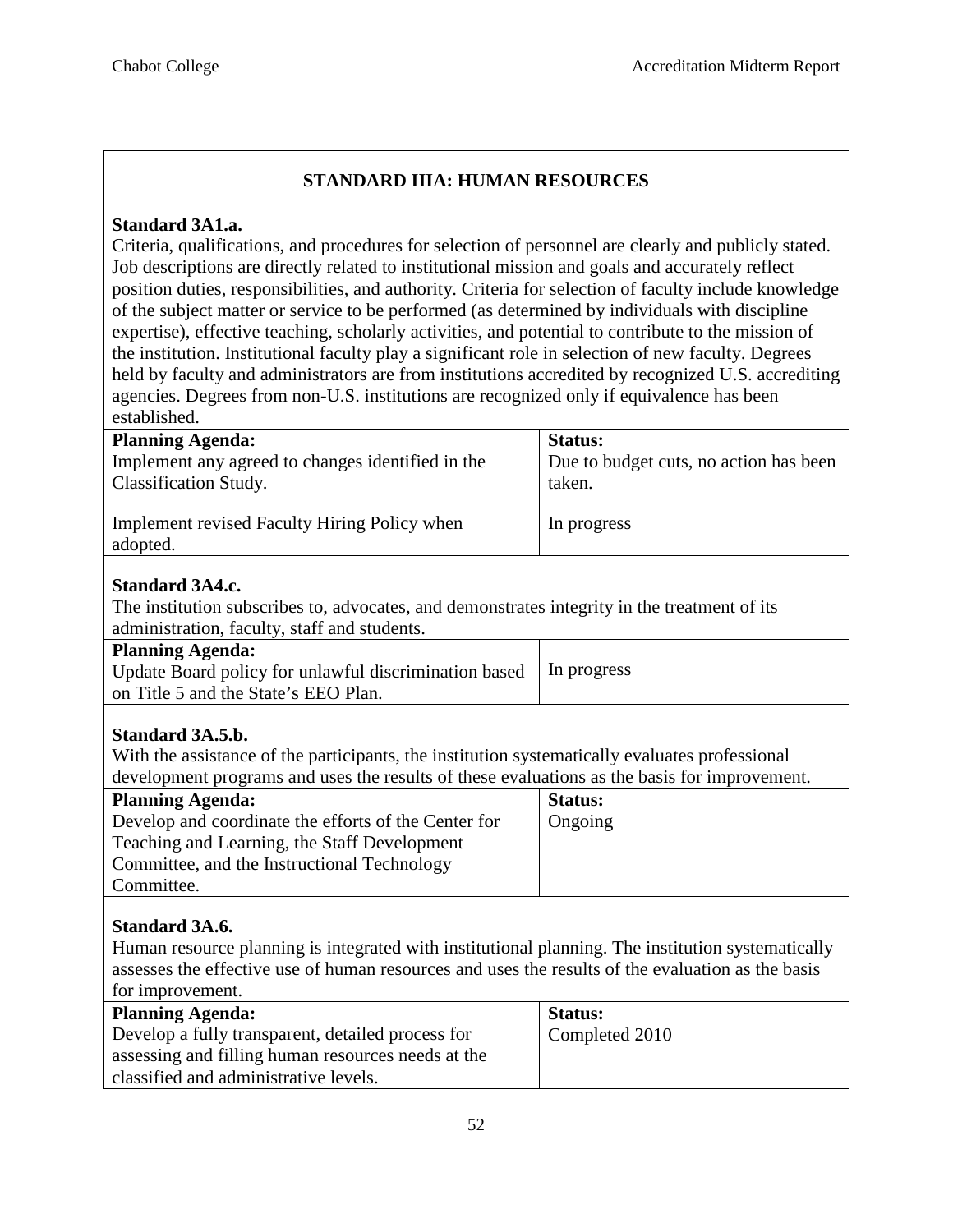# **STANDARD IIIA: HUMAN RESOURCES**

#### **Standard 3A1.a.**

Criteria, qualifications, and procedures for selection of personnel are clearly and publicly stated. Job descriptions are directly related to institutional mission and goals and accurately reflect position duties, responsibilities, and authority. Criteria for selection of faculty include knowledge of the subject matter or service to be performed (as determined by individuals with discipline expertise), effective teaching, scholarly activities, and potential to contribute to the mission of the institution. Institutional faculty play a significant role in selection of new faculty. Degrees held by faculty and administrators are from institutions accredited by recognized U.S. accrediting agencies. Degrees from non-U.S. institutions are recognized only if equivalence has been established.

| <b>Planning Agenda:</b>                                  | Status:                                |
|----------------------------------------------------------|----------------------------------------|
| Implement any agreed to changes identified in the        | Due to budget cuts, no action has been |
| <b>Classification Study.</b>                             | taken.                                 |
| Implement revised Faculty Hiring Policy when<br>adopted. | In progress                            |

#### **Standard 3A4.c.**

The institution subscribes to, advocates, and demonstrates integrity in the treatment of its administration, faculty, staff and students.

| <b>Planning Agenda:</b>                                |             |
|--------------------------------------------------------|-------------|
| Update Board policy for unlawful discrimination based. | In progress |
| on Title 5 and the State's EEO Plan.                   |             |
|                                                        |             |

#### **Standard 3A.5.b.**

With the assistance of the participants, the institution systematically evaluates professional development programs and uses the results of these evaluations as the basis for improvement.

| <b>Planning Agenda:</b>                              | <b>Status:</b> |
|------------------------------------------------------|----------------|
| Develop and coordinate the efforts of the Center for | Ongoing        |
| Teaching and Learning, the Staff Development         |                |
| Committee, and the Instructional Technology          |                |
| Committee.                                           |                |

#### **Standard 3A.6.**

Human resource planning is integrated with institutional planning. The institution systematically assesses the effective use of human resources and uses the results of the evaluation as the basis for improvement.

| <b>Planning Agenda:</b>                            | <b>Status:</b> |
|----------------------------------------------------|----------------|
| Develop a fully transparent, detailed process for  | Completed 2010 |
| assessing and filling human resources needs at the |                |
| classified and administrative levels.              |                |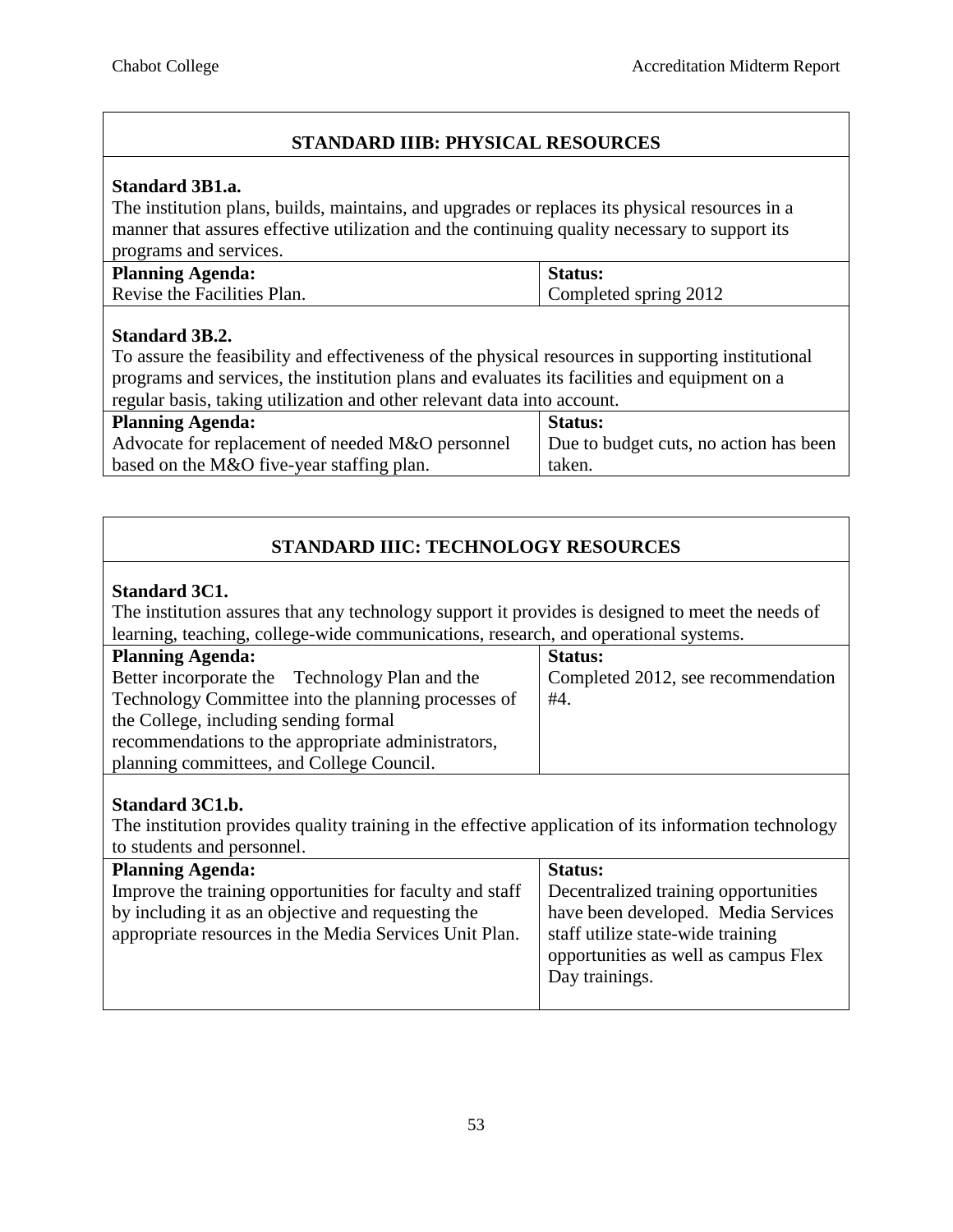# **STANDARD IIIB: PHYSICAL RESOURCES**

#### **Standard 3B1.a.**

The institution plans, builds, maintains, and upgrades or replaces its physical resources in a manner that assures effective utilization and the continuing quality necessary to support its programs and services.

| <b>Planning Agenda:</b>     | Status:               |
|-----------------------------|-----------------------|
| Revise the Facilities Plan. | Completed spring 2012 |

#### **Standard 3B.2.**

To assure the feasibility and effectiveness of the physical resources in supporting institutional programs and services, the institution plans and evaluates its facilities and equipment on a regular basis, taking utilization and other relevant data into account.

| <b>Planning Agenda:</b>                          | <b>Status:</b>                         |
|--------------------------------------------------|----------------------------------------|
| Advocate for replacement of needed M&O personnel | Due to budget cuts, no action has been |
| based on the M&O five-year staffing plan.        | taken.                                 |

# **STANDARD IIIC: TECHNOLOGY RESOURCES**

#### **Standard 3C1.**

The institution assures that any technology support it provides is designed to meet the needs of learning, teaching, college-wide communications, research, and operational systems.

| <b>Planning Agenda:</b>                             | <b>Status:</b>                     |
|-----------------------------------------------------|------------------------------------|
| Better incorporate the Technology Plan and the      | Completed 2012, see recommendation |
| Technology Committee into the planning processes of | #4.                                |
| the College, including sending formal               |                                    |
| recommendations to the appropriate administrators,  |                                    |
| planning committees, and College Council.           |                                    |

#### **Standard 3C1.b.**

The institution provides quality training in the effective application of its information technology to students and personnel.

| <b>Planning Agenda:</b>                                  | <b>Status:</b>                       |
|----------------------------------------------------------|--------------------------------------|
| Improve the training opportunities for faculty and staff | Decentralized training opportunities |
| by including it as an objective and requesting the       | have been developed. Media Services  |
| appropriate resources in the Media Services Unit Plan.   | staff utilize state-wide training    |
|                                                          | opportunities as well as campus Flex |
|                                                          | Day trainings.                       |
|                                                          |                                      |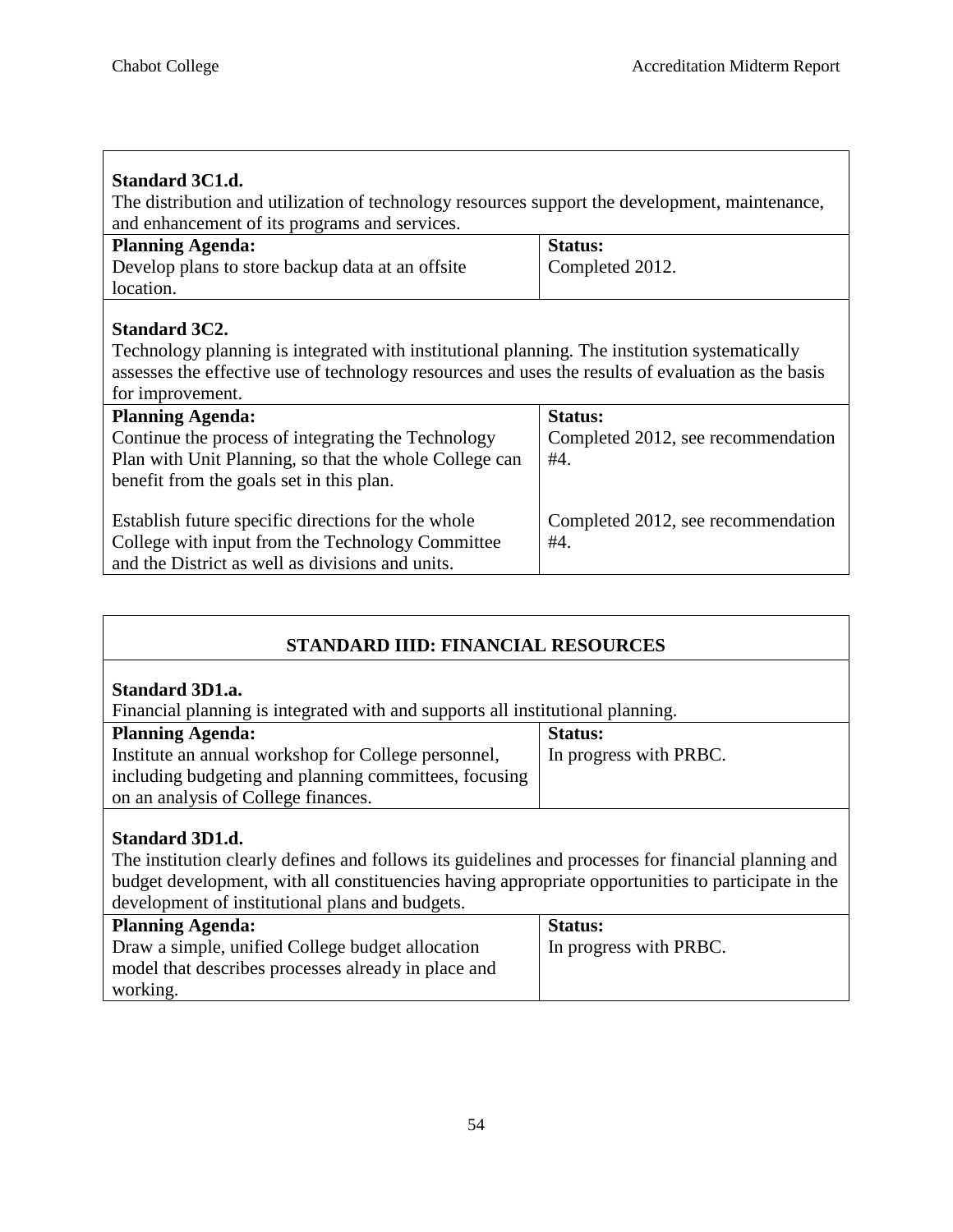| Standard 3C1.d.<br>The distribution and utilization of technology resources support the development, maintenance,<br>and enhancement of its programs and services.                                                                              |                                              |  |
|-------------------------------------------------------------------------------------------------------------------------------------------------------------------------------------------------------------------------------------------------|----------------------------------------------|--|
| <b>Planning Agenda:</b>                                                                                                                                                                                                                         | Status:                                      |  |
| Develop plans to store backup data at an offsite                                                                                                                                                                                                | Completed 2012.                              |  |
| location.                                                                                                                                                                                                                                       |                                              |  |
| <b>Standard 3C2.</b><br>Technology planning is integrated with institutional planning. The institution systematically<br>assesses the effective use of technology resources and uses the results of evaluation as the basis<br>for improvement. |                                              |  |
| <b>Planning Agenda:</b>                                                                                                                                                                                                                         | <b>Status:</b>                               |  |
| Continue the process of integrating the Technology                                                                                                                                                                                              | Completed 2012, see recommendation           |  |
| Plan with Unit Planning, so that the whole College can                                                                                                                                                                                          | #4.                                          |  |
| benefit from the goals set in this plan.                                                                                                                                                                                                        |                                              |  |
| Establish future specific directions for the whole<br>College with input from the Technology Committee<br>and the District as well as divisions and units.                                                                                      | Completed 2012, see recommendation<br>$#4$ . |  |

| STANDARD IIID: FINANCIAL RESOURCES                                                                                                                                                                                                  |                        |  |
|-------------------------------------------------------------------------------------------------------------------------------------------------------------------------------------------------------------------------------------|------------------------|--|
| <b>Standard 3D1.a.</b><br>Financial planning is integrated with and supports all institutional planning.                                                                                                                            |                        |  |
| <b>Planning Agenda:</b>                                                                                                                                                                                                             | <b>Status:</b>         |  |
| Institute an annual workshop for College personnel,                                                                                                                                                                                 | In progress with PRBC. |  |
| including budgeting and planning committees, focusing                                                                                                                                                                               |                        |  |
| on an analysis of College finances.                                                                                                                                                                                                 |                        |  |
| <b>Standard 3D1.d.</b><br>The institution clearly defines and follows its guidelines and processes for financial planning and<br>budget development, with all constituencies having appropriate opportunities to participate in the |                        |  |
| development of institutional plans and budgets.<br><b>Planning Agenda:</b>                                                                                                                                                          | Status:                |  |
| Draw a simple, unified College budget allocation<br>model that describes processes already in place and<br>working.                                                                                                                 | In progress with PRBC. |  |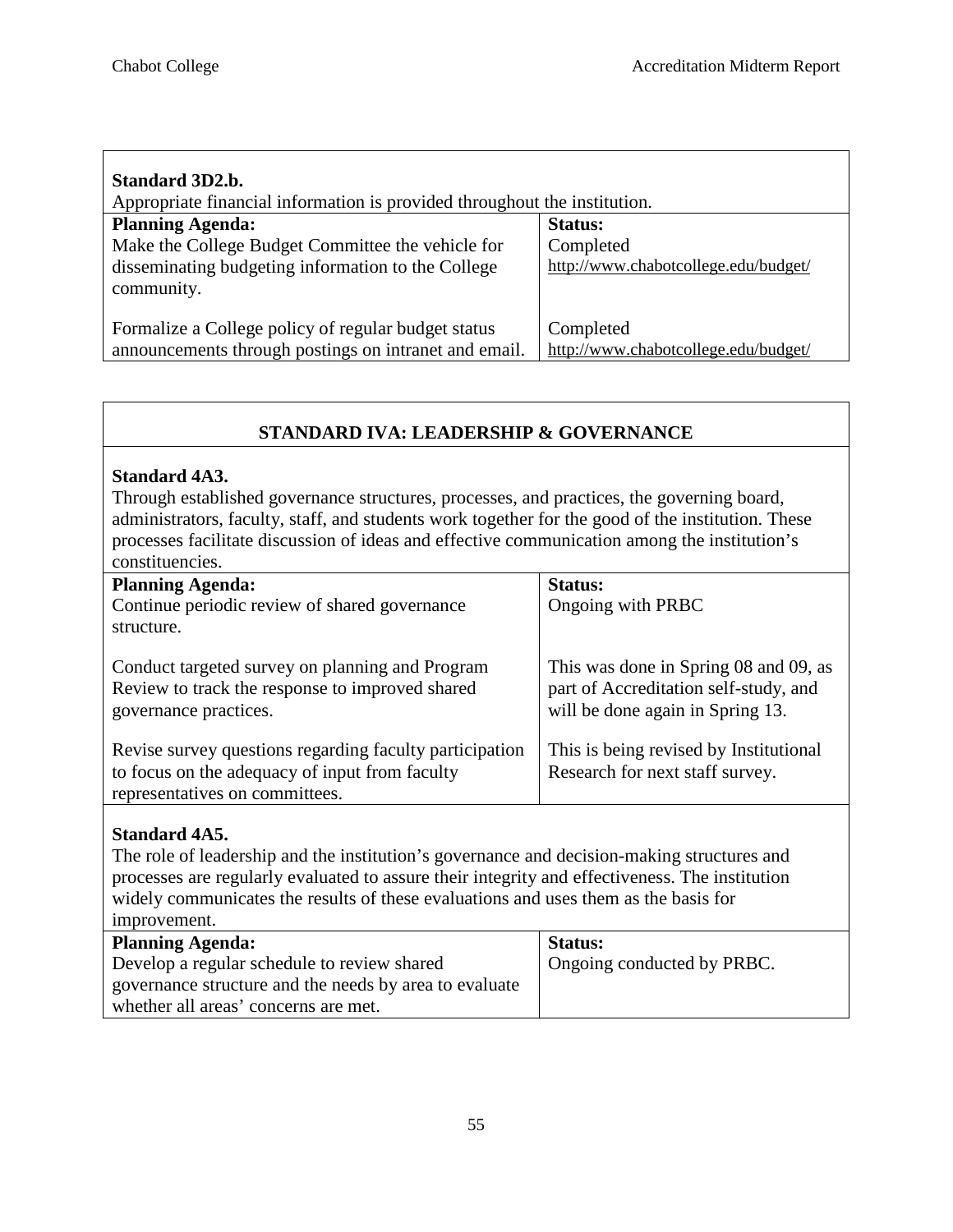| Standard 3D2.b.                                                                                              |                                                   |  |
|--------------------------------------------------------------------------------------------------------------|---------------------------------------------------|--|
| Appropriate financial information is provided throughout the institution.                                    |                                                   |  |
| <b>Planning Agenda:</b>                                                                                      | <b>Status:</b>                                    |  |
| Make the College Budget Committee the vehicle for                                                            | Completed                                         |  |
| disseminating budgeting information to the College<br>community.                                             | http://www.chabotcollege.edu/budget/              |  |
| Formalize a College policy of regular budget status<br>announcements through postings on intranet and email. | Completed<br>http://www.chabotcollege.edu/budget/ |  |
|                                                                                                              |                                                   |  |

# **STANDARD IVA: LEADERSHIP & GOVERNANCE**

#### **Standard 4A3.**

Through established governance structures, processes, and practices, the governing board, administrators, faculty, staff, and students work together for the good of the institution. These processes facilitate discussion of ideas and effective communication among the institution's constituencies.

| <b>Planning Agenda:</b><br>Continue periodic review of shared governance<br>structure.                                                      | <b>Status:</b><br>Ongoing with PRBC                                                                                |
|---------------------------------------------------------------------------------------------------------------------------------------------|--------------------------------------------------------------------------------------------------------------------|
| Conduct targeted survey on planning and Program<br>Review to track the response to improved shared<br>governance practices.                 | This was done in Spring 08 and 09, as<br>part of Accreditation self-study, and<br>will be done again in Spring 13. |
| Revise survey questions regarding faculty participation<br>to focus on the adequacy of input from faculty<br>representatives on committees. | This is being revised by Institutional<br>Research for next staff survey.                                          |

#### **Standard 4A5.**

The role of leadership and the institution's governance and decision-making structures and processes are regularly evaluated to assure their integrity and effectiveness. The institution widely communicates the results of these evaluations and uses them as the basis for improvement.

| <u>hildro velilent.</u>                                |                            |
|--------------------------------------------------------|----------------------------|
| <b>Planning Agenda:</b>                                | <b>Status:</b>             |
| Develop a regular schedule to review shared            | Ongoing conducted by PRBC. |
| governance structure and the needs by area to evaluate |                            |
| whether all areas' concerns are met.                   |                            |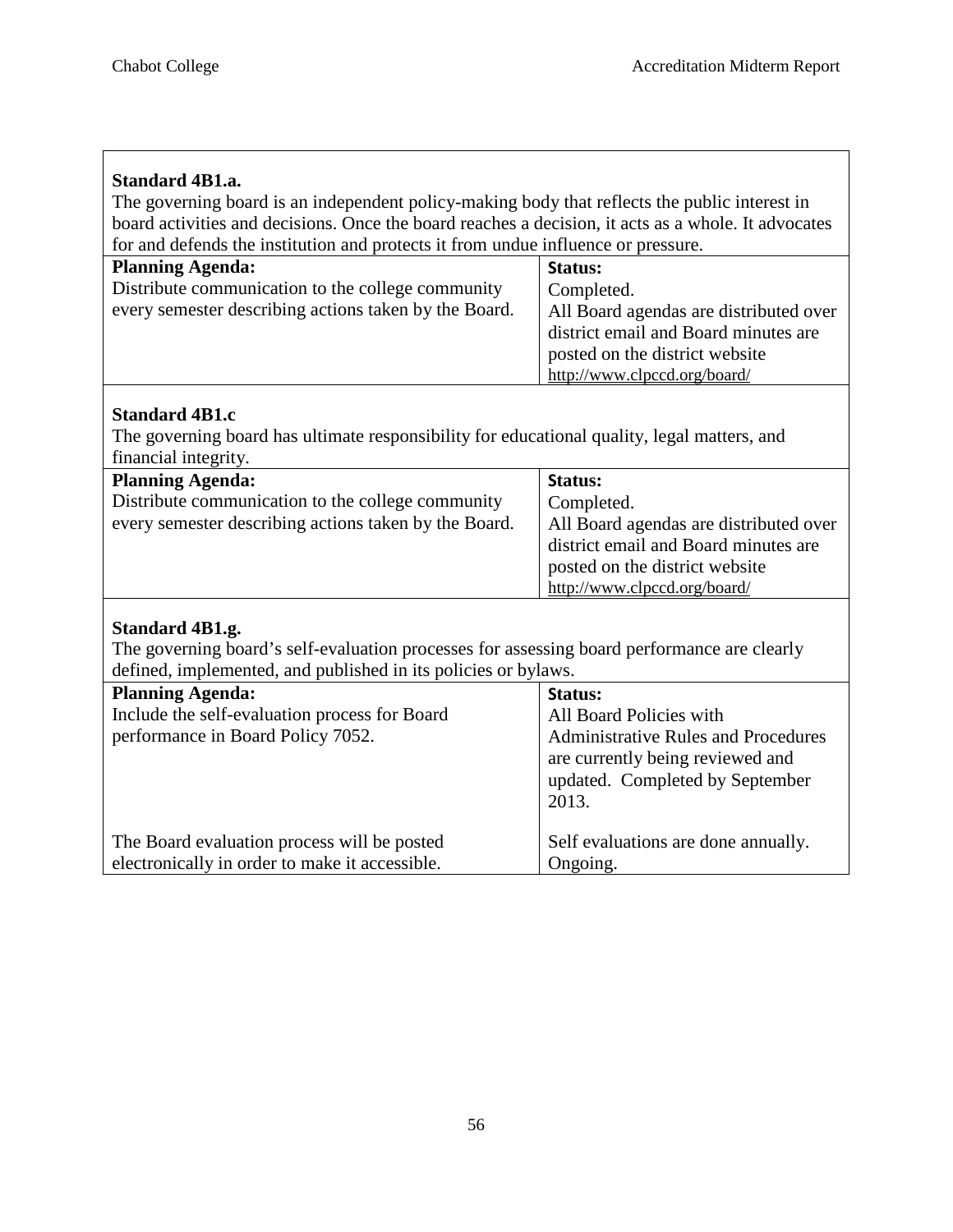ヿ

 $\overline{\Gamma}$ 

| <b>Standard 4B1.a.</b><br>The governing board is an independent policy-making body that reflects the public interest in |                                                                                |
|-------------------------------------------------------------------------------------------------------------------------|--------------------------------------------------------------------------------|
| board activities and decisions. Once the board reaches a decision, it acts as a whole. It advocates                     |                                                                                |
| for and defends the institution and protects it from undue influence or pressure.                                       |                                                                                |
| <b>Planning Agenda:</b>                                                                                                 | Status:                                                                        |
| Distribute communication to the college community                                                                       | Completed.                                                                     |
| every semester describing actions taken by the Board.                                                                   |                                                                                |
|                                                                                                                         | All Board agendas are distributed over<br>district email and Board minutes are |
|                                                                                                                         |                                                                                |
|                                                                                                                         | posted on the district website                                                 |
|                                                                                                                         | http://www.clpccd.org/board/                                                   |
| <b>Standard 4B1.c</b>                                                                                                   |                                                                                |
|                                                                                                                         |                                                                                |
| The governing board has ultimate responsibility for educational quality, legal matters, and                             |                                                                                |
| financial integrity.                                                                                                    |                                                                                |
| <b>Planning Agenda:</b>                                                                                                 | Status:                                                                        |
| Distribute communication to the college community                                                                       | Completed.                                                                     |
| every semester describing actions taken by the Board.                                                                   | All Board agendas are distributed over                                         |
|                                                                                                                         | district email and Board minutes are                                           |
|                                                                                                                         | posted on the district website                                                 |
|                                                                                                                         | http://www.clpccd.org/board/                                                   |
|                                                                                                                         |                                                                                |
| Standard 4B1.g.                                                                                                         |                                                                                |
| The governing board's self-evaluation processes for assessing board performance are clearly                             |                                                                                |
| defined, implemented, and published in its policies or bylaws.                                                          |                                                                                |
| <b>Planning Agenda:</b>                                                                                                 | Status:                                                                        |
| Include the self-evaluation process for Board                                                                           | All Board Policies with                                                        |
| performance in Board Policy 7052.                                                                                       | <b>Administrative Rules and Procedures</b>                                     |
|                                                                                                                         | are currently being reviewed and                                               |
|                                                                                                                         | updated. Completed by September                                                |
|                                                                                                                         | 2013.                                                                          |
|                                                                                                                         |                                                                                |
| The Board evaluation process will be posted                                                                             | Self evaluations are done annually.                                            |
| electronically in order to make it accessible.                                                                          | Ongoing.                                                                       |
|                                                                                                                         |                                                                                |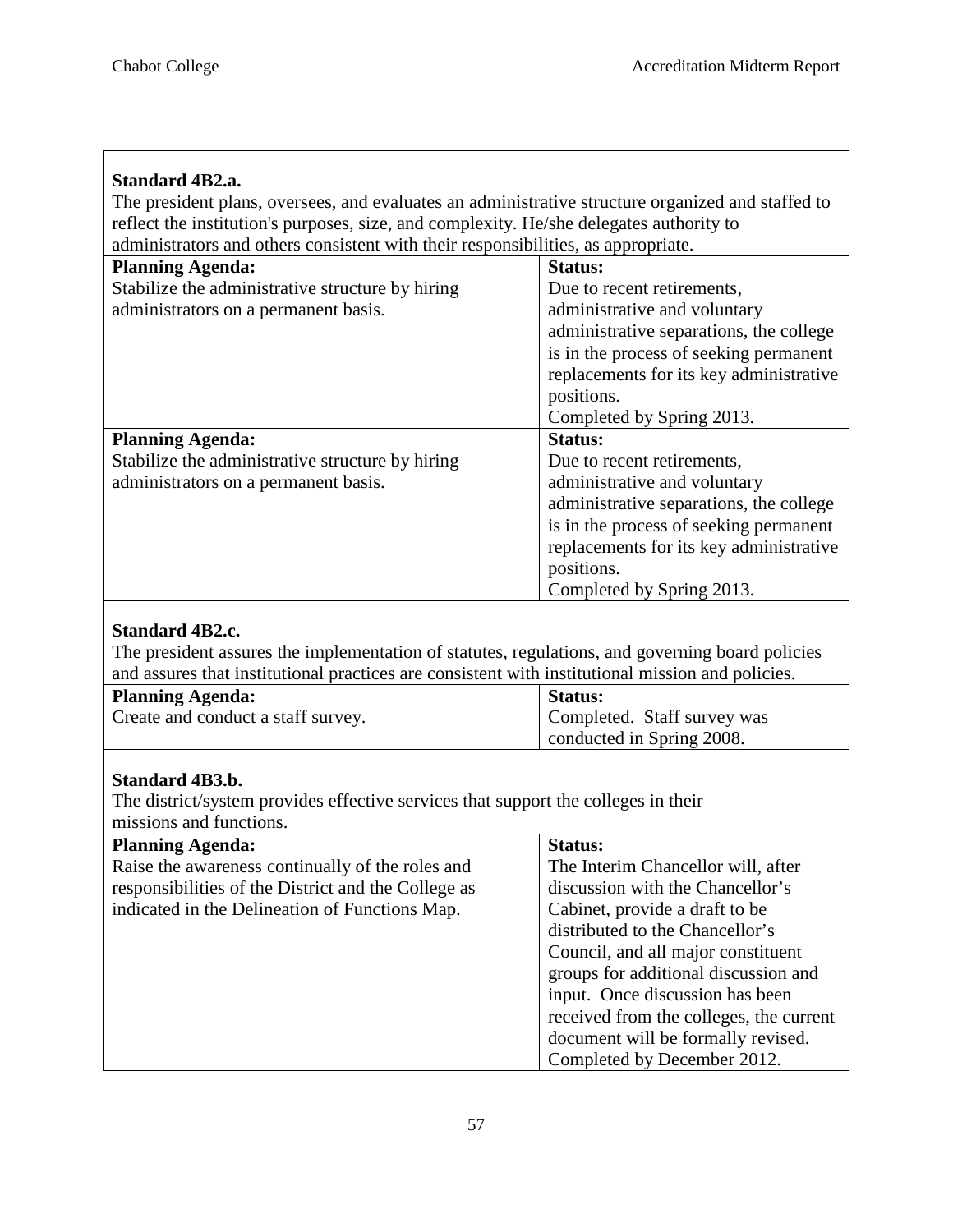Г

| <b>Standard 4B2.a.</b><br>The president plans, oversees, and evaluates an administrative structure organized and staffed to<br>reflect the institution's purposes, size, and complexity. He/she delegates authority to<br>administrators and others consistent with their responsibilities, as appropriate. |                                         |  |  |  |  |  |
|-------------------------------------------------------------------------------------------------------------------------------------------------------------------------------------------------------------------------------------------------------------------------------------------------------------|-----------------------------------------|--|--|--|--|--|
| <b>Planning Agenda:</b>                                                                                                                                                                                                                                                                                     | <b>Status:</b>                          |  |  |  |  |  |
| Stabilize the administrative structure by hiring                                                                                                                                                                                                                                                            | Due to recent retirements,              |  |  |  |  |  |
| administrators on a permanent basis.                                                                                                                                                                                                                                                                        | administrative and voluntary            |  |  |  |  |  |
|                                                                                                                                                                                                                                                                                                             | administrative separations, the college |  |  |  |  |  |
|                                                                                                                                                                                                                                                                                                             | is in the process of seeking permanent  |  |  |  |  |  |
|                                                                                                                                                                                                                                                                                                             | replacements for its key administrative |  |  |  |  |  |
|                                                                                                                                                                                                                                                                                                             | positions.                              |  |  |  |  |  |
|                                                                                                                                                                                                                                                                                                             | Completed by Spring 2013.               |  |  |  |  |  |
| <b>Planning Agenda:</b>                                                                                                                                                                                                                                                                                     | <b>Status:</b>                          |  |  |  |  |  |
| Stabilize the administrative structure by hiring                                                                                                                                                                                                                                                            | Due to recent retirements,              |  |  |  |  |  |
| administrators on a permanent basis.                                                                                                                                                                                                                                                                        | administrative and voluntary            |  |  |  |  |  |
|                                                                                                                                                                                                                                                                                                             | administrative separations, the college |  |  |  |  |  |
|                                                                                                                                                                                                                                                                                                             | is in the process of seeking permanent  |  |  |  |  |  |
|                                                                                                                                                                                                                                                                                                             | replacements for its key administrative |  |  |  |  |  |
|                                                                                                                                                                                                                                                                                                             | positions.                              |  |  |  |  |  |
|                                                                                                                                                                                                                                                                                                             | Completed by Spring 2013.               |  |  |  |  |  |
|                                                                                                                                                                                                                                                                                                             |                                         |  |  |  |  |  |
| <b>Standard 4B2.c.</b>                                                                                                                                                                                                                                                                                      |                                         |  |  |  |  |  |
| The president assures the implementation of statutes, regulations, and governing board policies                                                                                                                                                                                                             |                                         |  |  |  |  |  |
| and assures that institutional practices are consistent with institutional mission and policies.                                                                                                                                                                                                            |                                         |  |  |  |  |  |
| <b>Planning Agenda:</b>                                                                                                                                                                                                                                                                                     | <b>Status:</b>                          |  |  |  |  |  |
| Create and conduct a staff survey.                                                                                                                                                                                                                                                                          | Completed. Staff survey was             |  |  |  |  |  |
|                                                                                                                                                                                                                                                                                                             | conducted in Spring 2008.               |  |  |  |  |  |

# **Standard 4B3.b.**

The district/system provides effective services that support the colleges in their missions and functions.

| <b>Planning Agenda:</b>                             | <b>Status:</b>                          |
|-----------------------------------------------------|-----------------------------------------|
| Raise the awareness continually of the roles and    | The Interim Chancellor will, after      |
| responsibilities of the District and the College as | discussion with the Chancellor's        |
| indicated in the Delineation of Functions Map.      | Cabinet, provide a draft to be          |
|                                                     | distributed to the Chancellor's         |
|                                                     | Council, and all major constituent      |
|                                                     | groups for additional discussion and    |
|                                                     | input. Once discussion has been         |
|                                                     | received from the colleges, the current |
|                                                     | document will be formally revised.      |
|                                                     | Completed by December 2012.             |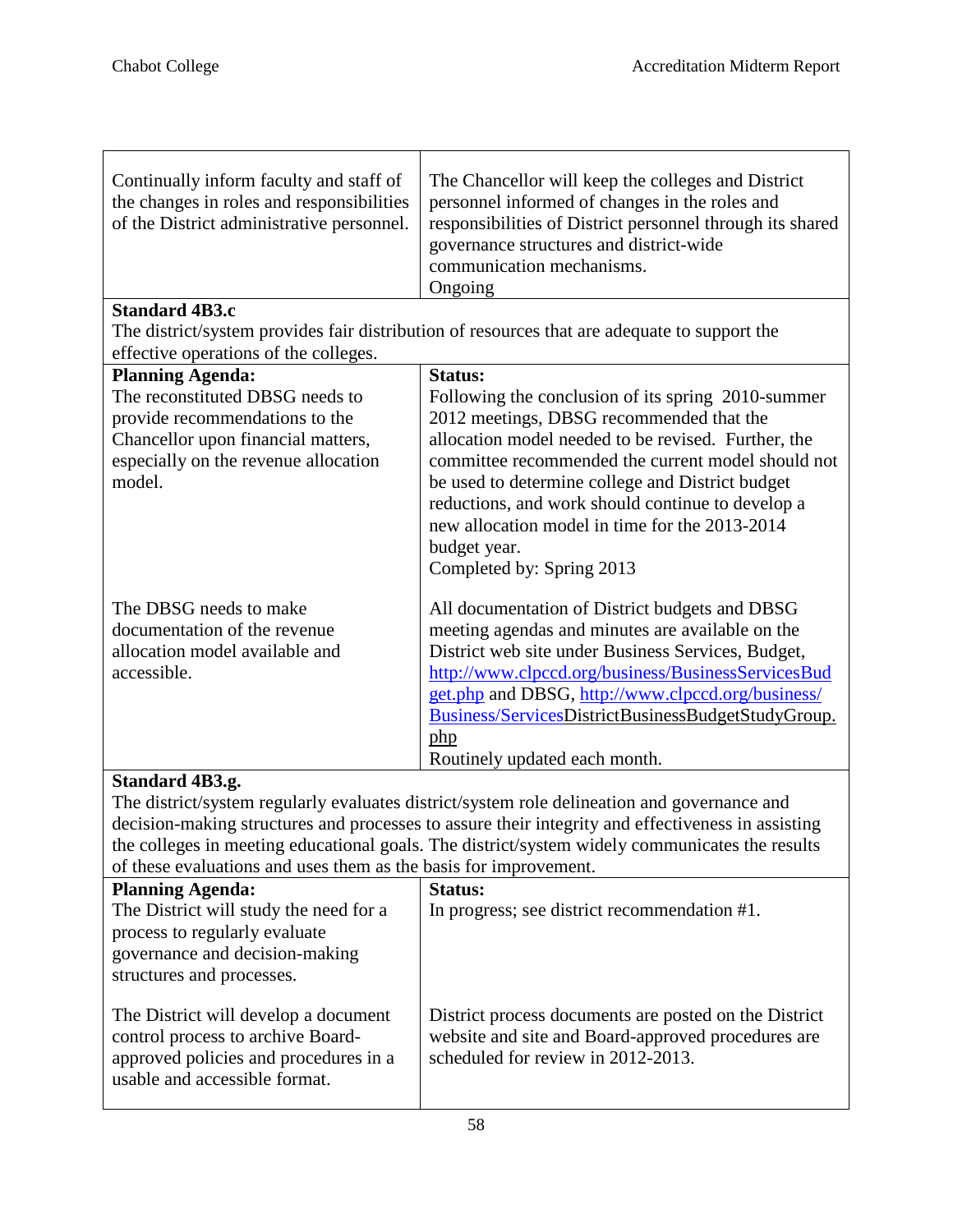| Continually inform faculty and staff of<br>the changes in roles and responsibilities<br>of the District administrative personnel. | The Chancellor will keep the colleges and District<br>personnel informed of changes in the roles and<br>responsibilities of District personnel through its shared<br>governance structures and district-wide<br>communication mechanisms.<br>Ongoing |
|-----------------------------------------------------------------------------------------------------------------------------------|------------------------------------------------------------------------------------------------------------------------------------------------------------------------------------------------------------------------------------------------------|
| <b>Standard 4B3.c</b>                                                                                                             |                                                                                                                                                                                                                                                      |
|                                                                                                                                   | The district/system provides fair distribution of resources that are adequate to support the                                                                                                                                                         |
| effective operations of the colleges.                                                                                             |                                                                                                                                                                                                                                                      |
| <b>Planning Agenda:</b>                                                                                                           | <b>Status:</b>                                                                                                                                                                                                                                       |
| The reconstituted DBSG needs to                                                                                                   | Following the conclusion of its spring 2010-summer                                                                                                                                                                                                   |
| provide recommendations to the                                                                                                    | 2012 meetings, DBSG recommended that the                                                                                                                                                                                                             |
| Chancellor upon financial matters,                                                                                                | allocation model needed to be revised. Further, the                                                                                                                                                                                                  |
| especially on the revenue allocation                                                                                              | committee recommended the current model should not                                                                                                                                                                                                   |
| model.                                                                                                                            | be used to determine college and District budget                                                                                                                                                                                                     |
|                                                                                                                                   | reductions, and work should continue to develop a                                                                                                                                                                                                    |
|                                                                                                                                   | new allocation model in time for the 2013-2014                                                                                                                                                                                                       |
|                                                                                                                                   | budget year.                                                                                                                                                                                                                                         |
|                                                                                                                                   | Completed by: Spring 2013                                                                                                                                                                                                                            |
| The DBSG needs to make                                                                                                            | All documentation of District budgets and DBSG                                                                                                                                                                                                       |
| documentation of the revenue                                                                                                      | meeting agendas and minutes are available on the                                                                                                                                                                                                     |
| allocation model available and                                                                                                    | District web site under Business Services, Budget,                                                                                                                                                                                                   |
| accessible.                                                                                                                       | http://www.clpccd.org/business/BusinessServicesBud                                                                                                                                                                                                   |
|                                                                                                                                   | get.php and DBSG, http://www.clpccd.org/business/                                                                                                                                                                                                    |
|                                                                                                                                   | Business/ServicesDistrictBusinessBudgetStudyGroup.                                                                                                                                                                                                   |
|                                                                                                                                   | php                                                                                                                                                                                                                                                  |
|                                                                                                                                   | Routinely updated each month.                                                                                                                                                                                                                        |

# **Standard 4B3.g.**

The district/system regularly evaluates district/system role delineation and governance and decision-making structures and processes to assure their integrity and effectiveness in assisting the colleges in meeting educational goals. The district/system widely communicates the results of these evaluations and uses them as the basis for improvement.

| of these evaluations and does them as the ously for improvement.                                                                                    |                                                                                                                                                   |
|-----------------------------------------------------------------------------------------------------------------------------------------------------|---------------------------------------------------------------------------------------------------------------------------------------------------|
| <b>Planning Agenda:</b>                                                                                                                             | Status:                                                                                                                                           |
| The District will study the need for a<br>process to regularly evaluate<br>governance and decision-making<br>structures and processes.              | In progress; see district recommendation #1.                                                                                                      |
| The District will develop a document<br>control process to archive Board-<br>approved policies and procedures in a<br>usable and accessible format. | District process documents are posted on the District<br>website and site and Board-approved procedures are<br>scheduled for review in 2012-2013. |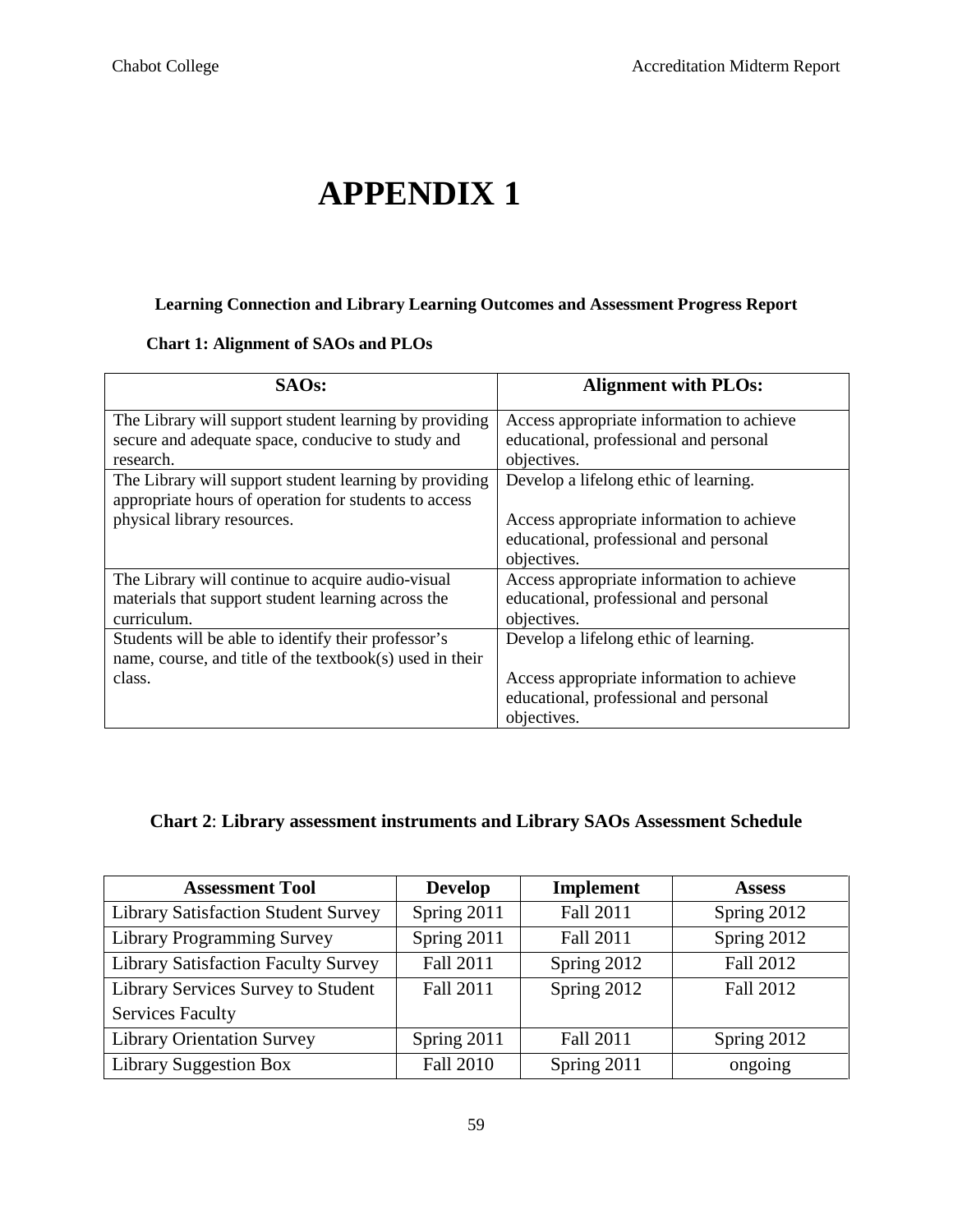# **APPENDIX 1**

#### **Learning Connection and Library Learning Outcomes and Assessment Progress Report**

#### **Chart 1: Alignment of SAOs and PLOs**

| SAO <sub>s</sub> :                                       | <b>Alignment with PLOs:</b>               |
|----------------------------------------------------------|-------------------------------------------|
| The Library will support student learning by providing   | Access appropriate information to achieve |
| secure and adequate space, conducive to study and        | educational, professional and personal    |
| research.                                                | objectives.                               |
| The Library will support student learning by providing   | Develop a lifelong ethic of learning.     |
| appropriate hours of operation for students to access    |                                           |
| physical library resources.                              | Access appropriate information to achieve |
|                                                          | educational, professional and personal    |
|                                                          | objectives.                               |
| The Library will continue to acquire audio-visual        | Access appropriate information to achieve |
| materials that support student learning across the       | educational, professional and personal    |
| curriculum.                                              | objectives.                               |
| Students will be able to identify their professor's      | Develop a lifelong ethic of learning.     |
| name, course, and title of the textbook(s) used in their |                                           |
| class.                                                   | Access appropriate information to achieve |
|                                                          | educational, professional and personal    |
|                                                          | objectives.                               |

# **Chart 2**: **Library assessment instruments and Library SAOs Assessment Schedule**

| <b>Assessment Tool</b>                     | <b>Develop</b>   | <b>Implement</b> | <b>Assess</b>    |
|--------------------------------------------|------------------|------------------|------------------|
| Library Satisfaction Student Survey        | Spring 2011      | Fall 2011        | Spring 2012      |
| <b>Library Programming Survey</b>          | Spring 2011      | Fall 2011        | Spring 2012      |
| <b>Library Satisfaction Faculty Survey</b> | <b>Fall 2011</b> | Spring 2012      | Fall 2012        |
| Library Services Survey to Student         | <b>Fall 2011</b> | Spring 2012      | <b>Fall 2012</b> |
| <b>Services Faculty</b>                    |                  |                  |                  |
| <b>Library Orientation Survey</b>          | Spring 2011      | Fall 2011        | Spring 2012      |
| <b>Library Suggestion Box</b>              | <b>Fall 2010</b> | Spring 2011      | ongoing          |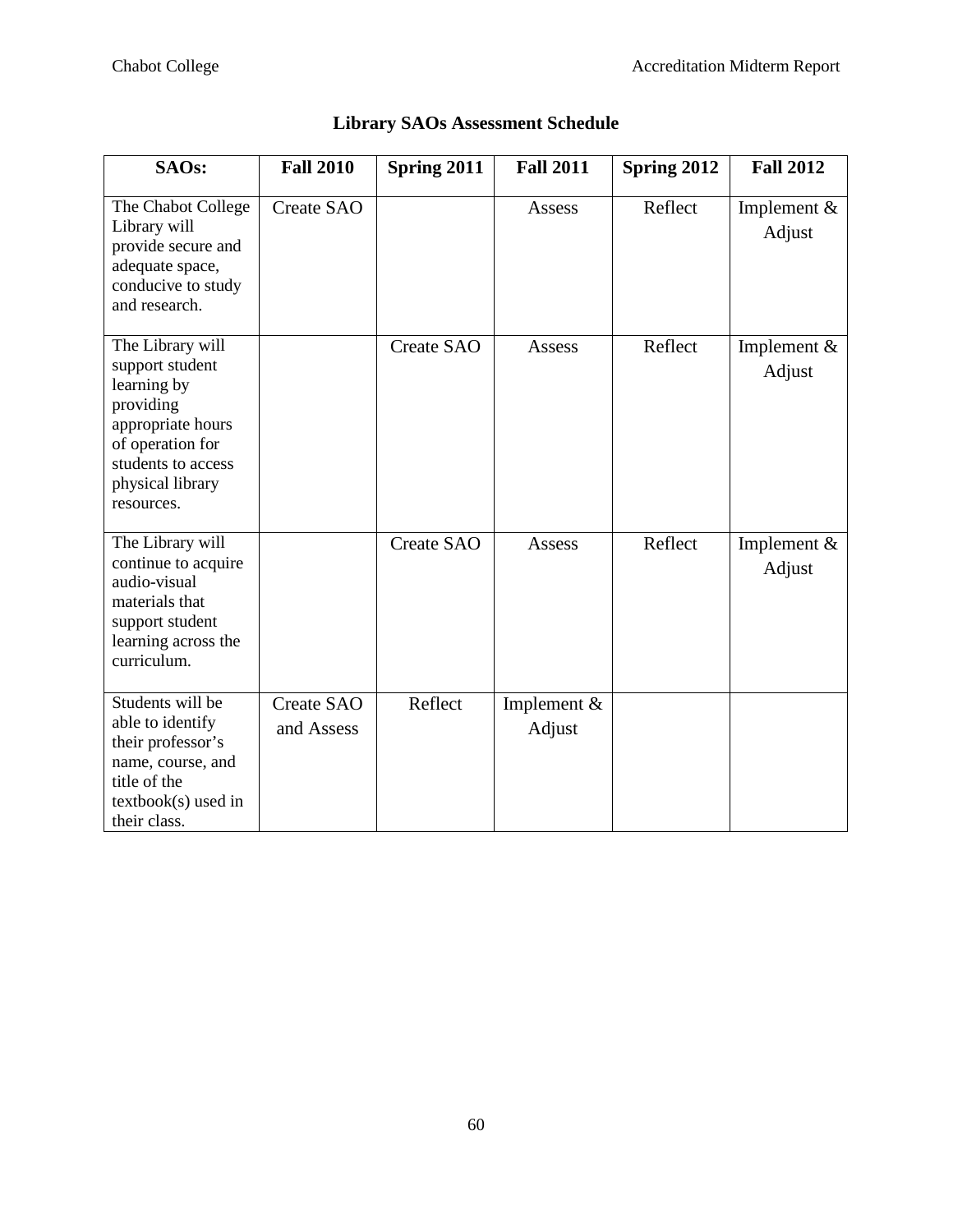| SAOs:                                                                                                                                                            | <b>Fall 2010</b>                | Spring 2011 | <b>Fall 2011</b>      | Spring 2012 | <b>Fall 2012</b>        |
|------------------------------------------------------------------------------------------------------------------------------------------------------------------|---------------------------------|-------------|-----------------------|-------------|-------------------------|
| The Chabot College<br>Library will<br>provide secure and<br>adequate space,<br>conducive to study<br>and research.                                               | <b>Create SAO</b>               |             | Assess                | Reflect     | Implement $&$<br>Adjust |
| The Library will<br>support student<br>learning by<br>providing<br>appropriate hours<br>of operation for<br>students to access<br>physical library<br>resources. |                                 | Create SAO  | Assess                | Reflect     | Implement $&$<br>Adjust |
| The Library will<br>continue to acquire<br>audio-visual<br>materials that<br>support student<br>learning across the<br>curriculum.                               |                                 | Create SAO  | Assess                | Reflect     | Implement $&$<br>Adjust |
| Students will be<br>able to identify<br>their professor's<br>name, course, and<br>title of the<br>textbook(s) used in<br>their class.                            | <b>Create SAO</b><br>and Assess | Reflect     | Implement &<br>Adjust |             |                         |

# **Library SAOs Assessment Schedule**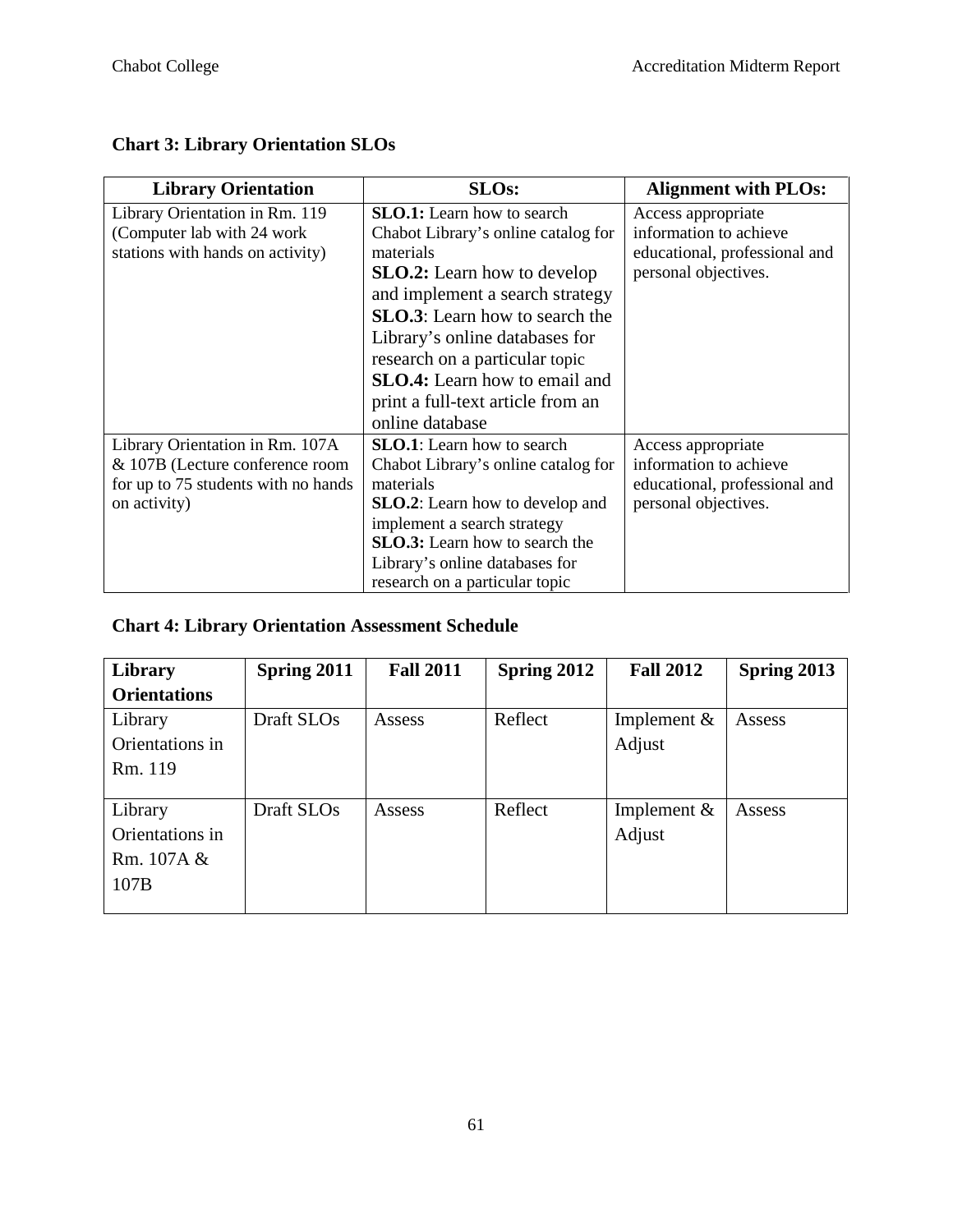# **Chart 3: Library Orientation SLOs**

| <b>Library Orientation</b>          | <b>SLOs:</b>                            | <b>Alignment with PLOs:</b>   |
|-------------------------------------|-----------------------------------------|-------------------------------|
| Library Orientation in Rm. 119      | <b>SLO.1:</b> Learn how to search       | Access appropriate            |
| (Computer lab with 24 work)         | Chabot Library's online catalog for     | information to achieve        |
| stations with hands on activity)    | materials                               | educational, professional and |
|                                     | <b>SLO.2:</b> Learn how to develop      | personal objectives.          |
|                                     | and implement a search strategy         |                               |
|                                     | <b>SLO.3</b> : Learn how to search the  |                               |
|                                     | Library's online databases for          |                               |
|                                     | research on a particular topic          |                               |
|                                     | <b>SLO.4:</b> Learn how to email and    |                               |
|                                     | print a full-text article from an       |                               |
|                                     | online database                         |                               |
| Library Orientation in Rm. 107A     | <b>SLO.1</b> : Learn how to search      | Access appropriate            |
| & 107B (Lecture conference room     | Chabot Library's online catalog for     | information to achieve        |
| for up to 75 students with no hands | materials                               | educational, professional and |
| on activity)                        | <b>SLO.2</b> : Learn how to develop and | personal objectives.          |
|                                     | implement a search strategy             |                               |
|                                     | <b>SLO.3:</b> Learn how to search the   |                               |
|                                     | Library's online databases for          |                               |
|                                     | research on a particular topic          |                               |

# **Chart 4: Library Orientation Assessment Schedule**

| Library             | Spring 2011 | <b>Fall 2011</b> | Spring 2012 | <b>Fall 2012</b> | Spring 2013 |
|---------------------|-------------|------------------|-------------|------------------|-------------|
| <b>Orientations</b> |             |                  |             |                  |             |
| Library             | Draft SLOs  | Assess           | Reflect     | Implement $&$    | Assess      |
| Orientations in     |             |                  |             | Adjust           |             |
| Rm. 119             |             |                  |             |                  |             |
|                     |             |                  |             |                  |             |
| Library             | Draft SLOs  | Assess           | Reflect     | Implement $&$    | Assess      |
| Orientations in     |             |                  |             | Adjust           |             |
| Rm. 107A &          |             |                  |             |                  |             |
| 107B                |             |                  |             |                  |             |
|                     |             |                  |             |                  |             |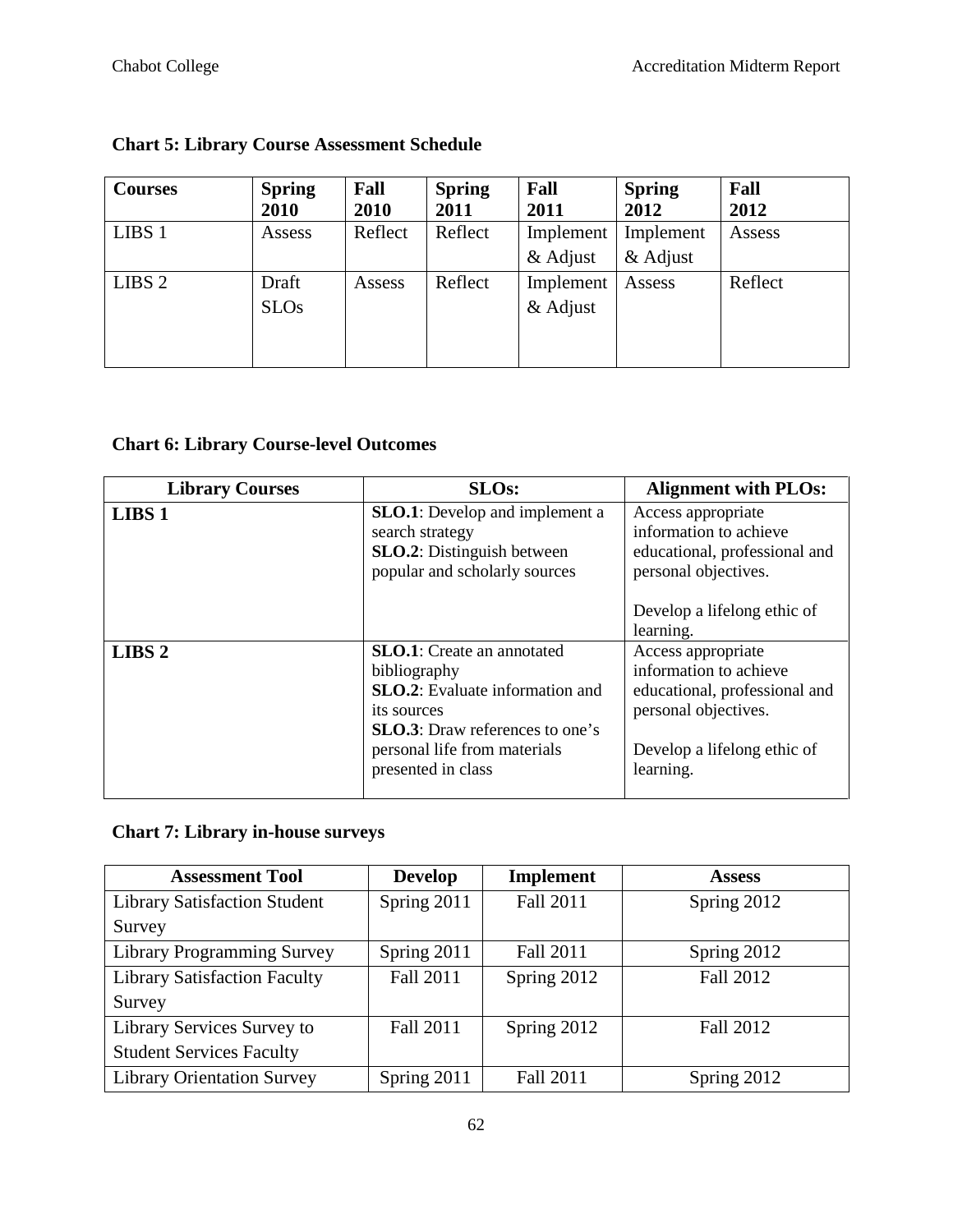| <b>Courses</b>    | <b>Spring</b><br>2010 | Fall<br>2010 | <b>Spring</b><br>2011 | Fall<br>2011 | <b>Spring</b><br>2012 | Fall<br>2012 |
|-------------------|-----------------------|--------------|-----------------------|--------------|-----------------------|--------------|
| LIBS 1            | Assess                | Reflect      | Reflect               | Implement    | Implement             | Assess       |
|                   |                       |              |                       | & Adjust     | & Adjust              |              |
| LIBS <sub>2</sub> | Draft                 | Assess       | Reflect               | Implement    | Assess                | Reflect      |
|                   | <b>SLOs</b>           |              |                       | $&$ Adjust   |                       |              |
|                   |                       |              |                       |              |                       |              |
|                   |                       |              |                       |              |                       |              |

# **Chart 5: Library Course Assessment Schedule**

# **Chart 6: Library Course-level Outcomes**

| <b>Library Courses</b> | <b>SLOs:</b>                                                                                                                                                                                          | <b>Alignment with PLOs:</b>                                                                                                                       |
|------------------------|-------------------------------------------------------------------------------------------------------------------------------------------------------------------------------------------------------|---------------------------------------------------------------------------------------------------------------------------------------------------|
| LIBS <sub>1</sub>      | <b>SLO.1</b> : Develop and implement a<br>search strategy<br><b>SLO.2</b> : Distinguish between<br>popular and scholarly sources                                                                      | Access appropriate<br>information to achieve<br>educational, professional and<br>personal objectives.                                             |
|                        |                                                                                                                                                                                                       | Develop a lifelong ethic of<br>learning.                                                                                                          |
| LIBS <sub>2</sub>      | <b>SLO.1</b> : Create an annotated<br>bibliography<br>SLO.2: Evaluate information and<br>its sources<br><b>SLO.3</b> : Draw references to one's<br>personal life from materials<br>presented in class | Access appropriate<br>information to achieve<br>educational, professional and<br>personal objectives.<br>Develop a lifelong ethic of<br>learning. |
|                        |                                                                                                                                                                                                       |                                                                                                                                                   |

# **Chart 7: Library in-house surveys**

| <b>Assessment Tool</b>              | <b>Develop</b>   | <b>Implement</b> | <b>Assess</b> |
|-------------------------------------|------------------|------------------|---------------|
| <b>Library Satisfaction Student</b> | Spring 2011      | <b>Fall 2011</b> | Spring 2012   |
| Survey                              |                  |                  |               |
| <b>Library Programming Survey</b>   | Spring 2011      | Fall 2011        | Spring 2012   |
| <b>Library Satisfaction Faculty</b> | <b>Fall 2011</b> | Spring 2012      | Fall 2012     |
| Survey                              |                  |                  |               |
| Library Services Survey to          | Fall 2011        | Spring 2012      | Fall 2012     |
| <b>Student Services Faculty</b>     |                  |                  |               |
| <b>Library Orientation Survey</b>   | Spring 2011      | <b>Fall 2011</b> | Spring 2012   |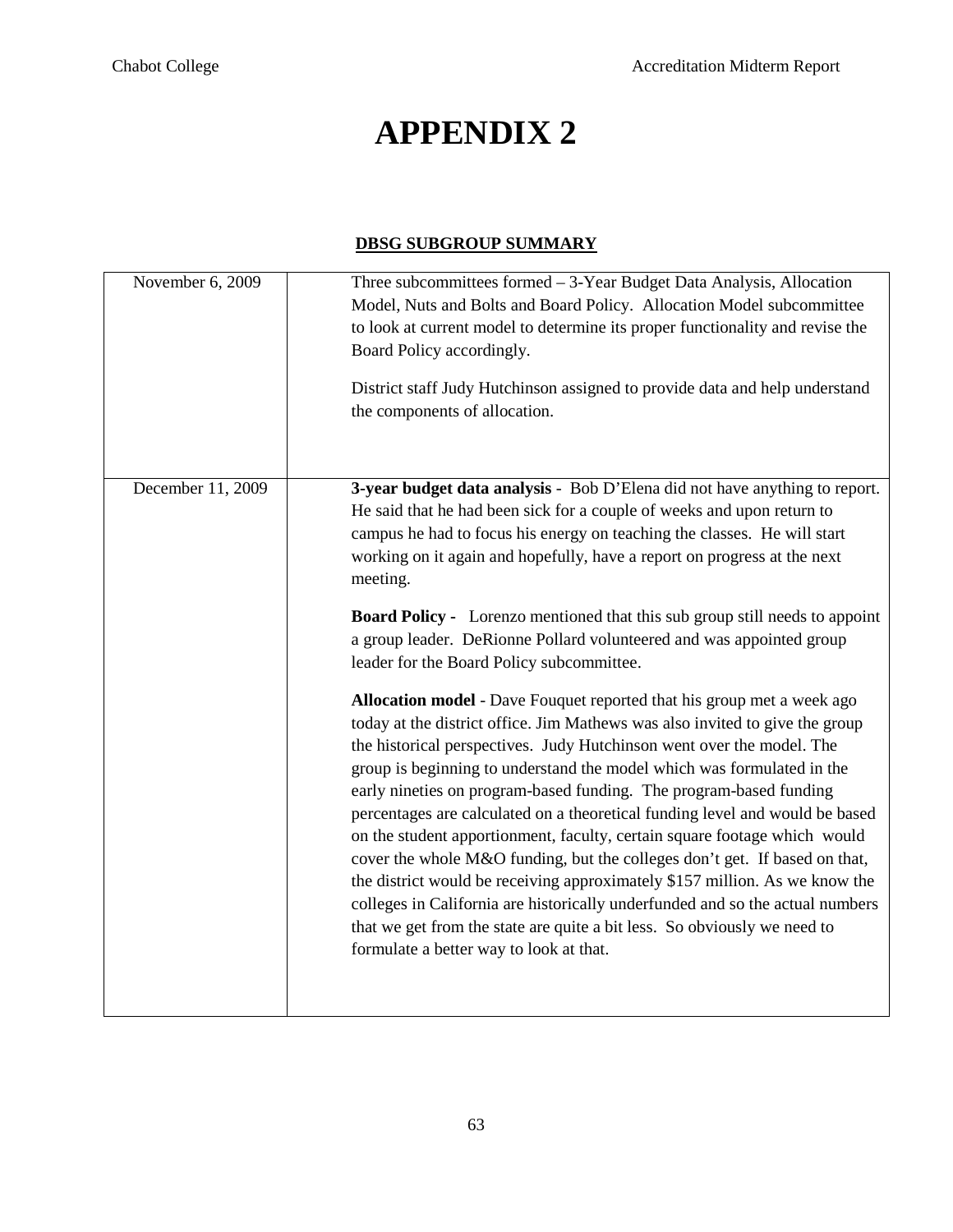# **APPENDIX 2**

### **DBSG SUBGROUP SUMMARY**

| November 6, 2009  | Three subcommittees formed - 3-Year Budget Data Analysis, Allocation<br>Model, Nuts and Bolts and Board Policy. Allocation Model subcommittee<br>to look at current model to determine its proper functionality and revise the<br>Board Policy accordingly.<br>District staff Judy Hutchinson assigned to provide data and help understand<br>the components of allocation.                                                                                                                                                                                                                                                                                                                                                                                                                                                                                                                                                                                                                                                                                                                                                                                                                                                                                                                                                                                                                                                                              |
|-------------------|----------------------------------------------------------------------------------------------------------------------------------------------------------------------------------------------------------------------------------------------------------------------------------------------------------------------------------------------------------------------------------------------------------------------------------------------------------------------------------------------------------------------------------------------------------------------------------------------------------------------------------------------------------------------------------------------------------------------------------------------------------------------------------------------------------------------------------------------------------------------------------------------------------------------------------------------------------------------------------------------------------------------------------------------------------------------------------------------------------------------------------------------------------------------------------------------------------------------------------------------------------------------------------------------------------------------------------------------------------------------------------------------------------------------------------------------------------|
| December 11, 2009 | 3-year budget data analysis - Bob D'Elena did not have anything to report.<br>He said that he had been sick for a couple of weeks and upon return to<br>campus he had to focus his energy on teaching the classes. He will start<br>working on it again and hopefully, have a report on progress at the next<br>meeting.<br><b>Board Policy -</b> Lorenzo mentioned that this sub group still needs to appoint<br>a group leader. DeRionne Pollard volunteered and was appointed group<br>leader for the Board Policy subcommittee.<br>Allocation model - Dave Fouquet reported that his group met a week ago<br>today at the district office. Jim Mathews was also invited to give the group<br>the historical perspectives. Judy Hutchinson went over the model. The<br>group is beginning to understand the model which was formulated in the<br>early nineties on program-based funding. The program-based funding<br>percentages are calculated on a theoretical funding level and would be based<br>on the student apportionment, faculty, certain square footage which would<br>cover the whole M&O funding, but the colleges don't get. If based on that,<br>the district would be receiving approximately \$157 million. As we know the<br>colleges in California are historically underfunded and so the actual numbers<br>that we get from the state are quite a bit less. So obviously we need to<br>formulate a better way to look at that. |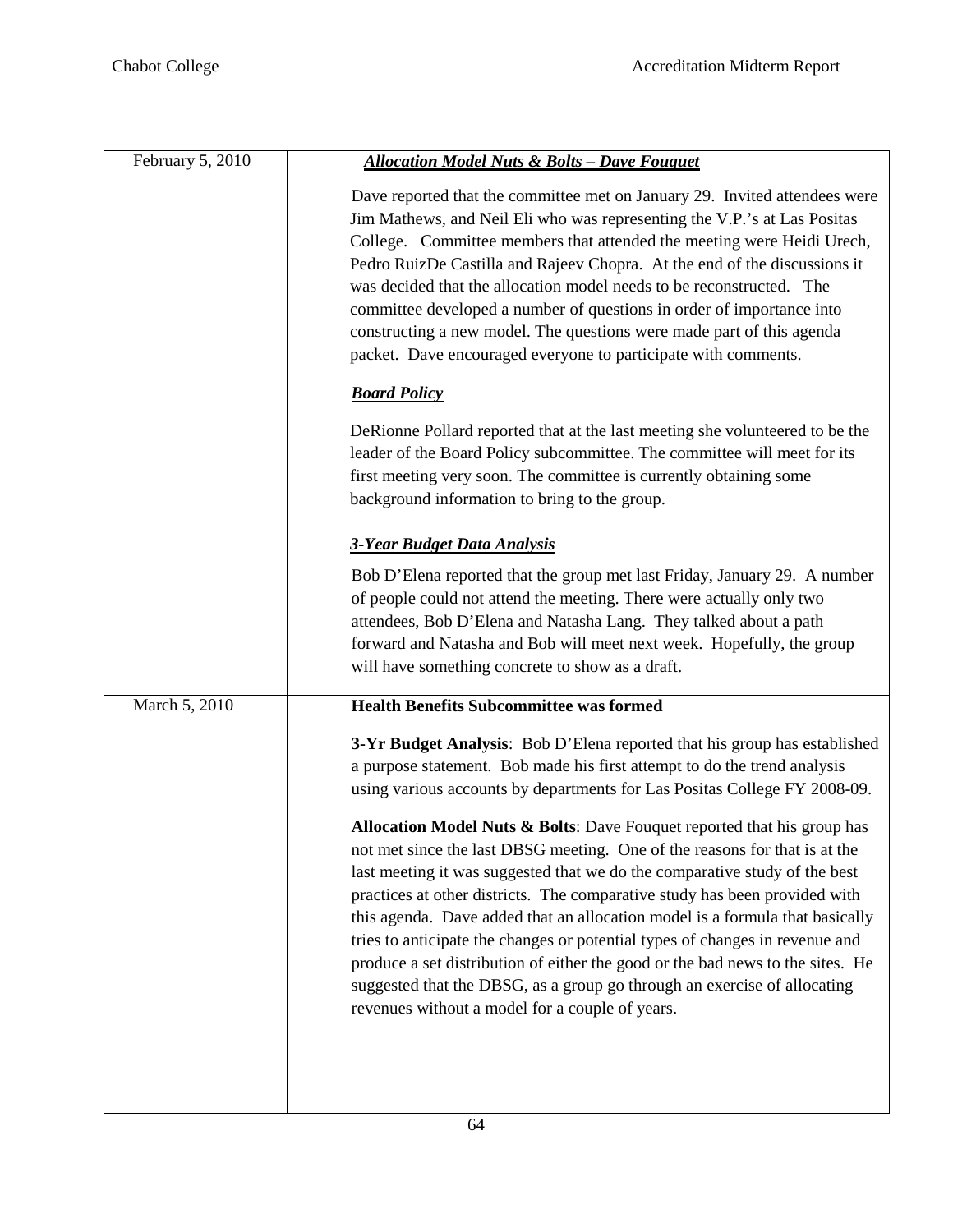| February 5, 2010 | <b>Allocation Model Nuts &amp; Bolts - Dave Fouquet</b>                                                                                                                                                                                                                                                                                                                                                                                                                                                                                                                                                                                                                                            |
|------------------|----------------------------------------------------------------------------------------------------------------------------------------------------------------------------------------------------------------------------------------------------------------------------------------------------------------------------------------------------------------------------------------------------------------------------------------------------------------------------------------------------------------------------------------------------------------------------------------------------------------------------------------------------------------------------------------------------|
|                  | Dave reported that the committee met on January 29. Invited attendees were<br>Jim Mathews, and Neil Eli who was representing the V.P.'s at Las Positas<br>College. Committee members that attended the meeting were Heidi Urech,<br>Pedro RuizDe Castilla and Rajeev Chopra. At the end of the discussions it<br>was decided that the allocation model needs to be reconstructed. The<br>committee developed a number of questions in order of importance into<br>constructing a new model. The questions were made part of this agenda<br>packet. Dave encouraged everyone to participate with comments.                                                                                          |
|                  | <b>Board Policy</b>                                                                                                                                                                                                                                                                                                                                                                                                                                                                                                                                                                                                                                                                                |
|                  | DeRionne Pollard reported that at the last meeting she volunteered to be the<br>leader of the Board Policy subcommittee. The committee will meet for its<br>first meeting very soon. The committee is currently obtaining some<br>background information to bring to the group.                                                                                                                                                                                                                                                                                                                                                                                                                    |
|                  | <b>3-Year Budget Data Analysis</b>                                                                                                                                                                                                                                                                                                                                                                                                                                                                                                                                                                                                                                                                 |
|                  | Bob D'Elena reported that the group met last Friday, January 29. A number<br>of people could not attend the meeting. There were actually only two<br>attendees, Bob D'Elena and Natasha Lang. They talked about a path<br>forward and Natasha and Bob will meet next week. Hopefully, the group<br>will have something concrete to show as a draft.                                                                                                                                                                                                                                                                                                                                                |
| March 5, 2010    | <b>Health Benefits Subcommittee was formed</b>                                                                                                                                                                                                                                                                                                                                                                                                                                                                                                                                                                                                                                                     |
|                  | 3-Yr Budget Analysis: Bob D'Elena reported that his group has established<br>a purpose statement. Bob made his first attempt to do the trend analysis<br>using various accounts by departments for Las Positas College FY 2008-09.                                                                                                                                                                                                                                                                                                                                                                                                                                                                 |
|                  | Allocation Model Nuts & Bolts: Dave Fouquet reported that his group has<br>not met since the last DBSG meeting. One of the reasons for that is at the<br>last meeting it was suggested that we do the comparative study of the best<br>practices at other districts. The comparative study has been provided with<br>this agenda. Dave added that an allocation model is a formula that basically<br>tries to anticipate the changes or potential types of changes in revenue and<br>produce a set distribution of either the good or the bad news to the sites. He<br>suggested that the DBSG, as a group go through an exercise of allocating<br>revenues without a model for a couple of years. |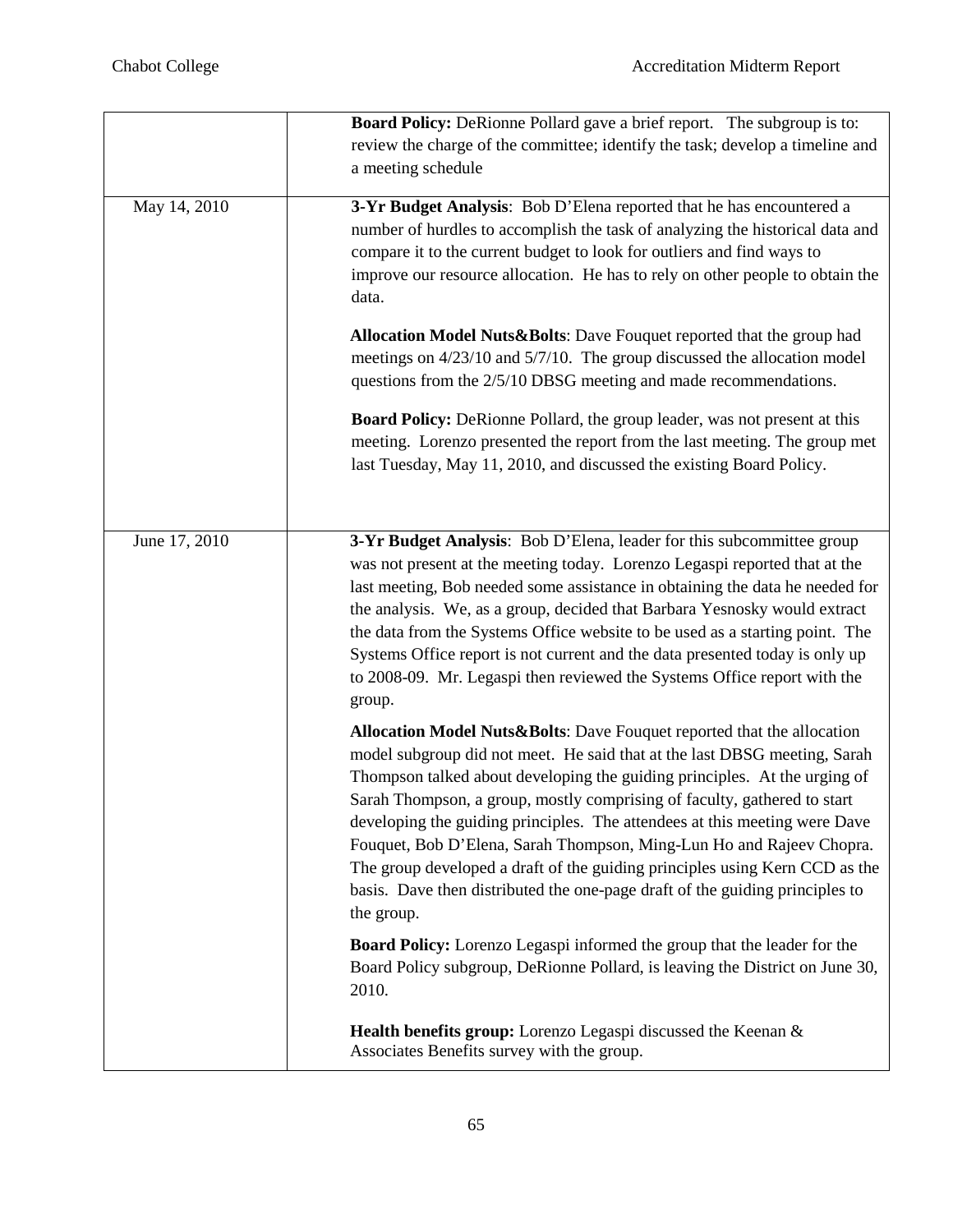|               | <b>Board Policy:</b> DeRionne Pollard gave a brief report. The subgroup is to:<br>review the charge of the committee; identify the task; develop a timeline and<br>a meeting schedule                                                                                                                                                                                                                                                                                                                                                                                                                                                           |
|---------------|-------------------------------------------------------------------------------------------------------------------------------------------------------------------------------------------------------------------------------------------------------------------------------------------------------------------------------------------------------------------------------------------------------------------------------------------------------------------------------------------------------------------------------------------------------------------------------------------------------------------------------------------------|
| May 14, 2010  | 3-Yr Budget Analysis: Bob D'Elena reported that he has encountered a<br>number of hurdles to accomplish the task of analyzing the historical data and<br>compare it to the current budget to look for outliers and find ways to<br>improve our resource allocation. He has to rely on other people to obtain the<br>data.                                                                                                                                                                                                                                                                                                                       |
|               | Allocation Model Nuts&Bolts: Dave Fouquet reported that the group had<br>meetings on 4/23/10 and 5/7/10. The group discussed the allocation model<br>questions from the 2/5/10 DBSG meeting and made recommendations.                                                                                                                                                                                                                                                                                                                                                                                                                           |
|               | <b>Board Policy:</b> DeRionne Pollard, the group leader, was not present at this<br>meeting. Lorenzo presented the report from the last meeting. The group met<br>last Tuesday, May 11, 2010, and discussed the existing Board Policy.                                                                                                                                                                                                                                                                                                                                                                                                          |
| June 17, 2010 | 3-Yr Budget Analysis: Bob D'Elena, leader for this subcommittee group<br>was not present at the meeting today. Lorenzo Legaspi reported that at the<br>last meeting, Bob needed some assistance in obtaining the data he needed for<br>the analysis. We, as a group, decided that Barbara Yesnosky would extract<br>the data from the Systems Office website to be used as a starting point. The<br>Systems Office report is not current and the data presented today is only up<br>to 2008-09. Mr. Legaspi then reviewed the Systems Office report with the<br>group.                                                                          |
|               | Allocation Model Nuts&Bolts: Dave Fouquet reported that the allocation<br>model subgroup did not meet. He said that at the last DBSG meeting, Sarah<br>Thompson talked about developing the guiding principles. At the urging of<br>Sarah Thompson, a group, mostly comprising of faculty, gathered to start<br>developing the guiding principles. The attendees at this meeting were Dave<br>Fouquet, Bob D'Elena, Sarah Thompson, Ming-Lun Ho and Rajeev Chopra.<br>The group developed a draft of the guiding principles using Kern CCD as the<br>basis. Dave then distributed the one-page draft of the guiding principles to<br>the group. |
|               | Board Policy: Lorenzo Legaspi informed the group that the leader for the<br>Board Policy subgroup, DeRionne Pollard, is leaving the District on June 30,<br>2010.                                                                                                                                                                                                                                                                                                                                                                                                                                                                               |
|               | Health benefits group: Lorenzo Legaspi discussed the Keenan &<br>Associates Benefits survey with the group.                                                                                                                                                                                                                                                                                                                                                                                                                                                                                                                                     |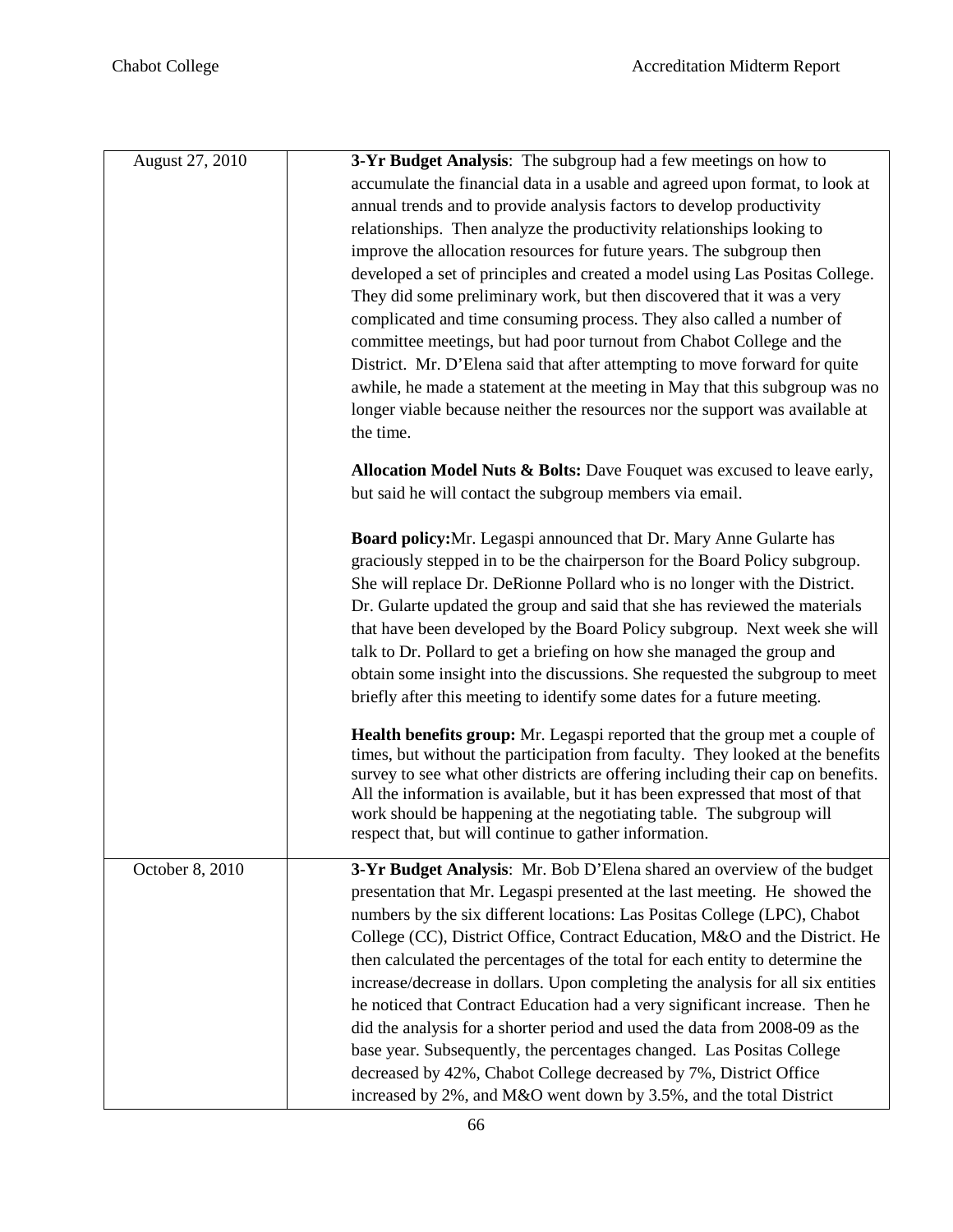| August 27, 2010 | 3-Yr Budget Analysis: The subgroup had a few meetings on how to                                                                                      |
|-----------------|------------------------------------------------------------------------------------------------------------------------------------------------------|
|                 | accumulate the financial data in a usable and agreed upon format, to look at                                                                         |
|                 | annual trends and to provide analysis factors to develop productivity                                                                                |
|                 | relationships. Then analyze the productivity relationships looking to                                                                                |
|                 | improve the allocation resources for future years. The subgroup then                                                                                 |
|                 | developed a set of principles and created a model using Las Positas College.                                                                         |
|                 | They did some preliminary work, but then discovered that it was a very                                                                               |
|                 | complicated and time consuming process. They also called a number of                                                                                 |
|                 | committee meetings, but had poor turnout from Chabot College and the                                                                                 |
|                 | District. Mr. D'Elena said that after attempting to move forward for quite                                                                           |
|                 | awhile, he made a statement at the meeting in May that this subgroup was no                                                                          |
|                 | longer viable because neither the resources nor the support was available at                                                                         |
|                 | the time.                                                                                                                                            |
|                 |                                                                                                                                                      |
|                 | Allocation Model Nuts & Bolts: Dave Fouquet was excused to leave early,                                                                              |
|                 | but said he will contact the subgroup members via email.                                                                                             |
|                 | Board policy: Mr. Legaspi announced that Dr. Mary Anne Gularte has                                                                                   |
|                 | graciously stepped in to be the chairperson for the Board Policy subgroup.                                                                           |
|                 | She will replace Dr. DeRionne Pollard who is no longer with the District.                                                                            |
|                 | Dr. Gularte updated the group and said that she has reviewed the materials                                                                           |
|                 | that have been developed by the Board Policy subgroup. Next week she will                                                                            |
|                 | talk to Dr. Pollard to get a briefing on how she managed the group and                                                                               |
|                 | obtain some insight into the discussions. She requested the subgroup to meet                                                                         |
|                 | briefly after this meeting to identify some dates for a future meeting.                                                                              |
|                 | <b>Health benefits group:</b> Mr. Legaspi reported that the group met a couple of                                                                    |
|                 | times, but without the participation from faculty. They looked at the benefits                                                                       |
|                 | survey to see what other districts are offering including their cap on benefits.                                                                     |
|                 | All the information is available, but it has been expressed that most of that                                                                        |
|                 | work should be happening at the negotiating table. The subgroup will<br>respect that, but will continue to gather information.                       |
|                 |                                                                                                                                                      |
| October 8, 2010 | 3-Yr Budget Analysis: Mr. Bob D'Elena shared an overview of the budget                                                                               |
|                 | presentation that Mr. Legaspi presented at the last meeting. He showed the                                                                           |
|                 | numbers by the six different locations: Las Positas College (LPC), Chabot                                                                            |
|                 | College (CC), District Office, Contract Education, M&O and the District. He                                                                          |
|                 | then calculated the percentages of the total for each entity to determine the                                                                        |
|                 | increase/decrease in dollars. Upon completing the analysis for all six entities                                                                      |
|                 | he noticed that Contract Education had a very significant increase. Then he                                                                          |
|                 | did the analysis for a shorter period and used the data from 2008-09 as the<br>base year. Subsequently, the percentages changed. Las Positas College |
|                 |                                                                                                                                                      |
|                 | decreased by 42%, Chabot College decreased by 7%, District Office                                                                                    |
|                 | increased by 2%, and M&O went down by 3.5%, and the total District                                                                                   |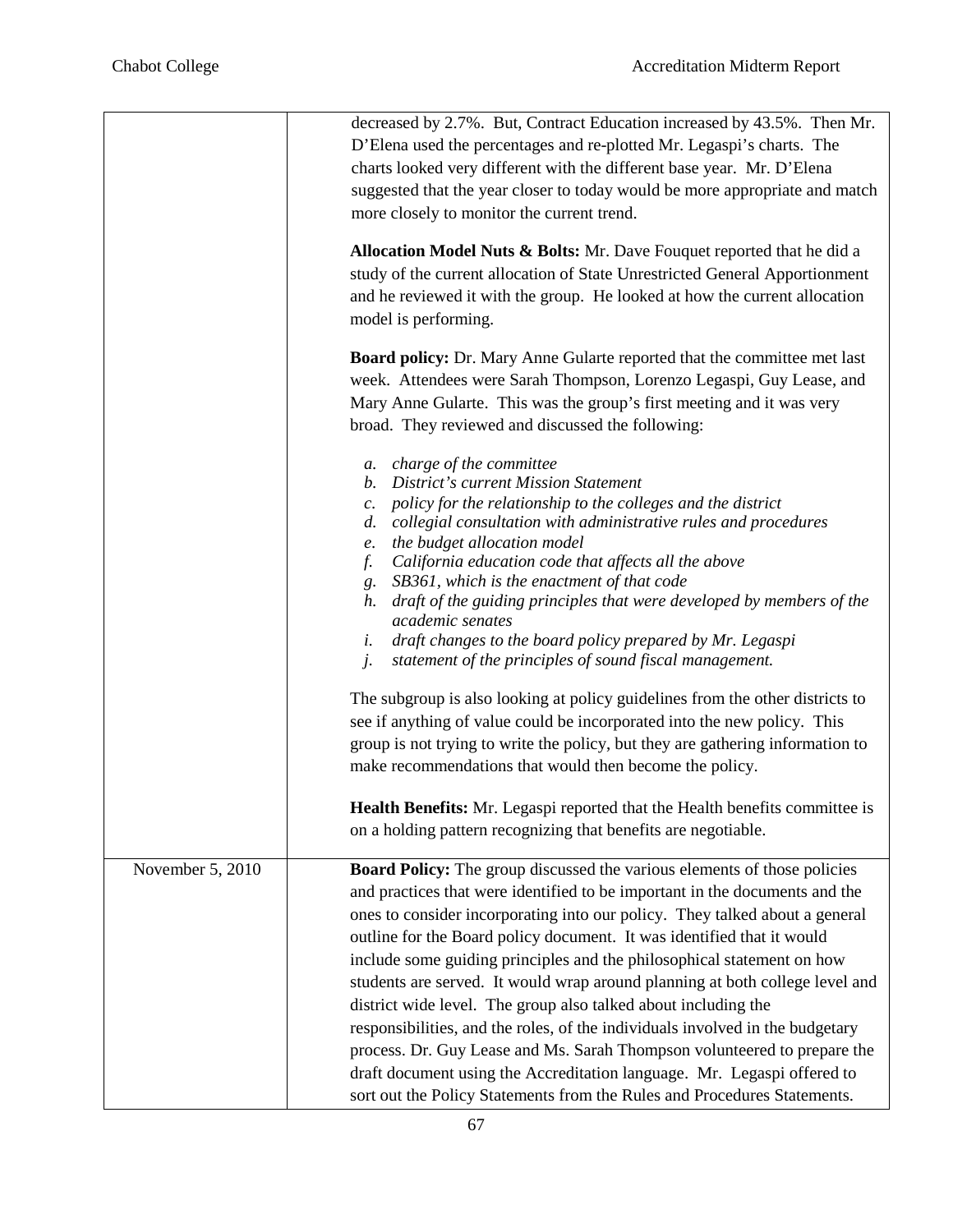|                  | decreased by 2.7%. But, Contract Education increased by 43.5%. Then Mr.                                                   |
|------------------|---------------------------------------------------------------------------------------------------------------------------|
|                  | D'Elena used the percentages and re-plotted Mr. Legaspi's charts. The                                                     |
|                  | charts looked very different with the different base year. Mr. D'Elena                                                    |
|                  | suggested that the year closer to today would be more appropriate and match                                               |
|                  | more closely to monitor the current trend.                                                                                |
|                  | Allocation Model Nuts & Bolts: Mr. Dave Fouquet reported that he did a                                                    |
|                  | study of the current allocation of State Unrestricted General Apportionment                                               |
|                  | and he reviewed it with the group. He looked at how the current allocation                                                |
|                  | model is performing.                                                                                                      |
|                  | <b>Board policy:</b> Dr. Mary Anne Gularte reported that the committee met last                                           |
|                  | week. Attendees were Sarah Thompson, Lorenzo Legaspi, Guy Lease, and                                                      |
|                  | Mary Anne Gularte. This was the group's first meeting and it was very                                                     |
|                  |                                                                                                                           |
|                  | broad. They reviewed and discussed the following:                                                                         |
|                  | a. charge of the committee                                                                                                |
|                  | b. District's current Mission Statement                                                                                   |
|                  | c. policy for the relationship to the colleges and the district                                                           |
|                  | collegial consultation with administrative rules and procedures<br>d.                                                     |
|                  | the budget allocation model<br>e.                                                                                         |
|                  | California education code that affects all the above<br>f.                                                                |
|                  | g. SB361, which is the enactment of that code<br>h. draft of the guiding principles that were developed by members of the |
|                  | academic senates                                                                                                          |
|                  | draft changes to the board policy prepared by Mr. Legaspi<br>i.                                                           |
|                  | statement of the principles of sound fiscal management.<br>j.                                                             |
|                  | The subgroup is also looking at policy guidelines from the other districts to                                             |
|                  | see if anything of value could be incorporated into the new policy. This                                                  |
|                  | group is not trying to write the policy, but they are gathering information to                                            |
|                  | make recommendations that would then become the policy.                                                                   |
|                  |                                                                                                                           |
|                  | <b>Health Benefits:</b> Mr. Legaspi reported that the Health benefits committee is                                        |
|                  | on a holding pattern recognizing that benefits are negotiable.                                                            |
| November 5, 2010 | <b>Board Policy:</b> The group discussed the various elements of those policies                                           |
|                  | and practices that were identified to be important in the documents and the                                               |
|                  | ones to consider incorporating into our policy. They talked about a general                                               |
|                  | outline for the Board policy document. It was identified that it would                                                    |
|                  | include some guiding principles and the philosophical statement on how                                                    |
|                  | students are served. It would wrap around planning at both college level and                                              |
|                  | district wide level. The group also talked about including the                                                            |
|                  | responsibilities, and the roles, of the individuals involved in the budgetary                                             |
|                  | process. Dr. Guy Lease and Ms. Sarah Thompson volunteered to prepare the                                                  |
|                  |                                                                                                                           |
|                  | draft document using the Accreditation language. Mr. Legaspi offered to                                                   |
|                  | sort out the Policy Statements from the Rules and Procedures Statements.                                                  |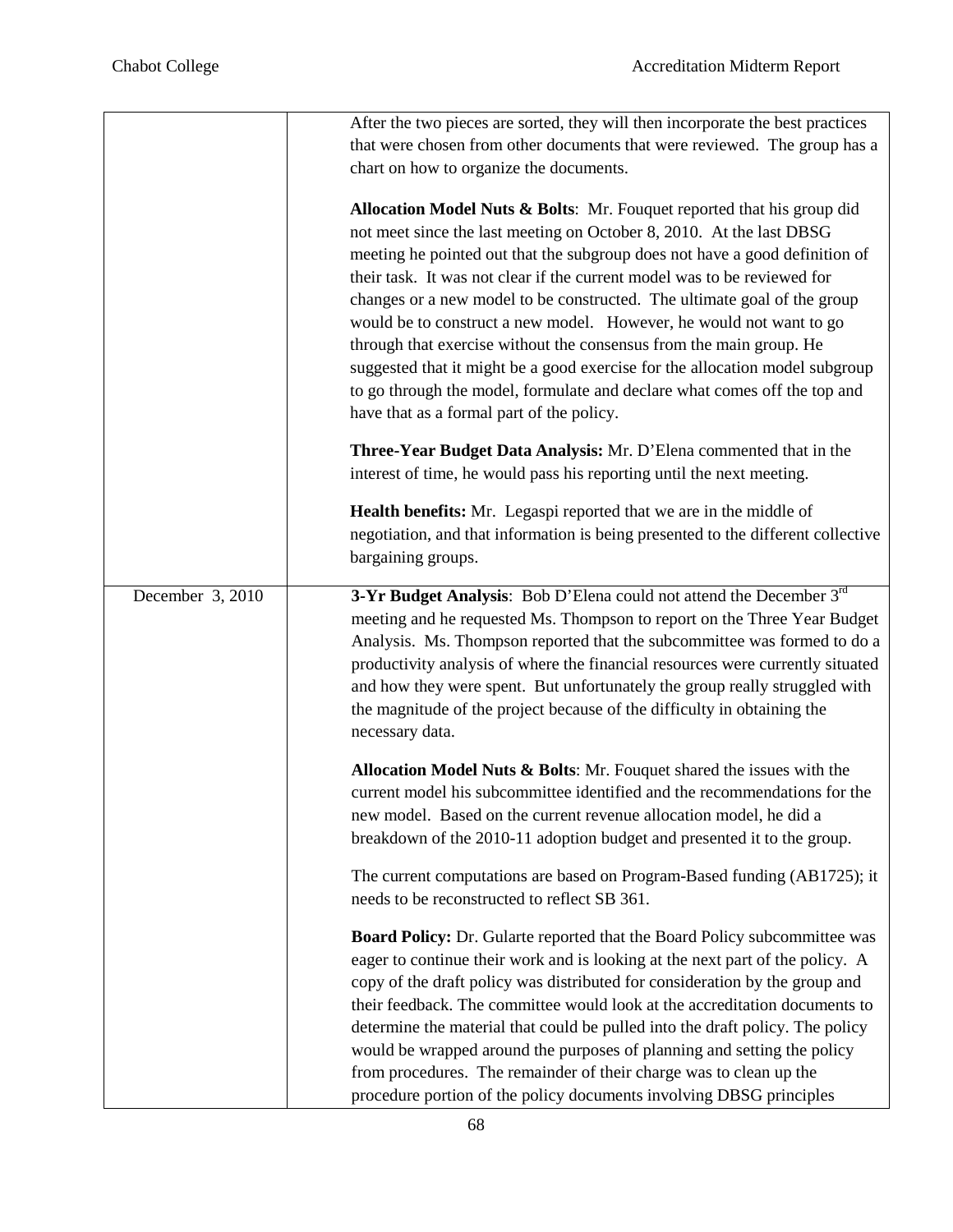|                  | After the two pieces are sorted, they will then incorporate the best practices   |
|------------------|----------------------------------------------------------------------------------|
|                  | that were chosen from other documents that were reviewed. The group has a        |
|                  | chart on how to organize the documents.                                          |
|                  |                                                                                  |
|                  | Allocation Model Nuts & Bolts: Mr. Fouquet reported that his group did           |
|                  | not meet since the last meeting on October 8, 2010. At the last DBSG             |
|                  | meeting he pointed out that the subgroup does not have a good definition of      |
|                  | their task. It was not clear if the current model was to be reviewed for         |
|                  | changes or a new model to be constructed. The ultimate goal of the group         |
|                  | would be to construct a new model. However, he would not want to go              |
|                  | through that exercise without the consensus from the main group. He              |
|                  | suggested that it might be a good exercise for the allocation model subgroup     |
|                  | to go through the model, formulate and declare what comes off the top and        |
|                  | have that as a formal part of the policy.                                        |
|                  | Three-Year Budget Data Analysis: Mr. D'Elena commented that in the               |
|                  | interest of time, he would pass his reporting until the next meeting.            |
|                  | Health benefits: Mr. Legaspi reported that we are in the middle of               |
|                  | negotiation, and that information is being presented to the different collective |
|                  | bargaining groups.                                                               |
| December 3, 2010 | 3-Yr Budget Analysis: Bob D'Elena could not attend the December 3rd              |
|                  | meeting and he requested Ms. Thompson to report on the Three Year Budget         |
|                  | Analysis. Ms. Thompson reported that the subcommittee was formed to do a         |
|                  | productivity analysis of where the financial resources were currently situated   |
|                  | and how they were spent. But unfortunately the group really struggled with       |
|                  | the magnitude of the project because of the difficulty in obtaining the          |
|                  | necessary data.                                                                  |
|                  | Allocation Model Nuts & Bolts: Mr. Fouquet shared the issues with the            |
|                  | current model his subcommittee identified and the recommendations for the        |
|                  | new model. Based on the current revenue allocation model, he did a               |
|                  | breakdown of the 2010-11 adoption budget and presented it to the group.          |
|                  | The current computations are based on Program-Based funding (AB1725); it         |
|                  | needs to be reconstructed to reflect SB 361.                                     |
|                  | Board Policy: Dr. Gularte reported that the Board Policy subcommittee was        |
|                  | eager to continue their work and is looking at the next part of the policy. A    |
|                  | copy of the draft policy was distributed for consideration by the group and      |
|                  | their feedback. The committee would look at the accreditation documents to       |
|                  | determine the material that could be pulled into the draft policy. The policy    |
|                  | would be wrapped around the purposes of planning and setting the policy          |
|                  | from procedures. The remainder of their charge was to clean up the               |
|                  | procedure portion of the policy documents involving DBSG principles              |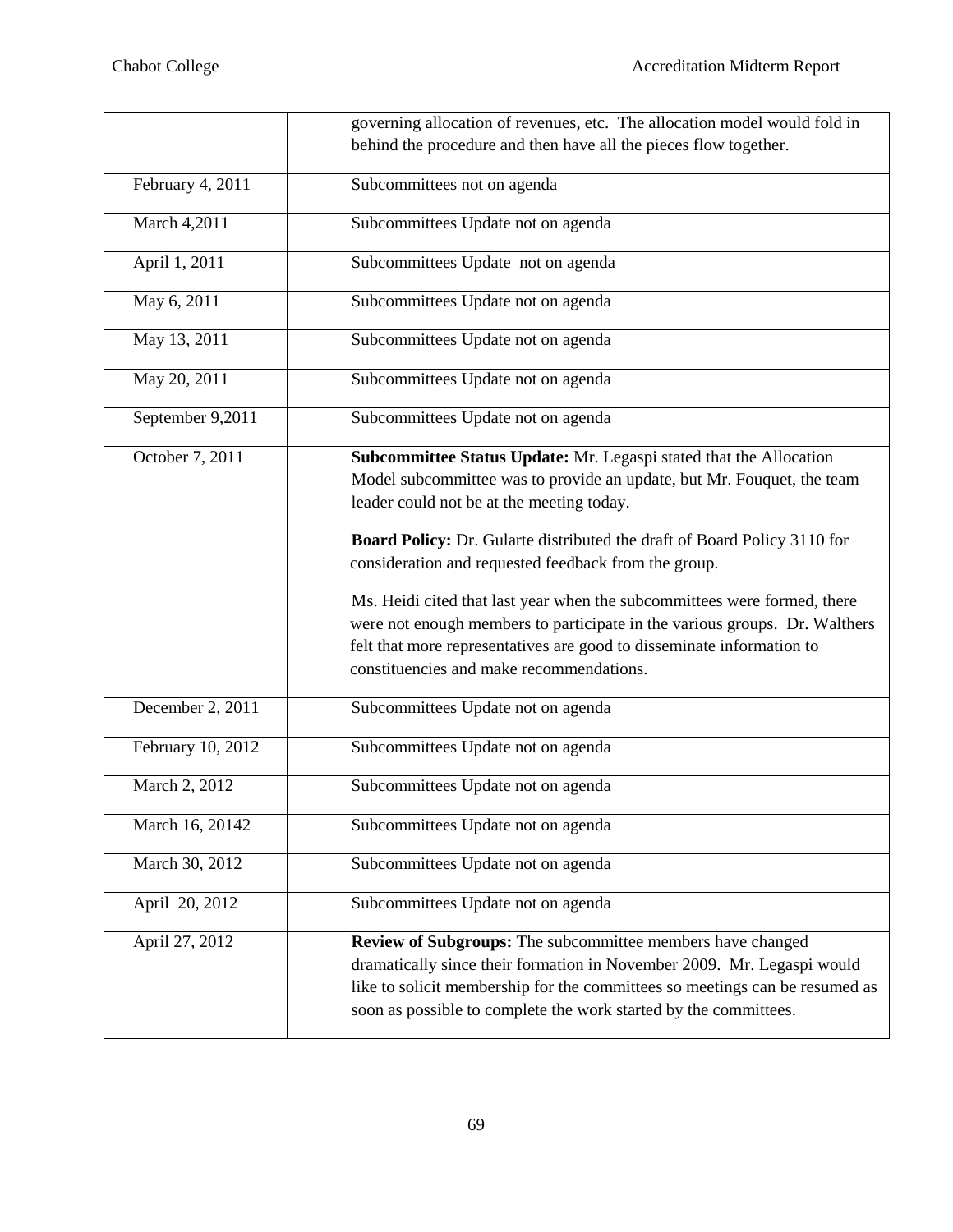|                   | governing allocation of revenues, etc. The allocation model would fold in                                                                                                                                                                                                                                                                                                                                                                                                                                                                                                                                    |
|-------------------|--------------------------------------------------------------------------------------------------------------------------------------------------------------------------------------------------------------------------------------------------------------------------------------------------------------------------------------------------------------------------------------------------------------------------------------------------------------------------------------------------------------------------------------------------------------------------------------------------------------|
|                   | behind the procedure and then have all the pieces flow together.                                                                                                                                                                                                                                                                                                                                                                                                                                                                                                                                             |
| February 4, 2011  | Subcommittees not on agenda                                                                                                                                                                                                                                                                                                                                                                                                                                                                                                                                                                                  |
| March 4,2011      | Subcommittees Update not on agenda                                                                                                                                                                                                                                                                                                                                                                                                                                                                                                                                                                           |
| April 1, 2011     | Subcommittees Update not on agenda                                                                                                                                                                                                                                                                                                                                                                                                                                                                                                                                                                           |
| May 6, 2011       | Subcommittees Update not on agenda                                                                                                                                                                                                                                                                                                                                                                                                                                                                                                                                                                           |
| May 13, 2011      | Subcommittees Update not on agenda                                                                                                                                                                                                                                                                                                                                                                                                                                                                                                                                                                           |
| May 20, 2011      | Subcommittees Update not on agenda                                                                                                                                                                                                                                                                                                                                                                                                                                                                                                                                                                           |
| September 9,2011  | Subcommittees Update not on agenda                                                                                                                                                                                                                                                                                                                                                                                                                                                                                                                                                                           |
| October 7, 2011   | Subcommittee Status Update: Mr. Legaspi stated that the Allocation<br>Model subcommittee was to provide an update, but Mr. Fouquet, the team<br>leader could not be at the meeting today.<br>Board Policy: Dr. Gularte distributed the draft of Board Policy 3110 for<br>consideration and requested feedback from the group.<br>Ms. Heidi cited that last year when the subcommittees were formed, there<br>were not enough members to participate in the various groups. Dr. Walthers<br>felt that more representatives are good to disseminate information to<br>constituencies and make recommendations. |
| December 2, 2011  | Subcommittees Update not on agenda                                                                                                                                                                                                                                                                                                                                                                                                                                                                                                                                                                           |
| February 10, 2012 | Subcommittees Update not on agenda                                                                                                                                                                                                                                                                                                                                                                                                                                                                                                                                                                           |
| March 2, 2012     | Subcommittees Update not on agenda                                                                                                                                                                                                                                                                                                                                                                                                                                                                                                                                                                           |
| March 16, 20142   | Subcommittees Update not on agenda                                                                                                                                                                                                                                                                                                                                                                                                                                                                                                                                                                           |
| March 30, 2012    | Subcommittees Update not on agenda                                                                                                                                                                                                                                                                                                                                                                                                                                                                                                                                                                           |
| April 20, 2012    | Subcommittees Update not on agenda                                                                                                                                                                                                                                                                                                                                                                                                                                                                                                                                                                           |
| April 27, 2012    | Review of Subgroups: The subcommittee members have changed<br>dramatically since their formation in November 2009. Mr. Legaspi would<br>like to solicit membership for the committees so meetings can be resumed as<br>soon as possible to complete the work started by the committees.                                                                                                                                                                                                                                                                                                                      |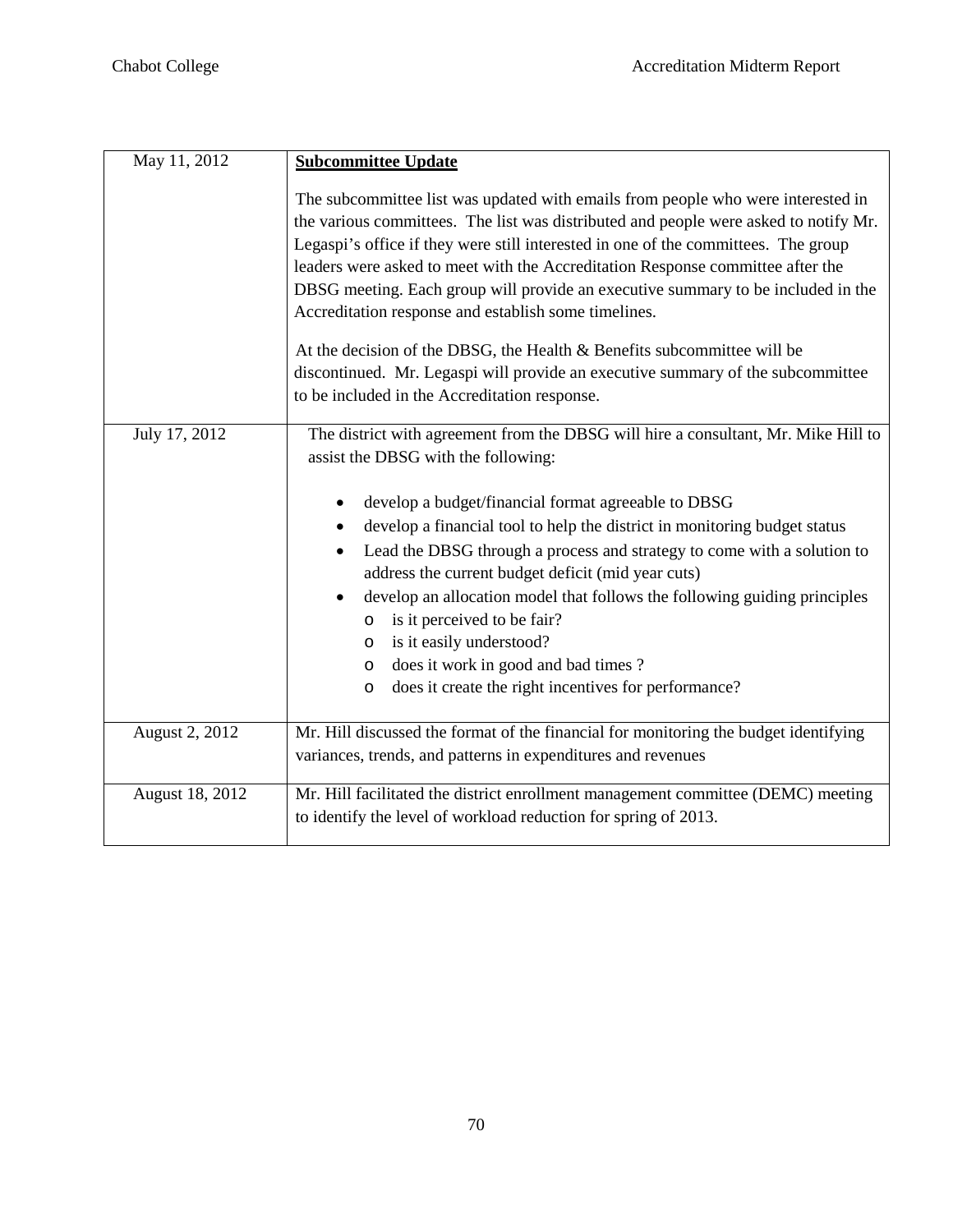| May 11, 2012    | <b>Subcommittee Update</b>                                                                                                                                                                                                                                                                                                                                                                                                                                                                                                                                                                                                                                                                                  |
|-----------------|-------------------------------------------------------------------------------------------------------------------------------------------------------------------------------------------------------------------------------------------------------------------------------------------------------------------------------------------------------------------------------------------------------------------------------------------------------------------------------------------------------------------------------------------------------------------------------------------------------------------------------------------------------------------------------------------------------------|
|                 | The subcommittee list was updated with emails from people who were interested in<br>the various committees. The list was distributed and people were asked to notify Mr.<br>Legaspi's office if they were still interested in one of the committees. The group<br>leaders were asked to meet with the Accreditation Response committee after the<br>DBSG meeting. Each group will provide an executive summary to be included in the<br>Accreditation response and establish some timelines.<br>At the decision of the DBSG, the Health & Benefits subcommittee will be<br>discontinued. Mr. Legaspi will provide an executive summary of the subcommittee<br>to be included in the Accreditation response. |
| July 17, 2012   | The district with agreement from the DBSG will hire a consultant, Mr. Mike Hill to                                                                                                                                                                                                                                                                                                                                                                                                                                                                                                                                                                                                                          |
|                 | assist the DBSG with the following:<br>develop a budget/financial format agreeable to DBSG<br>٠<br>develop a financial tool to help the district in monitoring budget status<br>٠<br>Lead the DBSG through a process and strategy to come with a solution to<br>address the current budget deficit (mid year cuts)<br>develop an allocation model that follows the following guiding principles<br>٠<br>is it perceived to be fair?<br>O<br>is it easily understood?<br>O<br>does it work in good and bad times?<br>$\circ$<br>does it create the right incentives for performance?<br>$\circ$                                                                                                              |
| August 2, 2012  | Mr. Hill discussed the format of the financial for monitoring the budget identifying<br>variances, trends, and patterns in expenditures and revenues                                                                                                                                                                                                                                                                                                                                                                                                                                                                                                                                                        |
| August 18, 2012 | Mr. Hill facilitated the district enrollment management committee (DEMC) meeting<br>to identify the level of workload reduction for spring of 2013.                                                                                                                                                                                                                                                                                                                                                                                                                                                                                                                                                         |